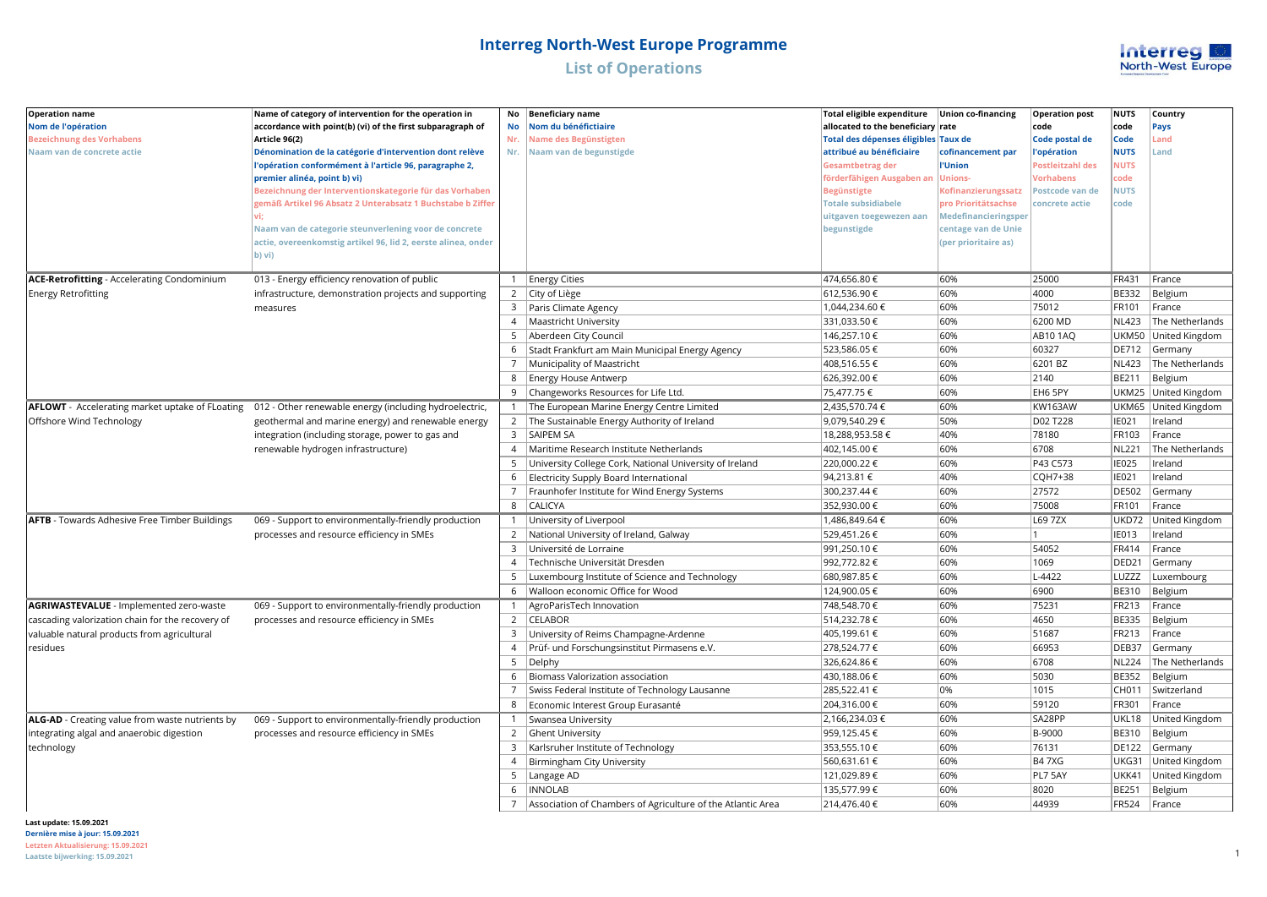

| <b>Operation name</b>                                | Name of category of intervention for the operation in         | No             | <b>Beneficiary name</b>                                         | Total eligible expenditure           | <b>Union co-financing</b> | <b>Operation post</b> | <b>NUTS</b>           | Country              |
|------------------------------------------------------|---------------------------------------------------------------|----------------|-----------------------------------------------------------------|--------------------------------------|---------------------------|-----------------------|-----------------------|----------------------|
| Nom de l'opération                                   | accordance with point(b) (vi) of the first subparagraph of    | No             | Nom du bénéfictiaire                                            | allocated to the beneficiary rate    |                           | code                  | code                  | Pays                 |
| <b>Bezeichnung des Vorhabens</b>                     | Article 96(2)                                                 | Nr.            | Name des Begünstigten                                           | Total des dépenses éligibles Taux de |                           | Code postal de        | Code                  | Land                 |
| Naam van de concrete actie                           | Dénomination de la catégorie d'intervention dont relève       | Nr.            | Naam van de begunstigde                                         | attribué au bénéficiaire             | cofinancement par         | 'opération            | <b>NUTS</b>           | Land                 |
|                                                      | l'opération conformément à l'article 96, paragraphe 2,        |                |                                                                 | <b>Gesamtbetrag der</b>              | l'Union                   | ostleitzahl des       | <b>NUTS</b>           |                      |
|                                                      | premier alinéa, point b) vi)                                  |                |                                                                 | förderfähigen Ausgaben an            | <b>Unions-</b>            | Vorhabens             | :ode                  |                      |
|                                                      | Bezeichnung der Interventionskategorie für das Vorhaben       |                |                                                                 | <b>Begünstigte</b>                   | Kofinanzierungssatz       | Postcode van de       | <b>NUTS</b>           |                      |
|                                                      | gemäß Artikel 96 Absatz 2 Unterabsatz 1 Buchstabe b Ziffer    |                |                                                                 | <b>Totale subsidiabele</b>           | pro Prioritätsachse       | concrete actie        | code                  |                      |
|                                                      |                                                               |                |                                                                 | uitgaven toegewezen aan              | Medefinancieringsper      |                       |                       |                      |
|                                                      | Naam van de categorie steunverlening voor de concrete         |                |                                                                 | begunstigde                          | centage van de Unie       |                       |                       |                      |
|                                                      | actie, overeenkomstig artikel 96, lid 2, eerste alinea, onder |                |                                                                 |                                      | (per prioritaire as)      |                       |                       |                      |
|                                                      | b) vi)                                                        |                |                                                                 |                                      |                           |                       |                       |                      |
|                                                      |                                                               |                |                                                                 |                                      | 60%                       |                       |                       |                      |
| <b>ACE-Retrofitting - Accelerating Condominium</b>   | 013 - Energy efficiency renovation of public                  |                | 1 Energy Cities                                                 | 474,656.80 €<br>612,536.90€          | 60%                       | 25000<br>4000         | FR431                 | France               |
| <b>Energy Retrofitting</b>                           | infrastructure, demonstration projects and supporting         | 3              | 2 City of Liège                                                 | 1,044,234.60 €                       | 60%                       | 75012                 | <b>BE332</b><br>FR101 | Belgium              |
|                                                      | measures                                                      |                | Paris Climate Agency                                            |                                      | 60%                       |                       |                       | France               |
|                                                      |                                                               | $\overline{4}$ | Maastricht University                                           | 331,033.50 €                         | 60%                       | 6200 MD               | <b>NL423</b>          | The Netherlands      |
|                                                      |                                                               | 5              | Aberdeen City Council                                           | 146,257.10 €                         |                           | <b>AB101AQ</b>        |                       | UKM50 United Kingdom |
|                                                      |                                                               | 6              | Stadt Frankfurt am Main Municipal Energy Agency                 | 523,586.05€                          | 60%<br>60%                | 60327                 | DE712                 | Germany              |
|                                                      |                                                               | $7^{\circ}$    | Municipality of Maastricht                                      | 408,516.55 €                         |                           | 6201 BZ               | <b>NL423</b>          | The Netherlands      |
|                                                      |                                                               | 8              | <b>Energy House Antwerp</b>                                     | 626,392.00 €                         | 60%                       | 2140                  | BE211                 | Belgium              |
|                                                      |                                                               | 9              | Changeworks Resources for Life Ltd.                             | 75,477.75 €                          | 60%                       | EH6 5PY               |                       | UKM25 United Kingdom |
| AFLOWT - Accelerating market uptake of FLoating      | 012 - Other renewable energy (including hydroelectric,        |                | 1 The European Marine Energy Centre Limited                     | 2,435,570.74€                        | 60%                       | <b>KW163AW</b>        | UKM65                 | United Kingdom       |
| Offshore Wind Technology                             | geothermal and marine energy) and renewable energy            |                | 2 The Sustainable Energy Authority of Ireland                   | 9,079,540.29€                        | 50%                       | D02 T228              | IE021                 | Ireland              |
|                                                      | integration (including storage, power to gas and              | 3              | <b>SAIPEM SA</b>                                                | 18,288,953.58€                       | 40%                       | 78180                 | FR103                 | France               |
|                                                      | renewable hydrogen infrastructure)                            | $\overline{4}$ | Maritime Research Institute Netherlands                         | 402,145.00 €                         | 60%                       | 6708                  | <b>NL221</b>          | The Netherlands      |
|                                                      |                                                               | .5             | University College Cork, National University of Ireland         | 220,000.22€                          | 60%                       | P43 C573              | <b>IE025</b>          | Ireland              |
|                                                      |                                                               | 6              | Electricity Supply Board International                          | 94,213.81 €                          | 40%                       | CQH7+38               | IE021                 | Ireland              |
|                                                      |                                                               | $\overline{7}$ | Fraunhofer Institute for Wind Energy Systems                    | 300,237.44 €                         | 60%                       | 27572                 | <b>DE502</b>          | Germany              |
|                                                      |                                                               | 8              | <b>CALICYA</b>                                                  | 352,930.00 €                         | 60%                       | 75008                 | FR101                 | France               |
| <b>AFTB</b> - Towards Adhesive Free Timber Buildings | 069 - Support to environmentally-friendly production          |                | University of Liverpool                                         | 1,486,849.64 €                       | 60%                       | L69 7ZX               | UKD72                 | United Kingdom       |
|                                                      | processes and resource efficiency in SMEs                     |                | 2 National University of Ireland, Galway                        | 529,451.26€                          | 60%                       |                       | <b>IE013</b>          | Ireland              |
|                                                      |                                                               | 3              | Université de Lorraine                                          | 991,250.10 €                         | 60%                       | 54052                 | FR414                 | France               |
|                                                      |                                                               | $\overline{4}$ | Technische Universität Dresden                                  | 992,772.82 €                         | 60%                       | 1069                  | DED <sub>21</sub>     | Germany              |
|                                                      |                                                               | 5              | Luxembourg Institute of Science and Technology                  | 680,987.85€                          | 60%                       | $L - 4422$            | LUZZZ                 | Luxembourg           |
|                                                      |                                                               | 6              | Walloon economic Office for Wood                                | 124,900.05€                          | 60%                       | 6900                  | <b>BE310</b>          | Belgium              |
| <b>AGRIWASTEVALUE</b> - Implemented zero-waste       | 069 - Support to environmentally-friendly production          | 1              | AgroParisTech Innovation                                        | 748,548.70 €                         | 60%                       | 75231                 | <b>FR213</b>          | France               |
| cascading valorization chain for the recovery of     | processes and resource efficiency in SMEs                     |                | 2 CELABOR                                                       | 514,232.78€                          | 60%                       | 4650                  | <b>BE335</b>          | Belgium              |
| valuable natural products from agricultural          |                                                               | 3              | University of Reims Champagne-Ardenne                           | 405,199.61 €                         | 60%                       | 51687                 | FR213                 | France               |
| residues                                             |                                                               |                | 4   Prüf- und Forschungsinstitut Pirmasens e.V.                 | 278,524.77 €                         | 60%                       | 66953                 | DEB37                 | Germany              |
|                                                      |                                                               | 5              | Delphy                                                          | 326,624.86 €                         | 60%                       | 6708                  | <b>NL224</b>          | The Netherlands      |
|                                                      |                                                               | 6              | Biomass Valorization association                                | 430,188.06€                          | 60%                       | 5030                  | <b>BE352</b>          | Belgium              |
|                                                      |                                                               | 7              | Swiss Federal Institute of Technology Lausanne                  | 285,522.41 €                         | 0%                        | 1015                  | CH011                 | Switzerland          |
|                                                      |                                                               |                | 8   Economic Interest Group Eurasanté                           | 204,316.00 €                         | 60%                       | 59120                 | FR301                 | France               |
| ALG-AD - Creating value from waste nutrients by      | 069 - Support to environmentally-friendly production          |                | 1   Swansea University                                          | 2,166,234.03 €                       | 60%                       | SA28PP                | UKL18                 | United Kingdom       |
| integrating algal and anaerobic digestion            | processes and resource efficiency in SMEs                     |                | 2 Ghent University                                              | 959,125.45€                          | 60%                       | B-9000                | <b>BE310</b>          | Belgium              |
| technology                                           |                                                               | 3              | Karlsruher Institute of Technology                              | 353,555.10€                          | 60%                       | 76131                 | <b>DE122</b>          | Germany              |
|                                                      |                                                               | $\overline{4}$ | Birmingham City University                                      | 560,631.61 €                         | 60%                       | <b>B47XG</b>          | UKG31                 | United Kingdom       |
|                                                      |                                                               | 5              | Langage AD                                                      | 121,029.89€                          | 60%                       | PL7 5AY               | <b>UKK41</b>          | United Kingdom       |
|                                                      |                                                               | 6              | <b>INNOLAB</b>                                                  | 135,577.99 €                         | 60%                       | 8020                  | <b>BE251</b>          | Belgium              |
|                                                      |                                                               |                | 7   Association of Chambers of Agriculture of the Atlantic Area | 214,476.40€                          | 60%                       | 44939                 | <b>FR524</b>          | France               |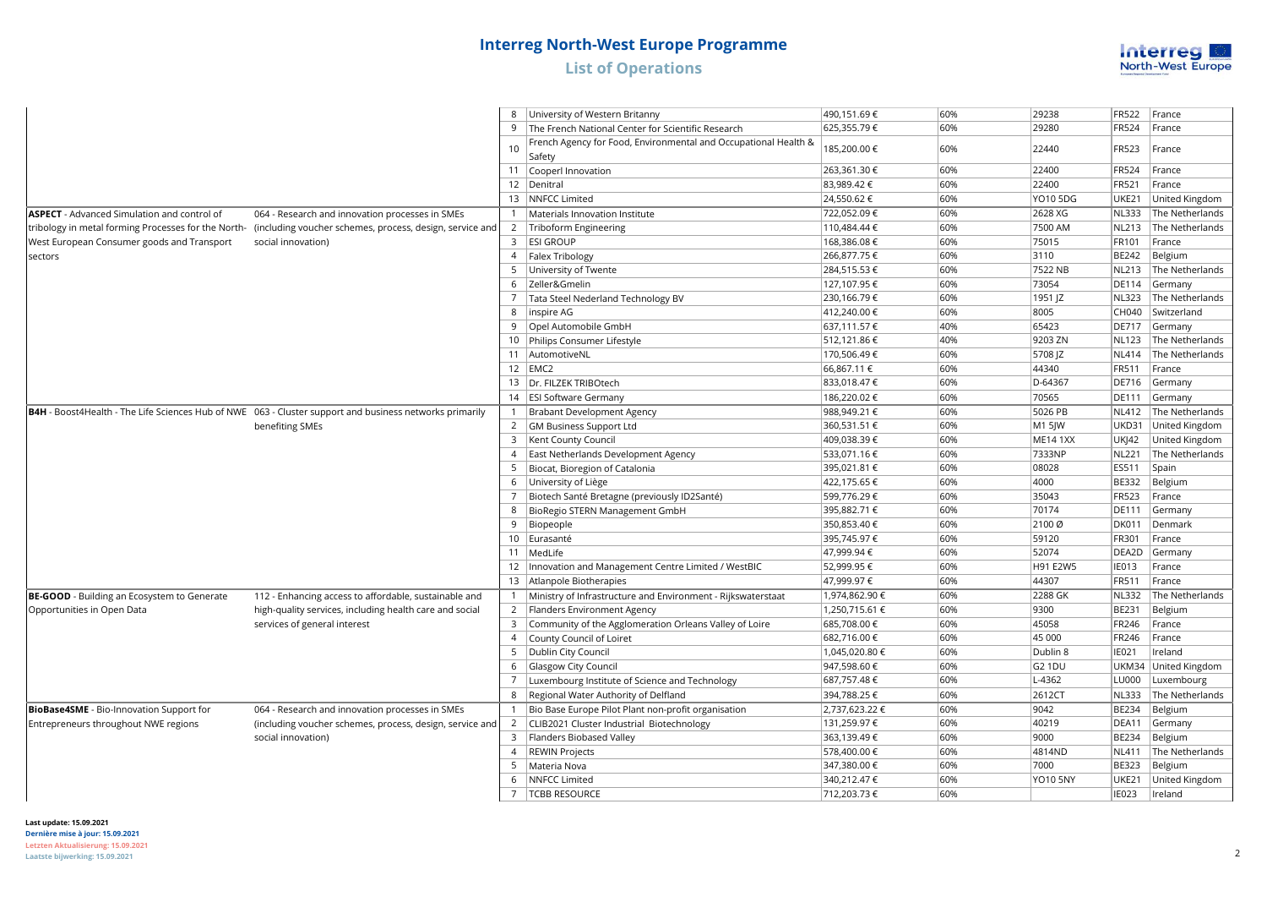

|                                                    |                                                                                                              | 8              | University of Western Britanny                                            | 490,151.69€    | 60% | 29238              | <b>FR522</b> | France                  |
|----------------------------------------------------|--------------------------------------------------------------------------------------------------------------|----------------|---------------------------------------------------------------------------|----------------|-----|--------------------|--------------|-------------------------|
|                                                    |                                                                                                              | 9              | The French National Center for Scientific Research                        | 625,355.79€    | 60% | 29280              | <b>FR524</b> | France                  |
|                                                    |                                                                                                              | 10             | French Agency for Food, Environmental and Occupational Health &<br>Safety | 185,200.00 €   | 60% | 22440              | FR523        | France                  |
|                                                    |                                                                                                              |                | 11 Cooperl Innovation                                                     | 263,361.30 €   | 60% | 22400              | FR524        | France                  |
|                                                    |                                                                                                              |                | 12   Denitral                                                             | 83,989.42€     | 60% | 22400              | FR521        | France                  |
|                                                    |                                                                                                              |                | 13   NNFCC Limited                                                        | 24,550.62€     | 60% | <b>YO10 5DG</b>    | <b>UKE21</b> | United Kingdom          |
| <b>ASPECT</b> - Advanced Simulation and control of | 064 - Research and innovation processes in SMEs                                                              |                | 1   Materials Innovation Institute                                        | 722,052.09€    | 60% | 2628 XG            | <b>NL333</b> | The Netherlands         |
|                                                    | tribology in metal forming Processes for the North- (including voucher schemes, process, design, service and |                | 2 Triboform Engineering                                                   | 110,484.44 €   | 60% | 7500 AM            | <b>NL213</b> | The Netherlands         |
| West European Consumer goods and Transport         | social innovation)                                                                                           |                | 3 ESI GROUP                                                               | 168,386.08€    | 60% | 75015              | FR101        | France                  |
| sectors                                            |                                                                                                              | $\overline{4}$ | Falex Tribology                                                           | 266,877.75€    | 60% | 3110               | BE242        | Belgium                 |
|                                                    |                                                                                                              | 5              | University of Twente                                                      | 284,515.53€    | 60% | 7522 NB            | <b>NL213</b> | The Netherlands         |
|                                                    |                                                                                                              | 6              | Zeller&Gmelin                                                             | 127,107.95€    | 60% | 73054              | DE114        | Germany                 |
|                                                    |                                                                                                              |                | Tata Steel Nederland Technology BV                                        | 230,166.79€    | 60% | 1951 JZ            | <b>NL323</b> | The Netherlands         |
|                                                    |                                                                                                              | 8              | inspire AG                                                                | 412,240.00 €   | 60% | 8005               | CH040        | Switzerland             |
|                                                    |                                                                                                              | 9              | Opel Automobile GmbH                                                      | 637,111.57 €   | 40% | 65423              | <b>DE717</b> | Germany                 |
|                                                    |                                                                                                              |                | 10 Philips Consumer Lifestyle                                             | 512,121.86€    | 40% | 9203 ZN            |              | NL123 The Netherlands   |
|                                                    |                                                                                                              |                | 11 AutomotiveNL                                                           | 170,506.49€    | 60% | 5708 JZ            |              | NL414   The Netherlands |
|                                                    |                                                                                                              |                | $12$ EMC <sub>2</sub>                                                     | 66,867.11 €    | 60% | 44340              | FR511        | France                  |
|                                                    |                                                                                                              |                | 13   Dr. FILZEK TRIBOtech                                                 | 833,018.47€    | 60% | D-64367            |              | DE716 Germany           |
|                                                    |                                                                                                              |                | 14   ESI Software Germany                                                 | 186,220.02€    | 60% | 70565              | <b>DE111</b> | Germany                 |
|                                                    | B4H - Boost4Health - The Life Sciences Hub of NWE 063 - Cluster support and business networks primarily      | $\mathbf{1}$   | Brabant Development Agency                                                | 988,949.21 €   | 60% | 5026 PB            |              | NL412   The Netherlands |
|                                                    | benefiting SMEs                                                                                              |                | 2 GM Business Support Ltd                                                 | 360,531.51 €   | 60% | M1 5JW             | UKD31        | United Kingdom          |
|                                                    |                                                                                                              | 3              | Kent County Council                                                       | 409,038.39€    | 60% | <b>ME14 1XX</b>    | UKJ42        | United Kingdom          |
|                                                    |                                                                                                              |                | 4 East Netherlands Development Agency                                     | 533,071.16€    | 60% | 7333NP             | NL221        | The Netherlands         |
|                                                    |                                                                                                              | 5              | Biocat, Bioregion of Catalonia                                            | 395,021.81 €   | 60% | 08028              | ES511        | Spain                   |
|                                                    |                                                                                                              |                | 6 University of Liège                                                     | 422,175.65 €   | 60% | 4000               | <b>BE332</b> | Belgium                 |
|                                                    |                                                                                                              | 7              | Biotech Santé Bretagne (previously ID2Santé)                              | 599,776.29€    | 60% | 35043              | FR523        | France                  |
|                                                    |                                                                                                              | 8              | BioRegio STERN Management GmbH                                            | 395,882.71 €   | 60% | 70174              | <b>DE111</b> | Germany                 |
|                                                    |                                                                                                              | 9              | Biopeople                                                                 | 350,853.40€    | 60% | 2100 Ø             | <b>DK011</b> | Denmark                 |
|                                                    |                                                                                                              |                | 10 Eurasanté                                                              | 395,745.97€    | 60% | 59120              | FR301        | France                  |
|                                                    |                                                                                                              |                | 11   MedLife                                                              | 47,999.94 €    | 60% | 52074              | DEA2D        | Germany                 |
|                                                    |                                                                                                              |                | 12   Innovation and Management Centre Limited / WestBIC                   | 52,999.95€     | 60% | H91 E2W5           | IE013        | France                  |
|                                                    |                                                                                                              |                | 13 Atlanpole Biotherapies                                                 | 47,999.97€     | 60% | 44307              | <b>FR511</b> | France                  |
| <b>BE-GOOD</b> - Building an Ecosystem to Generate | 112 - Enhancing access to affordable, sustainable and                                                        |                | Ministry of Infrastructure and Environment - Rijkswaterstaat              | 1,974,862.90 € | 60% | 2288 GK            | NL332        | The Netherlands         |
| Opportunities in Open Data                         | high-quality services, including health care and social                                                      |                | 2   Flanders Environment Agency                                           | 1,250,715.61 € | 60% | 9300               | <b>BE231</b> | Belgium                 |
|                                                    | services of general interest                                                                                 | 3              | Community of the Agglomeration Orleans Valley of Loire                    | 685,708.00 €   | 60% | 45058              | FR246        | France                  |
|                                                    |                                                                                                              | $\overline{4}$ | County Council of Loiret                                                  | 682,716.00 €   | 60% | 45 000             | FR246        | France                  |
|                                                    |                                                                                                              | 5              | Dublin City Council                                                       | 1,045,020.80 € | 60% | Dublin 8           | IE021        | Ireland                 |
|                                                    |                                                                                                              | 6              | Glasgow City Council                                                      | 947,598.60 €   | 60% | G <sub>2</sub> 1DU | UKM34        | United Kingdom          |
|                                                    |                                                                                                              | $\overline{7}$ | Luxembourg Institute of Science and Technology                            | 687,757.48€    | 60% | L-4362             | LU000        | Luxembourg              |
|                                                    |                                                                                                              |                | 8   Regional Water Authority of Delfland                                  | 394,788.25€    | 60% | 2612CT             | NL333        | The Netherlands         |
| BioBase4SME - Bio-Innovation Support for           | 064 - Research and innovation processes in SMEs                                                              |                | Bio Base Europe Pilot Plant non-profit organisation                       | 2,737,623.22 € | 60% | 9042               | <b>BE234</b> | Belgium                 |
| Entrepreneurs throughout NWE regions               | (including voucher schemes, process, design, service and                                                     | $\overline{2}$ | CLIB2021 Cluster Industrial Biotechnology                                 | 131,259.97 €   | 60% | 40219              | DEA11        | Germany                 |
|                                                    | social innovation)                                                                                           | 3              | Flanders Biobased Valley                                                  | 363,139.49€    | 60% | 9000               | <b>BE234</b> | Belgium                 |
|                                                    |                                                                                                              | $\overline{4}$ | <b>REWIN Projects</b>                                                     | 578,400.00 €   | 60% | 4814ND             | <b>NL411</b> | The Netherlands         |
|                                                    |                                                                                                              | 5              | Materia Nova                                                              | 347,380.00 €   | 60% | 7000               | <b>BE323</b> | Belgium                 |
|                                                    |                                                                                                              | 6              | NNFCC Limited                                                             | 340,212.47€    | 60% | <b>YO10 5NY</b>    | UKE21        | United Kingdom          |
|                                                    |                                                                                                              |                | 7   TCBB RESOURCE                                                         | 712,203.73€    | 60% |                    | <b>IE023</b> | Ireland                 |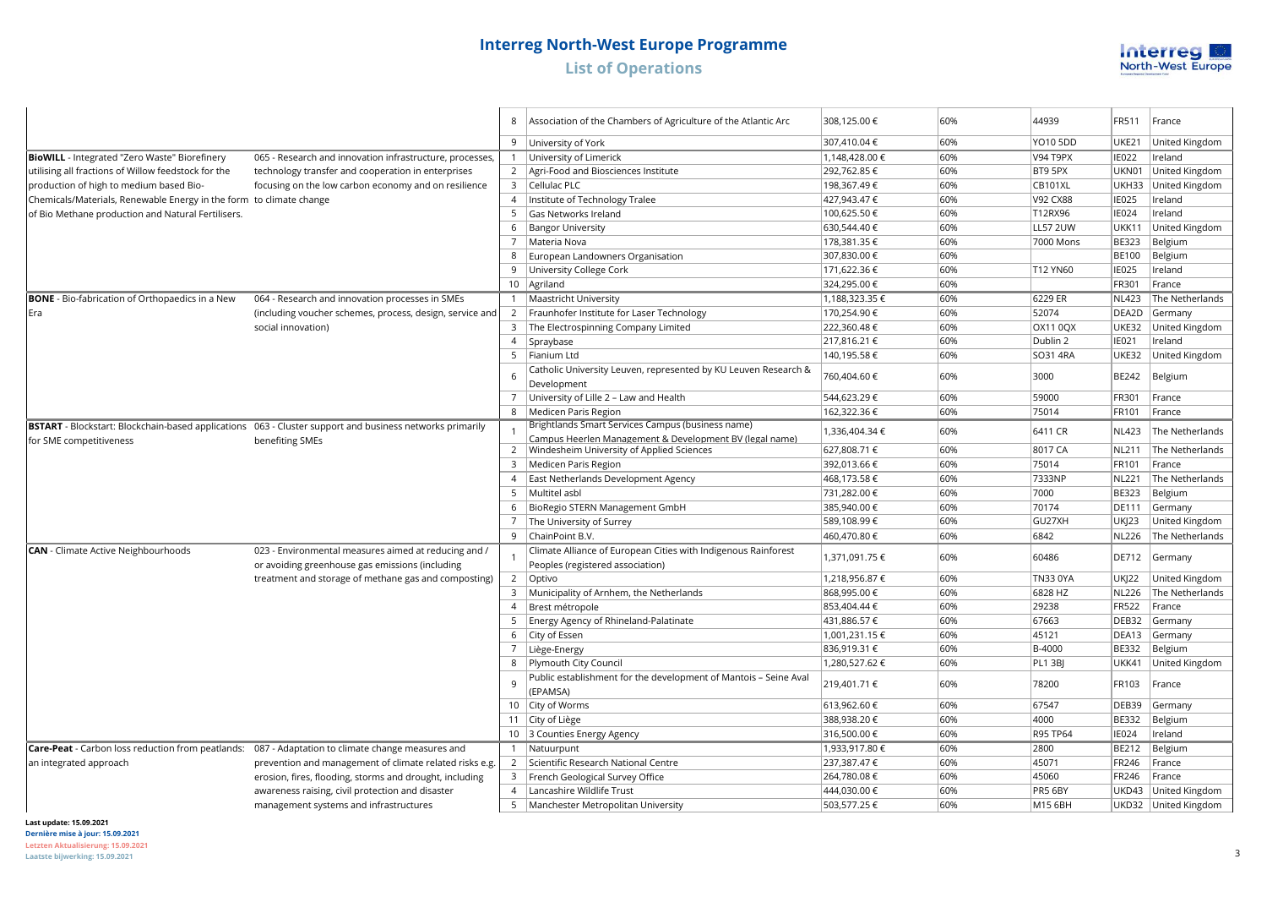

|                                                                     |                                                                                                          | 8              | Association of the Chambers of Agriculture of the Atlantic Arc                                               | 308,125.00 €   | 60% | 44939           | FR511        | France               |
|---------------------------------------------------------------------|----------------------------------------------------------------------------------------------------------|----------------|--------------------------------------------------------------------------------------------------------------|----------------|-----|-----------------|--------------|----------------------|
|                                                                     |                                                                                                          |                | 9 University of York                                                                                         | 307,410.04 €   | 60% | YO10 5DD        | UKE21        | United Kingdom       |
| <b>BioWILL</b> - Integrated "Zero Waste" Biorefinery                | 065 - Research and innovation infrastructure, processes                                                  |                | 1 University of Limerick                                                                                     | 1,148,428.00 € | 60% | V94 T9PX        | <b>IE022</b> | Ireland              |
| utilising all fractions of Willow feedstock for the                 | technology transfer and cooperation in enterprises                                                       |                | 2   Agri-Food and Biosciences Institute                                                                      | 292,762.85€    | 60% | BT9 5PX         | UKN01        | United Kingdom       |
| production of high to medium based Bio-                             | focusing on the low carbon economy and on resilience                                                     | 3              | Cellulac PLC                                                                                                 | 198,367.49€    | 60% | <b>CB101XL</b>  | UKH33        | United Kingdom       |
| Chemicals/Materials, Renewable Energy in the form to climate change |                                                                                                          | $\overline{4}$ | Institute of Technology Tralee                                                                               | 427,943.47 €   | 60% | <b>V92 CX88</b> | <b>IE025</b> | Ireland              |
| of Bio Methane production and Natural Fertilisers.                  |                                                                                                          | 5              | Gas Networks Ireland                                                                                         | 100,625.50€    | 60% | T12RX96         | <b>IE024</b> | Ireland              |
|                                                                     |                                                                                                          | 6              | <b>Bangor University</b>                                                                                     | 630,544.40 €   | 60% | <b>LL57 2UW</b> | <b>UKK11</b> | United Kingdom       |
|                                                                     |                                                                                                          | $7^{\circ}$    | Materia Nova                                                                                                 | 178,381.35 €   | 60% | 7000 Mons       | <b>BE323</b> | Belgium              |
|                                                                     |                                                                                                          | 8              | European Landowners Organisation                                                                             | 307,830.00 €   | 60% |                 | <b>BE100</b> | Belgium              |
|                                                                     |                                                                                                          | 9              | University College Cork                                                                                      | 171,622.36 €   | 60% | <b>T12 YN60</b> | IE025        | Ireland              |
|                                                                     |                                                                                                          |                | 10   Agriland                                                                                                | 324,295.00€    | 60% |                 | FR301        | France               |
| <b>BONE</b> - Bio-fabrication of Orthopaedics in a New              | 064 - Research and innovation processes in SMEs                                                          | $\mathbf{1}$   | Maastricht University                                                                                        | 1,188,323.35 € | 60% | 6229 ER         | <b>NL423</b> | The Netherlands      |
| Era                                                                 | (including voucher schemes, process, design, service and                                                 | $\overline{2}$ | Fraunhofer Institute for Laser Technology                                                                    | 170,254.90€    | 60% | 52074           | DEA2D        | Germany              |
|                                                                     | social innovation)                                                                                       |                | 3 The Electrospinning Company Limited                                                                        | 222,360.48€    | 60% | <b>OX11 0QX</b> | UKE32        | United Kingdom       |
|                                                                     |                                                                                                          |                | 4 Spraybase                                                                                                  | 217,816.21 €   | 60% | Dublin 2        | IE021        | Ireland              |
|                                                                     |                                                                                                          | 5              | Fianium Ltd                                                                                                  | 140,195.58€    | 60% | SO31 4RA        | UKE32        | United Kingdom       |
|                                                                     |                                                                                                          | 6              | Catholic University Leuven, represented by KU Leuven Research &<br>Development                               | 760,404.60 €   | 60% | 3000            | BE242        | Belgium              |
|                                                                     |                                                                                                          | 7              | University of Lille 2 - Law and Health                                                                       | 544,623.29€    | 60% | 59000           | FR301        | France               |
|                                                                     |                                                                                                          | 8              | Medicen Paris Region                                                                                         | 162,322.36 €   | 60% | 75014           | FR101        | France               |
|                                                                     | BSTART - Blockstart: Blockchain-based applications 063 - Cluster support and business networks primarily |                | Brightlands Smart Services Campus (business name)<br>Campus Heerlen Management & Development BV (legal name) | 1,336,404.34 € | 60% | 6411 CR         | <b>NL423</b> | The Netherlands      |
| for SME competitiveness                                             | benefiting SMEs                                                                                          |                | 2   Windesheim University of Applied Sciences                                                                | 627,808.71 €   | 60% | 8017 CA         | <b>NL211</b> | The Netherlands      |
|                                                                     |                                                                                                          | 3              | Medicen Paris Region                                                                                         | 392,013.66 €   | 60% | 75014           | FR101        | France               |
|                                                                     |                                                                                                          | $\overline{4}$ | East Netherlands Development Agency                                                                          | 468,173.58 €   | 60% | 7333NP          | <b>NL221</b> | The Netherlands      |
|                                                                     |                                                                                                          | 5              | Multitel asbl                                                                                                | 731,282.00 €   | 60% | 7000            | <b>BE323</b> | Belgium              |
|                                                                     |                                                                                                          | 6              | BioRegio STERN Management GmbH                                                                               | 385,940.00 €   | 60% | 70174           | <b>DE111</b> | Germany              |
|                                                                     |                                                                                                          | 7              | The University of Surrey                                                                                     | 589,108.99€    | 60% | GU27XH          | <b>UKI23</b> | United Kingdom       |
|                                                                     |                                                                                                          | 9              | ChainPoint B.V.                                                                                              | 460,470.80 €   | 60% | 6842            | <b>NL226</b> | The Netherlands      |
| <b>CAN</b> - Climate Active Neighbourhoods                          | 023 - Environmental measures aimed at reducing and /<br>or avoiding greenhouse gas emissions (including  |                | Climate Alliance of European Cities with Indigenous Rainforest<br>Peoples (registered association)           | 1,371,091.75 € | 60% | 60486           | DE712        | Germany              |
|                                                                     | treatment and storage of methane gas and composting)                                                     | $\overline{2}$ | Optivo                                                                                                       | 1,218,956.87€  | 60% | <b>TN33 0YA</b> | <b>UKI22</b> | United Kingdom       |
|                                                                     |                                                                                                          | 3              | Municipality of Arnhem, the Netherlands                                                                      | 868,995.00 €   | 60% | 6828 HZ         | <b>NL226</b> | The Netherlands      |
|                                                                     |                                                                                                          | $\overline{4}$ | Brest métropole                                                                                              | 853,404.44 €   | 60% | 29238           | <b>FR522</b> | France               |
|                                                                     |                                                                                                          | 5              | Energy Agency of Rhineland-Palatinate                                                                        | 431,886.57€    | 60% | 67663           | DEB32        | Germany              |
|                                                                     |                                                                                                          | 6              | City of Essen                                                                                                | 1,001,231.15 € | 60% | 45121           | DEA13        | Germany              |
|                                                                     |                                                                                                          | $7^{\circ}$    | Liège-Energy                                                                                                 | 836,919.31 €   | 60% | B-4000          | <b>BE332</b> | Belgium              |
|                                                                     |                                                                                                          | 8              | Plymouth City Council                                                                                        | 1,280,527.62€  | 60% | <b>PL1 3BJ</b>  | UKK41        | United Kingdom       |
|                                                                     |                                                                                                          | $\mathbf{q}$   | Public establishment for the development of Mantois - Seine Aval<br>(EPAMSA)                                 | 219,401.71 €   | 60% | 78200           | FR103        | France               |
|                                                                     |                                                                                                          |                | 10 City of Worms                                                                                             | 613,962.60€    | 60% | 67547           | DEB39        | Germany              |
|                                                                     |                                                                                                          |                | 11 City of Liège                                                                                             | 388,938.20 €   | 60% | 4000            | <b>BE332</b> | Belgium              |
|                                                                     |                                                                                                          |                | 10 3 Counties Energy Agency                                                                                  | 316,500.00€    | 60% | R95 TP64        | <b>IE024</b> | Ireland              |
| Care-Peat - Carbon loss reduction from peatlands:                   | 087 - Adaptation to climate change measures and                                                          | $\mathbf{1}$   | Natuurpunt                                                                                                   | 1,933,917.80 € | 60% | 2800            | BE212        | Belgium              |
|                                                                     |                                                                                                          |                | 2 Scientific Research National Centre                                                                        | 237,387.47€    | 60% | 45071           | FR246        | France               |
| an integrated approach                                              | prevention and management of climate related risks e.g.                                                  |                |                                                                                                              |                | 60% |                 |              |                      |
|                                                                     | erosion, fires, flooding, storms and drought, including                                                  |                | 3   French Geological Survey Office                                                                          | 264,780.08€    |     | 45060           | FR246        | France               |
|                                                                     | awareness raising, civil protection and disaster                                                         | $\overline{4}$ | Lancashire Wildlife Trust                                                                                    | 444,030.00€    | 60% | PR5 6BY         |              | UKD43 United Kingdom |
|                                                                     | management systems and infrastructures                                                                   |                | 5   Manchester Metropolitan University                                                                       | 503,577.25€    | 60% | M15 6BH         |              | UKD32 United Kingdom |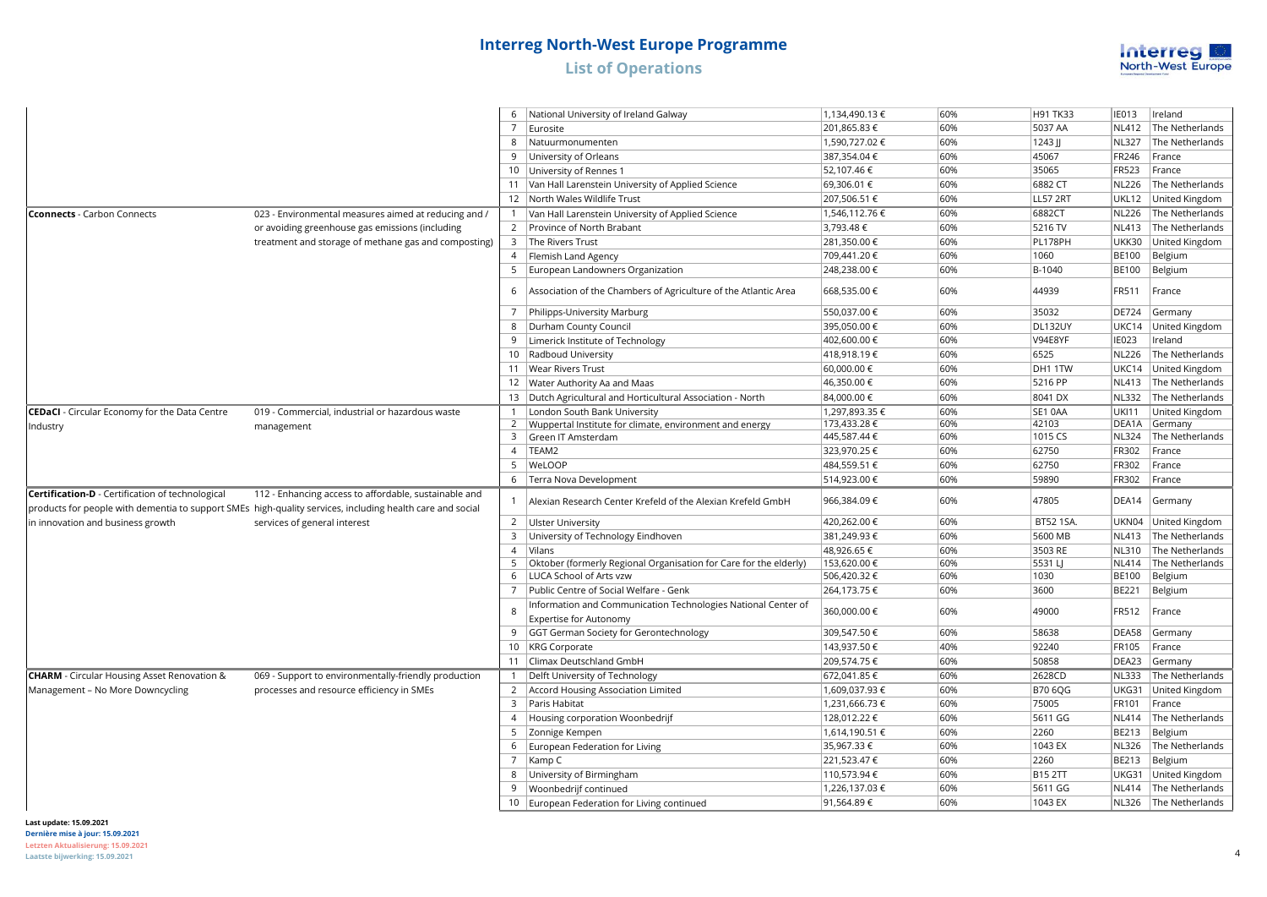

|                                                      |                                                                                                                                                                    |                | National University of Ireland Galway                                                          | 1,134,490.13 € | 60% | H91 TK33       | <b>IE013</b> | Ireland                 |
|------------------------------------------------------|--------------------------------------------------------------------------------------------------------------------------------------------------------------------|----------------|------------------------------------------------------------------------------------------------|----------------|-----|----------------|--------------|-------------------------|
|                                                      |                                                                                                                                                                    |                | 7 Eurosite                                                                                     | 201,865.83€    | 60% | 5037 AA        | <b>NL412</b> | The Netherlands         |
|                                                      |                                                                                                                                                                    | 8              | Natuurmonumenten                                                                               | 1,590,727.02€  | 60% | $1243$ JJ      | <b>NL327</b> | The Netherlands         |
|                                                      |                                                                                                                                                                    |                | 9 University of Orleans                                                                        | 387,354.04 €   | 60% | 45067          | FR246        | France                  |
|                                                      |                                                                                                                                                                    |                | 10   University of Rennes 1                                                                    | 52,107.46€     | 60% | 35065          | FR523        | France                  |
|                                                      |                                                                                                                                                                    |                | 11 Van Hall Larenstein University of Applied Science                                           | 69,306.01 €    | 60% | 6882 CT        | <b>NL226</b> | The Netherlands         |
|                                                      |                                                                                                                                                                    |                | 12   North Wales Wildlife Trust                                                                | 207,506.51 €   | 60% | LL57 2RT       | UKL12        | United Kingdom          |
| <b>Cconnects</b> - Carbon Connects                   | 023 - Environmental measures aimed at reducing and /                                                                                                               |                | 1   Van Hall Larenstein University of Applied Science                                          | 1,546,112.76 € | 60% | 6882CT         | <b>NL226</b> | The Netherlands         |
|                                                      | or avoiding greenhouse gas emissions (including                                                                                                                    |                | 2 Province of North Brabant                                                                    | 3,793.48€      | 60% | 5216 TV        | <b>NL413</b> | The Netherlands         |
|                                                      | treatment and storage of methane gas and composting)                                                                                                               |                | 3 The Rivers Trust                                                                             | 281,350.00 €   | 60% | PL178PH        | UKK30        | United Kingdom          |
|                                                      |                                                                                                                                                                    |                | 4   Flemish Land Agency                                                                        | 709,441.20€    | 60% | 1060           | <b>BE100</b> | Belgium                 |
|                                                      |                                                                                                                                                                    |                | 5   European Landowners Organization                                                           | 248,238.00 €   | 60% | B-1040         | <b>BE100</b> | Belgium                 |
|                                                      |                                                                                                                                                                    | 6              | Association of the Chambers of Agriculture of the Atlantic Area                                | 668,535.00 €   | 60% | 44939          | FR511        | France                  |
|                                                      |                                                                                                                                                                    |                | 7   Philipps-University Marburg                                                                | 550,037.00€    | 60% | 35032          | <b>DE724</b> | Germany                 |
|                                                      |                                                                                                                                                                    |                | 8   Durham County Council                                                                      | 395,050.00 €   | 60% | DL132UY        | UKC14        | United Kingdom          |
|                                                      |                                                                                                                                                                    | 9              | Limerick Institute of Technology                                                               | 402,600.00 €   | 60% | V94E8YF        | <b>IE023</b> | Ireland                 |
|                                                      |                                                                                                                                                                    |                | 10 Radboud University                                                                          | 418,918.19€    | 60% | 6525           | <b>NL226</b> | The Netherlands         |
|                                                      |                                                                                                                                                                    |                | 11   Wear Rivers Trust                                                                         | 60,000.00€     | 60% | DH1 1TW        | UKC14        | United Kingdom          |
|                                                      |                                                                                                                                                                    |                | 12   Water Authority Aa and Maas                                                               | 46,350.00 €    | 60% | 5216 PP        | <b>NL413</b> | The Netherlands         |
|                                                      |                                                                                                                                                                    |                | 13   Dutch Agricultural and Horticultural Association - North                                  | 84,000.00 €    | 60% | 8041 DX        | <b>NL332</b> | The Netherlands         |
| <b>CEDaCI</b> - Circular Economy for the Data Centre | 019 - Commercial, industrial or hazardous waste                                                                                                                    |                | 1   London South Bank University                                                               | 1,297,893.35 € | 60% | SE1 0AA        | <b>UKI11</b> | United Kingdom          |
| Industry                                             | management                                                                                                                                                         |                | 2  Wuppertal Institute for climate, environment and energy                                     | 173,433.28 €   | 60% | 42103          | DEA1A        | Germany                 |
|                                                      |                                                                                                                                                                    |                | 3 Green IT Amsterdam                                                                           | 445,587.44 €   | 60% | 1015 CS        | <b>NL324</b> | The Netherlands         |
|                                                      |                                                                                                                                                                    |                | 4   TEAM2                                                                                      | 323,970.25€    | 60% | 62750          | FR302        | France                  |
|                                                      |                                                                                                                                                                    | 5              | WeLOOP                                                                                         | 484,559.51 €   | 60% | 62750          | FR302        | France                  |
|                                                      |                                                                                                                                                                    |                | 6   Terra Nova Development                                                                     | 514,923.00 €   | 60% | 59890          | FR302        | France                  |
| Certification-D - Certification of technological     | 112 - Enhancing access to affordable, sustainable and<br>products for people with dementia to support SMEs high-quality services, including health care and social | $\mathbf{1}$   | Alexian Research Center Krefeld of the Alexian Krefeld GmbH                                    | 966,384.09€    | 60% | 47805          | DEA14        | Germany                 |
| in innovation and business growth                    | services of general interest                                                                                                                                       |                | 2 <b>Ulster University</b>                                                                     | 420,262.00 €   | 60% | BT52 1SA.      |              | UKN04 United Kingdom    |
|                                                      |                                                                                                                                                                    |                | 3 University of Technology Eindhoven                                                           | 381,249.93€    | 60% | 5600 MB        |              | NL413   The Netherlands |
|                                                      |                                                                                                                                                                    | $\overline{4}$ | Vilans                                                                                         | 48,926.65 €    | 60% | 3503 RE        |              | NL310 The Netherlands   |
|                                                      |                                                                                                                                                                    | .5             | Oktober (formerly Regional Organisation for Care for the elderly)                              | 153,620.00€    | 60% | 5531 LJ        | NL414        | The Netherlands         |
|                                                      |                                                                                                                                                                    | 6              | LUCA School of Arts vzw                                                                        | 506,420.32€    | 60% | 1030           | <b>BE100</b> | Belgium                 |
|                                                      |                                                                                                                                                                    | $\overline{7}$ | Public Centre of Social Welfare - Genk                                                         | 264,173.75€    | 60% | 3600           | <b>BE221</b> | Belgium                 |
|                                                      |                                                                                                                                                                    | 8              | Information and Communication Technologies National Center of<br><b>Expertise for Autonomy</b> | 360,000.00€    | 60% | 49000          | FR512        | France                  |
|                                                      |                                                                                                                                                                    |                | 9 GGT German Society for Gerontechnology                                                       | 309,547.50€    | 60% | 58638          | DEA58        | Germany                 |
|                                                      |                                                                                                                                                                    |                | 10   KRG Corporate                                                                             | 143,937.50 €   | 40% | 92240          | <b>FR105</b> | France                  |
|                                                      |                                                                                                                                                                    |                | 11   Climax Deutschland GmbH                                                                   | 209,574.75€    | 60% | 50858          | DEA23        | Germany                 |
| <b>CHARM</b> - Circular Housing Asset Renovation &   | 069 - Support to environmentally-friendly production                                                                                                               |                | 1   Delft University of Technology                                                             | 672,041.85€    | 60% | 2628CD         | <b>NL333</b> | The Netherlands         |
| Management - No More Downcycling                     | processes and resource efficiency in SMEs                                                                                                                          |                | 2   Accord Housing Association Limited                                                         | 1,609,037.93 € | 60% | <b>B70 6QG</b> | UKG31        | United Kingdom          |
|                                                      |                                                                                                                                                                    |                | 3   Paris Habitat                                                                              | 1,231,666.73 € | 60% | 75005          | <b>FR101</b> | France                  |
|                                                      |                                                                                                                                                                    |                | 4 Housing corporation Woonbedrijf                                                              | 128,012.22 €   | 60% | 5611 GG        | <b>NL414</b> | The Netherlands         |
|                                                      |                                                                                                                                                                    |                | 5 Zonnige Kempen                                                                               | 1,614,190.51 € | 60% | 2260           | <b>BE213</b> | Belgium                 |
|                                                      |                                                                                                                                                                    | 6              | European Federation for Living                                                                 | 35,967.33 €    | 60% | 1043 EX        | <b>NL326</b> | The Netherlands         |
|                                                      |                                                                                                                                                                    |                | 7   Kamp C                                                                                     | 221,523.47€    | 60% | 2260           | <b>BE213</b> | Belgium                 |
|                                                      |                                                                                                                                                                    | 8              | University of Birmingham                                                                       | 110,573.94 €   | 60% | <b>B15 2TT</b> | UKG31        | United Kingdom          |
|                                                      |                                                                                                                                                                    |                | 9   Woonbedrijf continued                                                                      | 1,226,137.03€  | 60% | 5611 GG        | <b>NL414</b> | The Netherlands         |
|                                                      |                                                                                                                                                                    |                | 10 European Federation for Living continued                                                    | 91,564.89€     | 60% | 1043 EX        |              | NL326 The Netherlands   |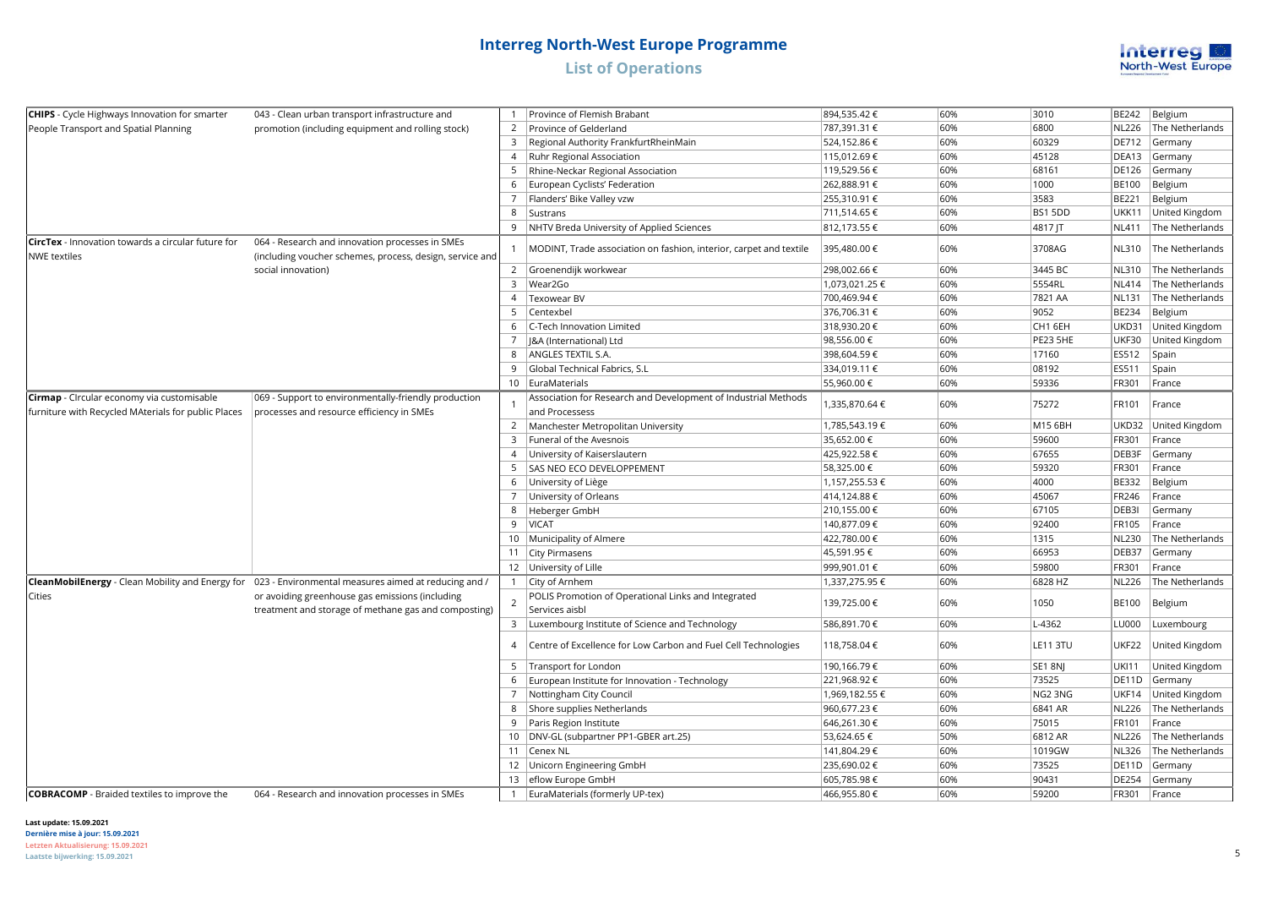

| <b>CHIPS</b> - Cycle Highways Innovation for smarter                                              | 043 - Clean urban transport infrastructure and                                                              |                | Province of Flemish Brabant                                                      | 894,535.42€    | 60% | 3010            | BE242        | Belgium         |
|---------------------------------------------------------------------------------------------------|-------------------------------------------------------------------------------------------------------------|----------------|----------------------------------------------------------------------------------|----------------|-----|-----------------|--------------|-----------------|
| People Transport and Spatial Planning                                                             | promotion (including equipment and rolling stock)                                                           |                | 2   Province of Gelderland                                                       | 787,391.31 €   | 60% | 6800            | <b>NL226</b> | The Netherlands |
|                                                                                                   |                                                                                                             | 3              | Regional Authority FrankfurtRheinMain                                            | 524,152.86 €   | 60% | 60329           | DE712        | Germany         |
|                                                                                                   |                                                                                                             |                | 4   Ruhr Regional Association                                                    | 115,012.69€    | 60% | 45128           | DEA13        | Germany         |
|                                                                                                   |                                                                                                             |                | 5   Rhine-Neckar Regional Association                                            | 119,529.56€    | 60% | 68161           | DE126        | Germany         |
|                                                                                                   |                                                                                                             |                | 6   European Cyclists' Federation                                                | 262,888.91 €   | 60% | 1000            | <b>BE100</b> | Belgium         |
|                                                                                                   |                                                                                                             | 7              | Flanders' Bike Valley vzw                                                        | 255,310.91 €   | 60% | 3583            | BE221        | Belgium         |
|                                                                                                   |                                                                                                             |                | 8   Sustrans                                                                     | 711,514.65 €   | 60% | BS1 5DD         | <b>UKK11</b> | United Kingdom  |
|                                                                                                   |                                                                                                             |                | 9   NHTV Breda University of Applied Sciences                                    | 812,173.55 €   | 60% | 4817 JT         | <b>NL411</b> | The Netherlands |
| <b>CircTex</b> - Innovation towards a circular future for<br><b>NWE textiles</b>                  | 064 - Research and innovation processes in SMEs<br>(including voucher schemes, process, design, service and |                | MODINT, Trade association on fashion, interior, carpet and textile               | 395,480.00 €   | 60% | 3708AG          | NL310        | The Netherlands |
|                                                                                                   | social innovation)                                                                                          |                | 2 Groenendijk workwear                                                           | 298,002.66 €   | 60% | 3445 BC         | NL310        | The Netherlands |
|                                                                                                   |                                                                                                             |                | 3  Wear2Go                                                                       | 1,073,021.25 € | 60% | 5554RL          | <b>NL414</b> | The Netherlands |
|                                                                                                   |                                                                                                             |                | 4   Texowear BV                                                                  | 700,469.94€    | 60% | 7821 AA         | <b>NL131</b> | The Netherlands |
|                                                                                                   |                                                                                                             |                | 5 Centexbel                                                                      | 376,706.31 €   | 60% | 9052            | <b>BE234</b> | Belgium         |
|                                                                                                   |                                                                                                             |                | 6   C-Tech Innovation Limited                                                    | 318,930.20€    | 60% | CH1 6EH         | UKD31        | United Kingdom  |
|                                                                                                   |                                                                                                             |                | &A (International) Ltd                                                           | 98,556.00 €    | 60% | PE23 5HE        | <b>UKF30</b> | United Kingdom  |
|                                                                                                   |                                                                                                             | 8              | ANGLES TEXTIL S.A.                                                               | 398,604.59€    | 60% | 17160           | ES512        | Spain           |
|                                                                                                   |                                                                                                             | 9              | Global Technical Fabrics, S.L                                                    | 334,019.11 €   | 60% | 08192           | ES511        | Spain           |
|                                                                                                   |                                                                                                             |                | 10 EuraMaterials                                                                 | 55,960.00 €    | 60% | 59336           | FR301        | France          |
| Cirmap - CIrcular economy via customisable<br>furniture with Recycled MAterials for public Places | 069 - Support to environmentally-friendly production<br>processes and resource efficiency in SMEs           |                | Association for Research and Development of Industrial Methods<br>and Processess | 1,335,870.64 € | 60% | 75272           | FR101        | France          |
|                                                                                                   |                                                                                                             |                | 2   Manchester Metropolitan University                                           | 1,785,543.19€  | 60% | M15 6BH         | UKD32        | United Kingdom  |
|                                                                                                   |                                                                                                             |                | 3   Funeral of the Avesnois                                                      | 35,652.00 €    | 60% | 59600           | FR301        | France          |
|                                                                                                   |                                                                                                             |                | 4 University of Kaiserslautern                                                   | 425,922.58€    | 60% | 67655           | DEB3F        | Germany         |
|                                                                                                   |                                                                                                             |                | 5 SAS NEO ECO DEVELOPPEMENT                                                      | 58,325.00 €    | 60% | 59320           | FR301        | France          |
|                                                                                                   |                                                                                                             |                | 6 University of Liège                                                            | 1,157,255.53€  | 60% | 4000            | <b>BE332</b> | Belgium         |
|                                                                                                   |                                                                                                             |                | 7   University of Orleans                                                        | 414,124.88 €   | 60% | 45067           | FR246        | France          |
|                                                                                                   |                                                                                                             |                | 8   Heberger GmbH                                                                | 210,155.00 €   | 60% | 67105           | DEB3I        | Germany         |
|                                                                                                   |                                                                                                             |                | 9 VICAT                                                                          | 140,877.09 €   | 60% | 92400           | FR105        | France          |
|                                                                                                   |                                                                                                             |                | 10 Municipality of Almere                                                        | 422,780.00 €   | 60% | 1315            | <b>NL230</b> | The Netherlands |
|                                                                                                   |                                                                                                             |                | 11   City Pirmasens                                                              | 45,591.95 €    | 60% | 66953           | DEB37        | Germany         |
|                                                                                                   |                                                                                                             |                | 12 University of Lille                                                           | 999,901.01 €   | 60% | 59800           | FR301        | France          |
|                                                                                                   | CleanMobilEnergy - Clean Mobility and Energy for 023 - Environmental measures aimed at reducing and /       | -1             | City of Arnhem                                                                   | 1,337,275.95 € | 60% | 6828 HZ         | <b>NL226</b> | The Netherlands |
| Cities                                                                                            | or avoiding greenhouse gas emissions (including<br>treatment and storage of methane gas and composting)     | $\overline{2}$ | POLIS Promotion of Operational Links and Integrated<br>Services aisbl            | 139,725.00 €   | 60% | 1050            | <b>BE100</b> | Belgium         |
|                                                                                                   |                                                                                                             |                | 3   Luxembourg Institute of Science and Technology                               | 586,891.70 €   | 60% | L-4362          | LU000        | Luxembourg      |
|                                                                                                   |                                                                                                             | $\overline{A}$ | Centre of Excellence for Low Carbon and Fuel Cell Technologies                   | 118,758.04 €   | 60% | <b>LE11 3TU</b> | UKF22        | United Kingdom  |
|                                                                                                   |                                                                                                             | 5              | Transport for London                                                             | 190,166.79€    | 60% | SE1 8NJ         | UKI11        | United Kingdom  |
|                                                                                                   |                                                                                                             | 6              | European Institute for Innovation - Technology                                   | 221,968.92€    | 60% | 73525           | DE11D        | Germany         |
|                                                                                                   |                                                                                                             |                | 7   Nottingham City Council                                                      | 1,969,182.55 € | 60% | NG2 3NG         | UKF14        | United Kingdom  |
|                                                                                                   |                                                                                                             | 8              | Shore supplies Netherlands                                                       | 960,677.23€    | 60% | 6841 AR         | <b>NL226</b> | The Netherlands |
|                                                                                                   |                                                                                                             |                | 9   Paris Region Institute                                                       | 646,261.30 €   | 60% | 75015           | FR101        | France          |
|                                                                                                   |                                                                                                             |                | 10   DNV-GL (subpartner PP1-GBER art.25)                                         | 53,624.65 €    | 50% | 6812 AR         | <b>NL226</b> | The Netherlands |
|                                                                                                   |                                                                                                             |                | 11   Cenex NL                                                                    | 141,804.29€    | 60% | 1019GW          | <b>NL326</b> | The Netherlands |
|                                                                                                   |                                                                                                             |                | 12   Unicorn Engineering GmbH                                                    | 235,690.02€    | 60% | 73525           | DE11D        | Germany         |
|                                                                                                   |                                                                                                             |                | 13 eflow Europe GmbH                                                             | 605,785.98€    | 60% | 90431           | DE254        | Germany         |
| <b>COBRACOMP</b> - Braided textiles to improve the                                                | 064 - Research and innovation processes in SMEs                                                             |                | 1   EuraMaterials (formerly UP-tex)                                              | 466,955.80 €   | 60% | 59200           | FR301        | France          |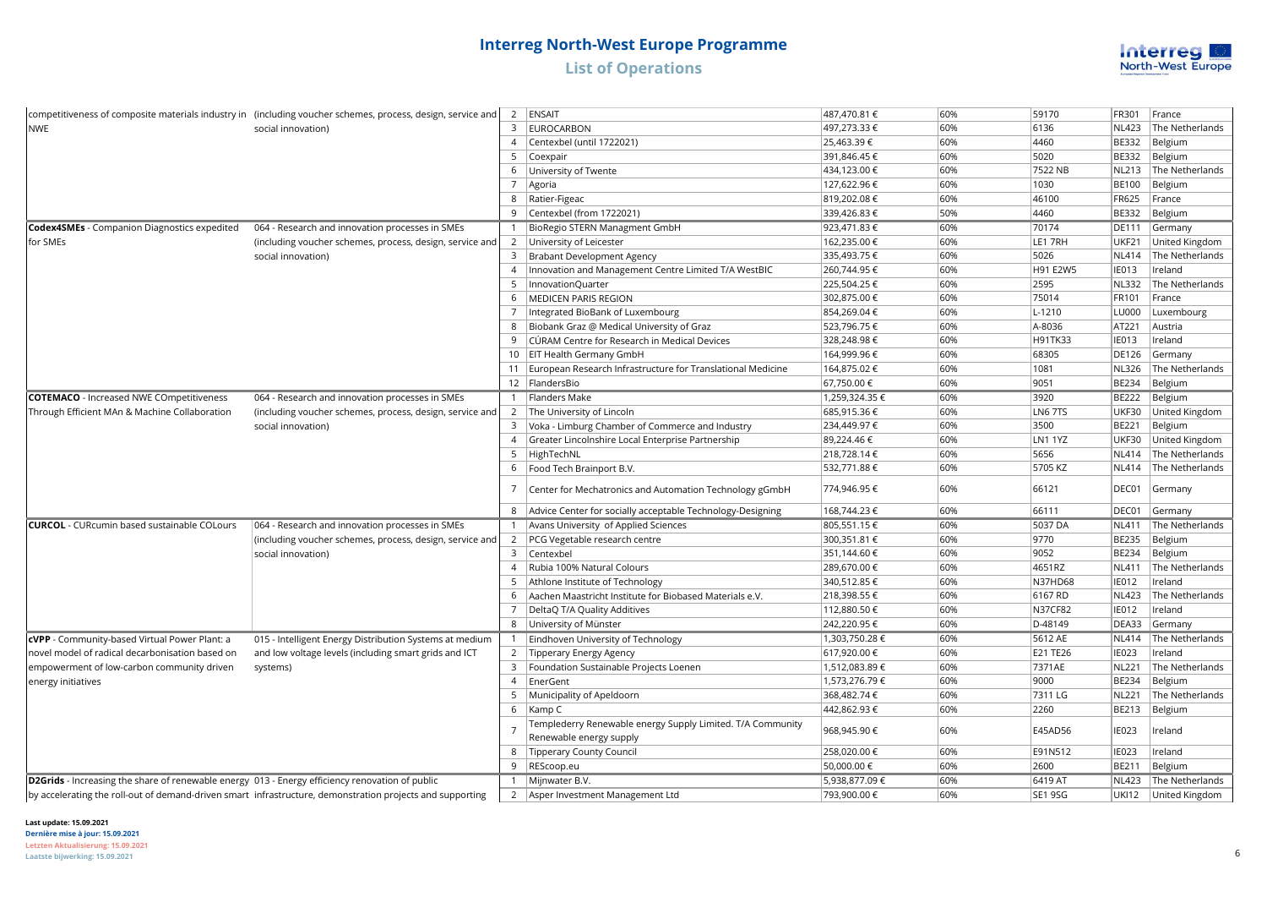

|                                                                                                 | competitiveness of composite materials industry in (including voucher schemes, process, design, service and | $\overline{2}$ | ENSAIT                                                         | 487,470.81 €   | 60% | 59170          | FR301        | France               |
|-------------------------------------------------------------------------------------------------|-------------------------------------------------------------------------------------------------------------|----------------|----------------------------------------------------------------|----------------|-----|----------------|--------------|----------------------|
| <b>NWE</b>                                                                                      | social innovation)                                                                                          | 3              | EUROCARBON                                                     | 497,273.33 €   | 60% | 6136           | <b>NL423</b> | The Netherlands      |
|                                                                                                 |                                                                                                             | $\overline{4}$ | Centexbel (until 1722021)                                      | 25,463.39€     | 60% | 4460           | BE332        | Belgium              |
|                                                                                                 |                                                                                                             | 5              | Coexpair                                                       | 391,846.45€    | 60% | 5020           | BE332        | Belgium              |
|                                                                                                 |                                                                                                             | 6              | University of Twente                                           | 434,123.00 €   | 60% | 7522 NB        | <b>NL213</b> | The Netherlands      |
|                                                                                                 |                                                                                                             | $\overline{7}$ | Agoria                                                         | 127,622.96€    | 60% | 1030           | <b>BE100</b> | Belgium              |
|                                                                                                 |                                                                                                             | 8              | Ratier-Figeac                                                  | 819,202.08€    | 60% | 46100          | FR625        | France               |
|                                                                                                 |                                                                                                             | 9              | Centexbel (from 1722021)                                       | 339,426.83 €   | 50% | 4460           | <b>BE332</b> | Belgium              |
| <b>Codex4SMEs</b> - Companion Diagnostics expedited                                             | 064 - Research and innovation processes in SMEs                                                             |                | BioRegio STERN Managment GmbH                                  | 923,471.83 €   | 60% | 70174          | <b>DE111</b> | Germany              |
| for SMEs                                                                                        | (including voucher schemes, process, design, service and                                                    | $\overline{2}$ | University of Leicester                                        | 162,235.00 €   | 60% | LE1 7RH        | <b>UKF21</b> | United Kingdom       |
|                                                                                                 | social innovation)                                                                                          | 3              | Brabant Development Agency                                     | 335,493.75€    | 60% | 5026           | <b>NL414</b> | The Netherlands      |
|                                                                                                 |                                                                                                             | $\overline{4}$ | Innovation and Management Centre Limited T/A WestBIC           | 260,744.95€    | 60% | H91 E2W5       | <b>IE013</b> | Ireland              |
|                                                                                                 |                                                                                                             | 5              | InnovationQuarter                                              | 225,504.25€    | 60% | 2595           | <b>NL332</b> | The Netherlands      |
|                                                                                                 |                                                                                                             | 6              | <b>MEDICEN PARIS REGION</b>                                    | 302,875.00 €   | 60% | 75014          | FR101        | France               |
|                                                                                                 |                                                                                                             | 7              | Integrated BioBank of Luxembourg                               | 854,269.04€    | 60% | L-1210         | LU000        | Luxembourg           |
|                                                                                                 |                                                                                                             | 8              | Biobank Graz @ Medical University of Graz                      | 523,796.75€    | 60% | A-8036         | AT221        | Austria              |
|                                                                                                 |                                                                                                             | 9              | CÚRAM Centre for Research in Medical Devices                   | 328,248.98€    | 60% | H91TK33        | <b>IE013</b> | Ireland              |
|                                                                                                 |                                                                                                             |                | 10   EIT Health Germany GmbH                                   | 164,999.96€    | 60% | 68305          | DE126        | Germany              |
|                                                                                                 |                                                                                                             |                | 11 European Research Infrastructure for Translational Medicine | 164,875.02 €   | 60% | 1081           | <b>NL326</b> | The Netherlands      |
|                                                                                                 |                                                                                                             |                | 12 FlandersBio                                                 | 67,750.00 €    | 60% | 9051           | <b>BE234</b> | Belgium              |
| <b>COTEMACO</b> - Increased NWE COmpetitiveness                                                 | 064 - Research and innovation processes in SMEs                                                             |                | 1   Flanders Make                                              | 1,259,324.35 € | 60% | 3920           | <b>BE222</b> | Belgium              |
| Through Efficient MAn & Machine Collaboration                                                   | (including voucher schemes, process, design, service and                                                    | $\overline{2}$ | The University of Lincoln                                      | 685,915.36€    | 60% | <b>LN6 7TS</b> | <b>UKF30</b> | United Kingdom       |
|                                                                                                 | social innovation)                                                                                          | 3              | Voka - Limburg Chamber of Commerce and Industry                | 234,449.97€    | 60% | 3500           | BE221        | Belgium              |
|                                                                                                 |                                                                                                             | $\overline{4}$ | Greater Lincolnshire Local Enterprise Partnership              | 89,224.46€     | 60% | <b>LN1 1YZ</b> | UKF30        | United Kingdom       |
|                                                                                                 |                                                                                                             | 5              | HighTechNL                                                     | 218,728.14€    | 60% | 5656           | <b>NL414</b> | The Netherlands      |
|                                                                                                 |                                                                                                             | 6              | Food Tech Brainport B.V.                                       | 532,771.88 €   | 60% | 5705 KZ        | <b>NL414</b> | The Netherlands      |
|                                                                                                 |                                                                                                             | 7              | Center for Mechatronics and Automation Technology gGmbH        | 774,946.95€    | 60% | 66121          | DEC01        | Germany              |
|                                                                                                 |                                                                                                             | 8              | Advice Center for socially acceptable Technology-Designing     | 168,744.23 €   | 60% | 66111          | DEC01        | Germany              |
| <b>CURCOL</b> - CURcumin based sustainable COLours                                              | 064 - Research and innovation processes in SMEs                                                             |                | Avans University of Applied Sciences                           | 805,551.15€    | 60% | 5037 DA        | <b>NL411</b> | The Netherlands      |
|                                                                                                 | (including voucher schemes, process, design, service and                                                    |                | 2   PCG Vegetable research centre                              | 300,351.81 €   | 60% | 9770           | <b>BE235</b> | Belgium              |
|                                                                                                 | social innovation)                                                                                          | $\overline{3}$ | Centexbel                                                      | 351,144.60 €   | 60% | 9052           | BE234        | Belgium              |
|                                                                                                 |                                                                                                             | $\overline{4}$ | Rubia 100% Natural Colours                                     | 289,670.00 €   | 60% | 4651RZ         | <b>NL411</b> | The Netherlands      |
|                                                                                                 |                                                                                                             | 5              | Athlone Institute of Technology                                | 340,512.85€    | 60% | N37HD68        | <b>IE012</b> | Ireland              |
|                                                                                                 |                                                                                                             | 6              | Aachen Maastricht Institute for Biobased Materials e.V.        | 218,398.55€    | 60% | 6167 RD        | <b>NL423</b> | The Netherlands      |
|                                                                                                 |                                                                                                             | $\overline{7}$ | DeltaQ T/A Quality Additives                                   | 112,880.50 €   | 60% | <b>N37CF82</b> | <b>IE012</b> | Ireland              |
|                                                                                                 |                                                                                                             | 8              | University of Münster                                          | 242,220.95€    | 60% | D-48149        | DEA33        | Germany              |
| cVPP - Community-based Virtual Power Plant: a                                                   | 015 - Intelligent Energy Distribution Systems at medium                                                     | $\overline{1}$ | Eindhoven University of Technology                             | 1,303,750.28 € | 60% | 5612 AE        | <b>NL414</b> | The Netherlands      |
| novel model of radical decarbonisation based on                                                 | and low voltage levels (including smart grids and ICT                                                       | $\overline{2}$ | Tipperary Energy Agency                                        | 617,920.00€    | 60% | E21 TE26       | <b>IE023</b> | Ireland              |
| empowerment of low-carbon community driven                                                      | systems)                                                                                                    | $\overline{3}$ | Foundation Sustainable Projects Loenen                         | 1,512,083.89€  | 60% | 7371AE         | <b>NL221</b> | The Netherlands      |
| energy initiatives                                                                              |                                                                                                             | $\overline{4}$ | EnerGent                                                       | 1,573,276.79€  | 60% | 9000           | BE234        | Belgium              |
|                                                                                                 |                                                                                                             |                | 5   Municipality of Apeldoorn                                  | 368,482.74 €   | 60% | 7311 LG        | <b>NL221</b> | The Netherlands      |
|                                                                                                 |                                                                                                             | 6              | Kamp C                                                         | 442,862.93 €   | 60% | 2260           | BE213        | Belgium              |
|                                                                                                 |                                                                                                             |                | Templederry Renewable energy Supply Limited. T/A Community     |                |     |                |              |                      |
|                                                                                                 |                                                                                                             |                | Renewable energy supply                                        | 968,945.90€    | 60% | E45AD56        | IE023        | Ireland              |
|                                                                                                 |                                                                                                             | 8              | Tipperary County Council                                       | 258,020.00€    | 60% | E91N512        | <b>IE023</b> | Ireland              |
|                                                                                                 |                                                                                                             | 9              | REScoop.eu                                                     | 50,000.00 €    | 60% | 2600           | BE211        | Belgium              |
| D2Grids - Increasing the share of renewable energy 013 - Energy efficiency renovation of public |                                                                                                             |                | Mijnwater B.V.                                                 | 5,938,877.09 € | 60% | 6419 AT        | <b>NL423</b> | The Netherlands      |
|                                                                                                 | by accelerating the roll-out of demand-driven smart infrastructure, demonstration projects and supporting   | $\overline{2}$ | Asper Investment Management Ltd                                | 793.900.00 €   | 60% | <b>SE1 9SG</b> |              | UKI12 United Kingdom |
|                                                                                                 |                                                                                                             |                |                                                                |                |     |                |              |                      |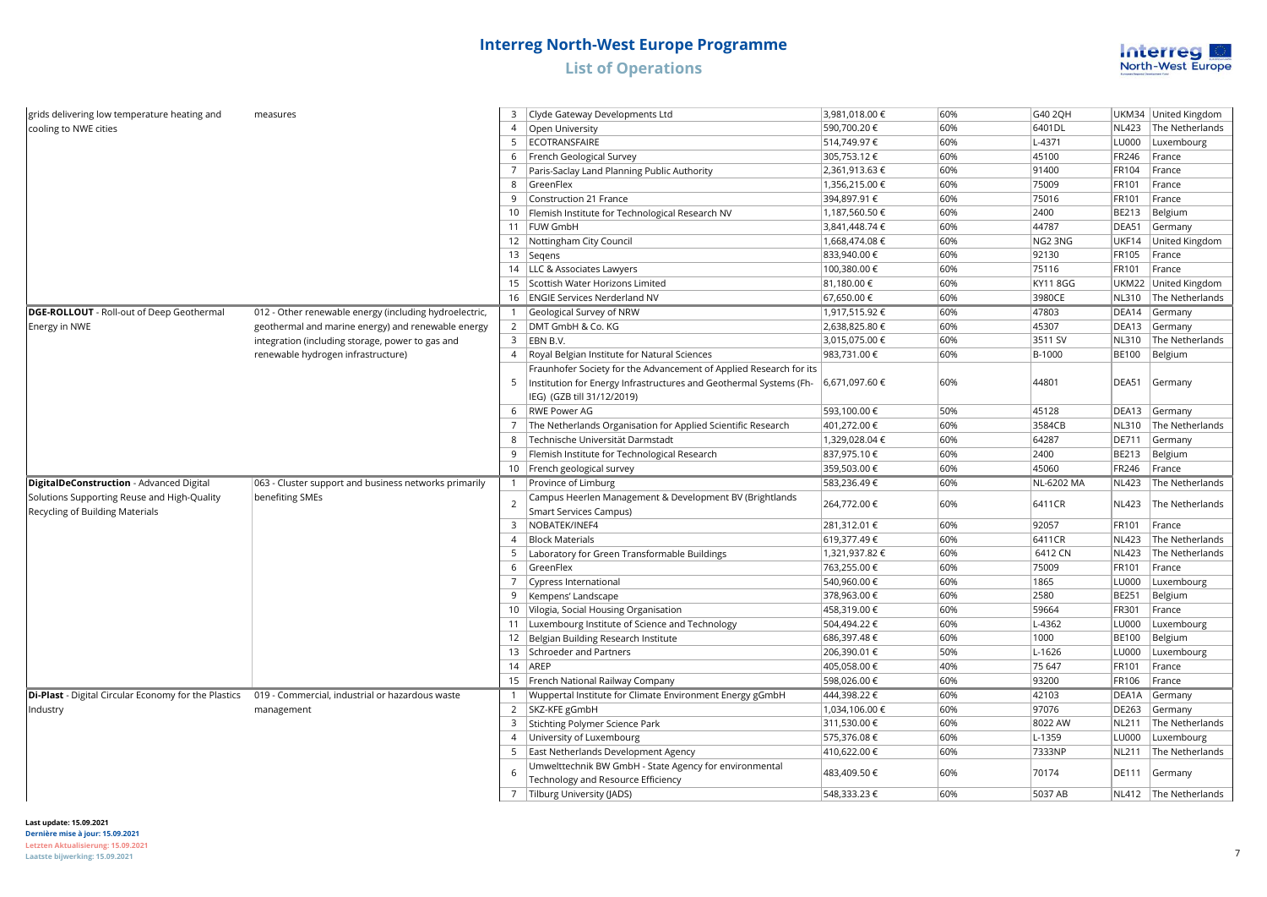

| grids delivering low temperature heating and                                   | measures                                               |                | 3 Clyde Gateway Developments Ltd                                                                 | 3,981,018.00 € | 60% | G40 2QH           |              | UKM34 United Kingdom    |
|--------------------------------------------------------------------------------|--------------------------------------------------------|----------------|--------------------------------------------------------------------------------------------------|----------------|-----|-------------------|--------------|-------------------------|
| cooling to NWE cities                                                          |                                                        |                | 4 Open University                                                                                | 590,700.20€    | 60% | 6401DL            |              | NL423   The Netherlands |
|                                                                                |                                                        |                | 5 ECOTRANSFAIRE                                                                                  | 514,749.97€    | 60% | L-4371            | LU000        | Luxembourg              |
|                                                                                |                                                        | 6              | French Geological Survey                                                                         | 305,753.12€    | 60% | 45100             | FR246        | France                  |
|                                                                                |                                                        |                | Paris-Saclay Land Planning Public Authority                                                      | 2,361,913.63€  | 60% | 91400             | FR104        | France                  |
|                                                                                |                                                        | 8              | GreenFlex                                                                                        | 1,356,215.00 € | 60% | 75009             | FR101        | France                  |
|                                                                                |                                                        | 9              | Construction 21 France                                                                           | 394,897.91 €   | 60% | 75016             | FR101        | France                  |
|                                                                                |                                                        |                | 10   Flemish Institute for Technological Research NV                                             | 1,187,560.50€  | 60% | 2400              | BE213        | Belgium                 |
|                                                                                |                                                        |                | 11 FUW GmbH                                                                                      | 3,841,448.74€  | 60% | 44787             | DEA51        | Germany                 |
|                                                                                |                                                        |                | 12   Nottingham City Council                                                                     | 1,668,474.08 € | 60% | NG2 3NG           | UKF14        | United Kingdom          |
|                                                                                |                                                        |                | 13   Segens                                                                                      | 833,940.00 €   | 60% | 92130             | FR105        | France                  |
|                                                                                |                                                        |                | 14   LLC & Associates Lawyers                                                                    | 100,380.00 €   | 60% | 75116             | FR101        | France                  |
|                                                                                |                                                        |                | 15 Scottish Water Horizons Limited                                                               | 81,180.00 €    | 60% | <b>KY11 8GG</b>   |              | UKM22 United Kingdom    |
|                                                                                |                                                        |                | 16   ENGIE Services Nerderland NV                                                                | 67,650.00 €    | 60% | 3980CE            | <b>NL310</b> | The Netherlands         |
| DGE-ROLLOUT - Roll-out of Deep Geothermal                                      | 012 - Other renewable energy (including hydroelectric, | -1             | Geological Survey of NRW                                                                         | 1,917,515.92 € | 60% | 47803             |              | DEA14 Germany           |
| Energy in NWE                                                                  | geothermal and marine energy) and renewable energy     |                | 2   DMT GmbH & Co. KG                                                                            | 2,638,825.80 € | 60% | 45307             |              | DEA13 Germany           |
|                                                                                | integration (including storage, power to gas and       |                | $3$ EBN B.V.                                                                                     | 3,015,075.00 € | 60% | 3511 SV           |              | NL310   The Netherlands |
|                                                                                | renewable hydrogen infrastructure)                     | $\overline{4}$ | Royal Belgian Institute for Natural Sciences                                                     | 983,731.00 €   | 60% | B-1000            | <b>BE100</b> | Belgium                 |
|                                                                                |                                                        |                | Fraunhofer Society for the Advancement of Applied Research for its                               |                |     |                   |              |                         |
|                                                                                |                                                        | 5              | Institution for Energy Infrastructures and Geothermal Systems (Fh-<br>IEG) (GZB till 31/12/2019) | 6,671,097.60€  | 60% | 44801             | DEA51        | Germany                 |
|                                                                                |                                                        | 6              | <b>RWE Power AG</b>                                                                              | 593,100.00 €   | 50% | 45128             | DEA13        | Germany                 |
|                                                                                |                                                        |                | 7 The Netherlands Organisation for Applied Scientific Research                                   | 401,272.00 €   | 60% | 3584CB            | <b>NL310</b> | The Netherlands         |
|                                                                                |                                                        | 8              | Technische Universität Darmstadt                                                                 | 1,329,028.04 € | 60% | 64287             | DE711        | Germany                 |
|                                                                                |                                                        |                | 9   Flemish Institute for Technological Research                                                 | 837,975.10 €   | 60% | 2400              | BE213        | Belgium                 |
|                                                                                |                                                        |                | 10   French geological survey                                                                    | 359,503.00 €   | 60% | 45060             | FR246        | France                  |
| DigitalDeConstruction - Advanced Digital                                       | 063 - Cluster support and business networks primarily  |                | 1 Province of Limburg                                                                            | 583,236.49€    | 60% | <b>NL-6202 MA</b> | <b>NL423</b> | The Netherlands         |
| Solutions Supporting Reuse and High-Quality<br>Recycling of Building Materials | benefiting SMEs                                        | $\overline{2}$ | Campus Heerlen Management & Development BV (Brightlands<br><b>Smart Services Campus)</b>         | 264,772.00 €   | 60% | 6411CR            | <b>NL423</b> | The Netherlands         |
|                                                                                |                                                        |                | 3   NOBATEK/INEF4                                                                                | 281,312.01 €   | 60% | 92057             | FR101        | France                  |
|                                                                                |                                                        | $\overline{4}$ | <b>Block Materials</b>                                                                           | 619,377.49€    | 60% | 6411CR            | <b>NL423</b> | The Netherlands         |
|                                                                                |                                                        | 5              | Laboratory for Green Transformable Buildings                                                     | 1,321,937.82 € | 60% | 6412 CN           | <b>NL423</b> | The Netherlands         |
|                                                                                |                                                        | 6              | GreenFlex                                                                                        | 763,255.00 €   | 60% | 75009             | FR101        | France                  |
|                                                                                |                                                        |                | 7   Cypress International                                                                        | 540,960.00 €   | 60% | 1865              | LU000        | Luxembourg              |
|                                                                                |                                                        | 9              | Kempens' Landscape                                                                               | 378,963.00 €   | 60% | 2580              | <b>BE251</b> | Belgium                 |
|                                                                                |                                                        |                | 10 Vilogia, Social Housing Organisation                                                          | 458,319.00 €   | 60% | 59664             | FR301        | France                  |
|                                                                                |                                                        |                | 11 Luxembourg Institute of Science and Technology                                                | 504,494.22€    | 60% | L-4362            | LU000        | Luxembourg              |
|                                                                                |                                                        |                | 12 Belgian Building Research Institute                                                           | 686,397.48€    | 60% | 1000              | <b>BE100</b> | Belgium                 |
|                                                                                |                                                        |                | 13 Schroeder and Partners                                                                        | 206,390.01 €   | 50% | L-1626            | LU000        | Luxembourg              |
|                                                                                |                                                        |                | 14 AREP                                                                                          | 405,058.00 €   | 40% | 75 647            | FR101        | France                  |
|                                                                                |                                                        |                | 15   French National Railway Company                                                             | 598,026.00 €   | 60% | 93200             | FR106        | France                  |
| Di-Plast - Digital Circular Economy for the Plastics                           | 019 - Commercial, industrial or hazardous waste        |                | 1   Wuppertal Institute for Climate Environment Energy gGmbH                                     | 444,398.22 €   | 60% | 42103             | DEA1A        | Germany                 |
| Industry                                                                       | management                                             |                | 2 SKZ-KFE gGmbH                                                                                  | 1,034,106.00 € | 60% | 97076             | DE263        | Germany                 |
|                                                                                |                                                        |                | 3 Stichting Polymer Science Park                                                                 | 311,530.00 €   | 60% | 8022 AW           | <b>NL211</b> | The Netherlands         |
|                                                                                |                                                        |                | 4 University of Luxembourg                                                                       | 575,376.08€    | 60% | L-1359            | LU000        | Luxembourg              |
|                                                                                |                                                        |                | 5   East Netherlands Development Agency                                                          | 410,622.00 €   | 60% | 7333NP            | <b>NL211</b> | The Netherlands         |
|                                                                                |                                                        |                | Umwelttechnik BW GmbH - State Agency for environmental                                           |                |     |                   |              |                         |
|                                                                                |                                                        | 6              | Technology and Resource Efficiency                                                               | 483,409.50 €   | 60% | 70174             | DE111        | Germany                 |
|                                                                                |                                                        |                | 7 Tilburg University (JADS)                                                                      | 548.333.23 €   | 60% | 5037 AB           |              | NL412 The Netherlands   |

**Last update: 15.09.2021 Dernière mise à jour: 15.09.2021 Letzten Aktualisierung: 15.09.2021**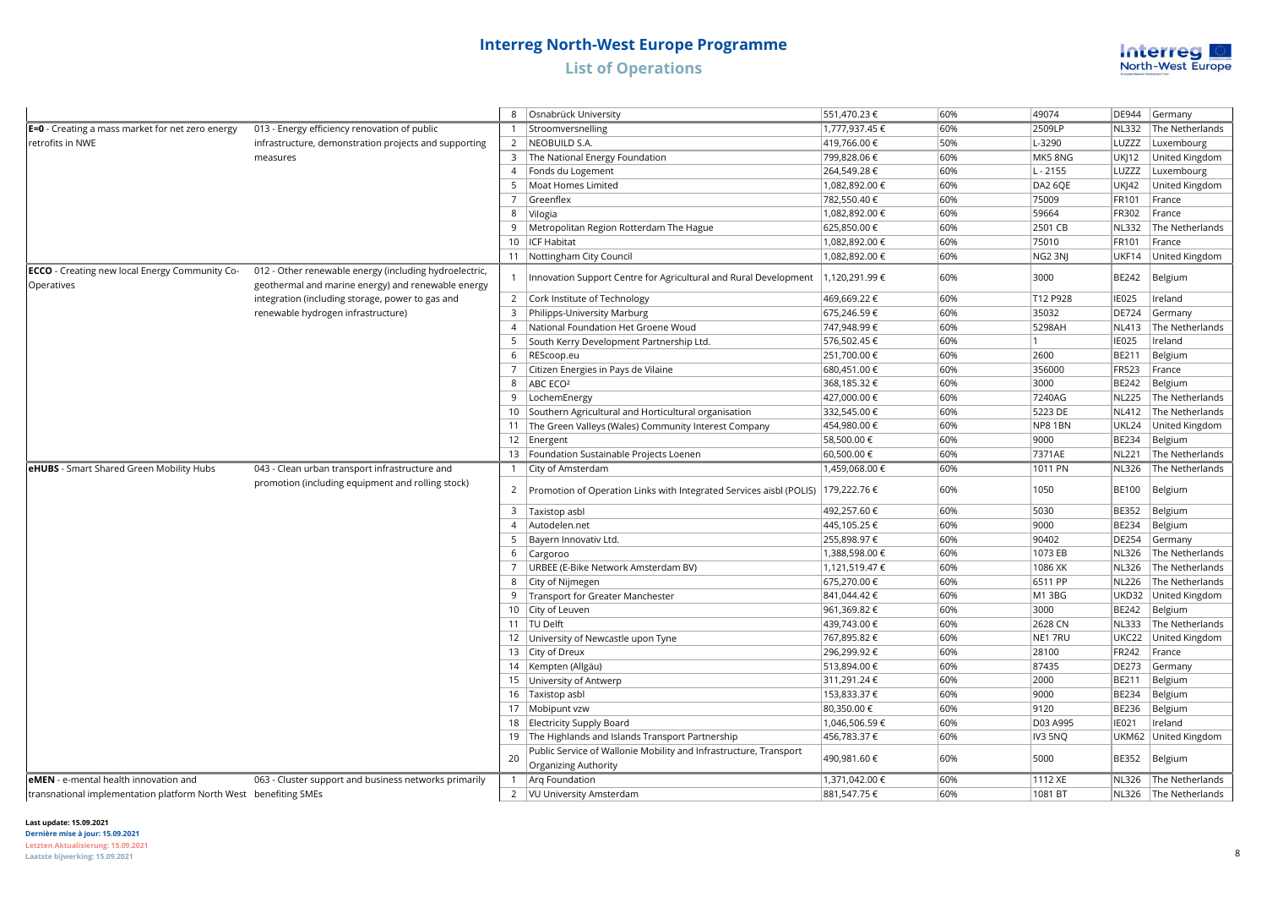

|                                                                     |                                                                                                              |                                                                                           | Osnabrück University                                                                        | 551,470.23€    | 60%  | 49074      | DE944        | Germany               |
|---------------------------------------------------------------------|--------------------------------------------------------------------------------------------------------------|-------------------------------------------------------------------------------------------|---------------------------------------------------------------------------------------------|----------------|------|------------|--------------|-----------------------|
| E=0 - Creating a mass market for net zero energy                    | 013 - Energy efficiency renovation of public                                                                 |                                                                                           | 1 Stroomversnelling                                                                         | 1,777,937.45 € | 60%  | 2509LP     | <b>NL332</b> | The Netherlands       |
| retrofits in NWE                                                    | infrastructure, demonstration projects and supporting                                                        |                                                                                           | 2   NEOBUILD S.A.                                                                           | 419,766.00 €   | 50%  | L-3290     | LUZZZ        | Luxembourg            |
|                                                                     | measures                                                                                                     |                                                                                           | 3 The National Energy Foundation                                                            | 799,828.06 €   | 60%  | MK58NG     | <b>UKJ12</b> | United Kingdom        |
|                                                                     |                                                                                                              |                                                                                           | 4   Fonds du Logement                                                                       | 264,549.28€    | 60%  | $L - 2155$ | LUZZZ        | Luxembourg            |
|                                                                     |                                                                                                              |                                                                                           | 5   Moat Homes Limited                                                                      | 1,082,892.00 € | 60%  | DA2 6QE    | <b>UKJ42</b> | United Kingdom        |
|                                                                     |                                                                                                              | $\overline{7}$                                                                            | Greenflex                                                                                   | 782,550.40 €   | 60%  | 75009      | FR101        | France                |
|                                                                     |                                                                                                              |                                                                                           | 8 Vilogia                                                                                   | 1,082,892.00 € | 60%  | 59664      | FR302        | France                |
|                                                                     |                                                                                                              |                                                                                           | Metropolitan Region Rotterdam The Hague                                                     | 625,850.00 €   | 60%  | 2501 CB    | <b>NL332</b> | The Netherlands       |
|                                                                     |                                                                                                              |                                                                                           | 10   ICF Habitat                                                                            | 1,082,892.00 € | 60%  | 75010      | FR101        | France                |
|                                                                     |                                                                                                              |                                                                                           | 11   Nottingham City Council                                                                | 1,082,892.00 € | 60%  | NG2 3NJ    | UKF14        | United Kingdom        |
| <b>ECCO</b> - Creating new local Energy Community Co-<br>Operatives | 012 - Other renewable energy (including hydroelectric,<br>geothermal and marine energy) and renewable energy |                                                                                           | Innovation Support Centre for Agricultural and Rural Development                            | 1,120,291.99€  | 60%  | 3000       | BE242        | Belgium               |
|                                                                     | integration (including storage, power to gas and                                                             |                                                                                           | 2 Cork Institute of Technology                                                              | 469,669.22€    | 60%  | T12 P928   | <b>IE025</b> | Ireland               |
|                                                                     | renewable hydrogen infrastructure)                                                                           |                                                                                           | 3 Philipps-University Marburg                                                               | 675,246.59€    | 60%  | 35032      | DE724        | Germany               |
|                                                                     |                                                                                                              |                                                                                           | 4   National Foundation Het Groene Woud                                                     | 747,948.99 €   | 60%  | 5298AH     | <b>NL413</b> | The Netherlands       |
|                                                                     |                                                                                                              |                                                                                           | 5   South Kerry Development Partnership Ltd.                                                | 576,502.45 €   | 60%  | 1          | <b>IE025</b> | Ireland               |
|                                                                     |                                                                                                              | 6                                                                                         | REScoop.eu                                                                                  | 251,700.00 €   | 60%  | 2600       | BE211        | Belgium               |
|                                                                     |                                                                                                              |                                                                                           | 7 Citizen Energies in Pays de Vilaine                                                       | 680,451.00 €   | 60%  | 356000     | FR523        | France                |
|                                                                     |                                                                                                              | 8                                                                                         | ABC ECO <sup>2</sup>                                                                        | 368,185.32€    | 60%  | 3000       | BE242        | Belgium               |
|                                                                     |                                                                                                              |                                                                                           | 9  LochemEnergy                                                                             | 427,000.00 €   | 60%  | 7240AG     | <b>NL225</b> | The Netherlands       |
|                                                                     |                                                                                                              |                                                                                           | 10 Southern Agricultural and Horticultural organisation                                     | 332,545.00 €   | 60%  | 5223 DE    | <b>NL412</b> | The Netherlands       |
|                                                                     |                                                                                                              |                                                                                           | 11 The Green Valleys (Wales) Community Interest Company                                     | 454,980.00 €   | 60%  | NP81BN     | UKL24        | United Kingdom        |
|                                                                     |                                                                                                              |                                                                                           | 12   Energent                                                                               | 58,500.00 €    | 60%  | 9000       | <b>BE234</b> | Belgium               |
|                                                                     |                                                                                                              |                                                                                           | 13   Foundation Sustainable Projects Loenen                                                 | 60,500.00 €    | 60%  | 7371AE     | <b>NL221</b> | The Netherlands       |
| eHUBS - Smart Shared Green Mobility Hubs                            | 043 - Clean urban transport infrastructure and                                                               |                                                                                           | 1   City of Amsterdam                                                                       | 1,459,068.00 € | 60%  | 1011 PN    | <b>NL326</b> | The Netherlands       |
|                                                                     | promotion (including equipment and rolling stock)                                                            | $\overline{2}$                                                                            | Promotion of Operation Links with Integrated Services aisbl (POLIS)   179,222.76 $\epsilon$ |                | 60%  | 1050       | <b>BE100</b> | Belgium               |
|                                                                     |                                                                                                              |                                                                                           | 3 Taxistop asbl                                                                             | 492,257.60 €   | 60%  | 5030       | <b>BE352</b> | Belgium               |
|                                                                     |                                                                                                              |                                                                                           | 4 Autodelen.net                                                                             | 445,105.25€    | 60%  | 9000       | <b>BE234</b> | Belgium               |
|                                                                     |                                                                                                              |                                                                                           | 5 Bayern Innovativ Ltd.                                                                     | 255,898.97€    | 60%  | 90402      | DE254        | Germany               |
|                                                                     |                                                                                                              |                                                                                           | 6 Cargoroo                                                                                  | 1,388,598.00 € | 60%  | 1073 EB    | <b>NL326</b> | The Netherlands       |
|                                                                     |                                                                                                              |                                                                                           | 7   URBEE (E-Bike Network Amsterdam BV)                                                     | 1,121,519.47 € | 60%  | 1086 XK    | <b>NL326</b> | The Netherlands       |
|                                                                     |                                                                                                              |                                                                                           | 8 City of Nijmegen                                                                          | 675,270.00 €   | 60%  | 6511 PP    | <b>NL226</b> | The Netherlands       |
|                                                                     |                                                                                                              |                                                                                           | 9   Transport for Greater Manchester                                                        | 841,044.42€    | 60%  | M1 3BG     | UKD32        | United Kingdom        |
|                                                                     |                                                                                                              |                                                                                           | 10 City of Leuven                                                                           | 961,369.82€    | 60%  | 3000       | BE242        | Belgium               |
|                                                                     |                                                                                                              |                                                                                           | 11  TU Delft                                                                                | 439,743.00 €   | 60%  | 2628 CN    | <b>NL333</b> | The Netherlands       |
|                                                                     |                                                                                                              |                                                                                           | 12 University of Newcastle upon Tyne                                                        | 767,895.82 €   | 60%  | NE1 7RU    | UKC22        | United Kingdom        |
|                                                                     |                                                                                                              |                                                                                           | 13 City of Dreux                                                                            | 296,299.92€    | 60%  | 28100      | FR242        | France                |
|                                                                     |                                                                                                              |                                                                                           | 14   Kempten (Allgäu)                                                                       | 513,894.00 €   | 60%  | 87435      | <b>DE273</b> | Germany               |
|                                                                     |                                                                                                              |                                                                                           | 15 University of Antwerp                                                                    | 311,291.24 €   | 60%  | 2000       | BE211        | Belgium               |
|                                                                     |                                                                                                              |                                                                                           | 16 Taxistop asbl                                                                            | 153,833.37 €   | 60%  | 9000       | <b>BE234</b> | Belgium               |
|                                                                     |                                                                                                              |                                                                                           | 17   Mobipunt vzw                                                                           | 80,350.00 €    | 60%  | 9120       | BE236        | Belgium               |
|                                                                     |                                                                                                              |                                                                                           | 18 Electricity Supply Board                                                                 | 1,046,506.59€  | 60%  | D03 A995   | IE021        | Ireland               |
|                                                                     |                                                                                                              |                                                                                           | 19 The Highlands and Islands Transport Partnership                                          | 456,783.37 €   | 60%  | IV3 5NQ    | UKM62        | United Kingdom        |
|                                                                     | 20                                                                                                           | Public Service of Wallonie Mobility and Infrastructure, Transport<br>Organizing Authority | 490,981.60 €                                                                                | 60%            | 5000 | BE352      | Belgium      |                       |
| eMEN - e-mental health innovation and                               | 063 - Cluster support and business networks primarily                                                        |                                                                                           | 1   Arg Foundation                                                                          | 1,371,042.00 € | 60%  | 1112 XE    | <b>NL326</b> | The Netherlands       |
| transnational implementation platform North West benefiting SMEs    |                                                                                                              |                                                                                           | 2   VU University Amsterdam                                                                 | 881,547.75€    | 60%  | 1081 BT    |              | NL326 The Netherlands |

#### **Last update: 15.09.2021**

**Dernière mise à jour: 15.09.2021 Letzten Aktualisierung: 15.09.2021 Laatste bijwerking: 15.09.2021** 8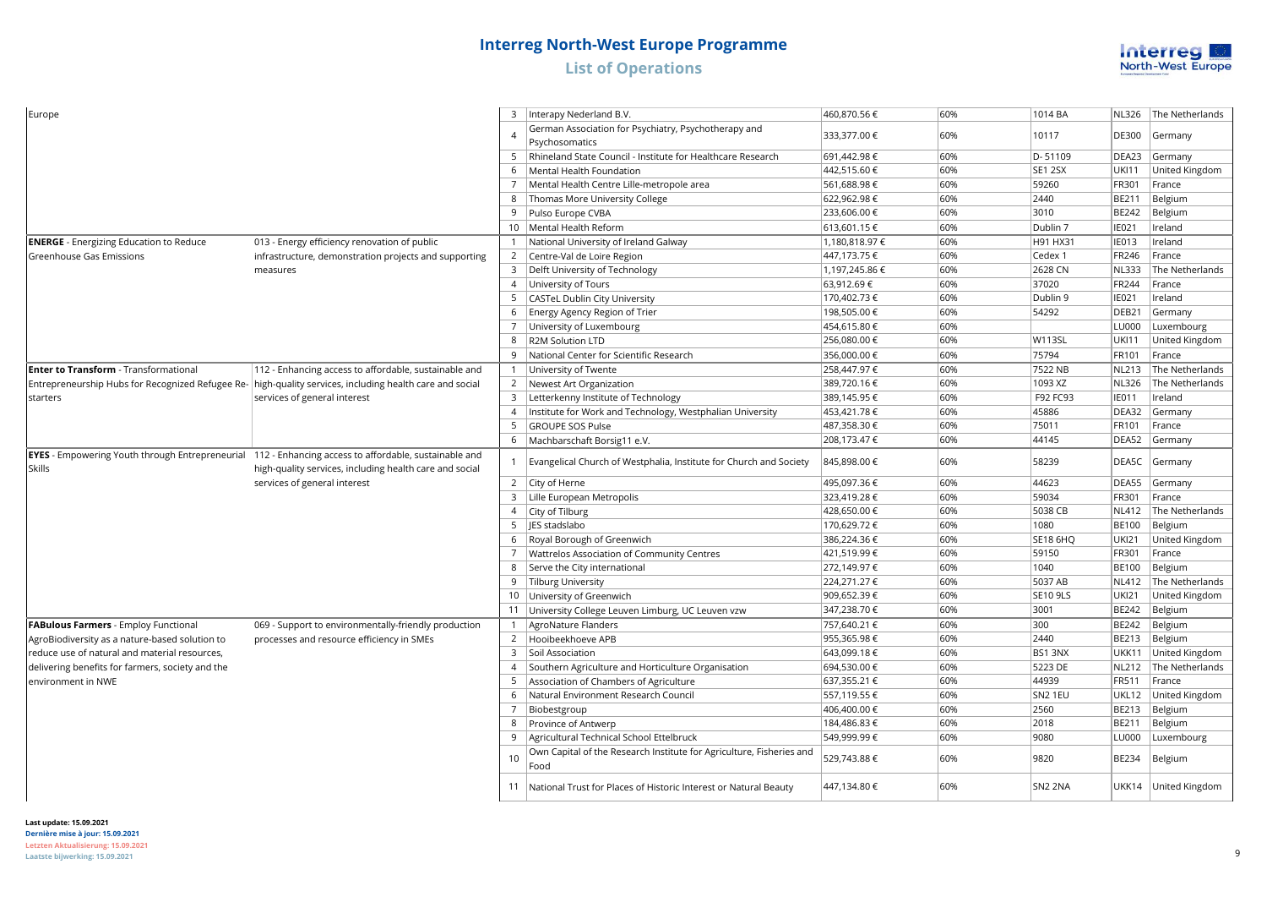

| Europe                                                                                                                        |                                                         |                 | 3   Interapy Nederland B.V.                                                  | 460,870.56 €   | 60% | 1014 BA             | <b>NL326</b> | The Netherlands      |
|-------------------------------------------------------------------------------------------------------------------------------|---------------------------------------------------------|-----------------|------------------------------------------------------------------------------|----------------|-----|---------------------|--------------|----------------------|
|                                                                                                                               |                                                         | $\Delta$        | German Association for Psychiatry, Psychotherapy and<br>Psychosomatics       | 333,377.00 €   | 60% | 10117               | DE300        | Germany              |
|                                                                                                                               |                                                         |                 | 5   Rhineland State Council - Institute for Healthcare Research              | 691,442.98€    | 60% | D-51109             | DEA23        | Germany              |
|                                                                                                                               |                                                         |                 | 6   Mental Health Foundation                                                 | 442,515.60 €   | 60% | SE1 2SX             | <b>UKI11</b> | United Kingdom       |
|                                                                                                                               |                                                         |                 | 7   Mental Health Centre Lille-metropole area                                | 561,688.98€    | 60% | 59260               | FR301        | France               |
|                                                                                                                               |                                                         |                 | 8   Thomas More University College                                           | 622,962.98€    | 60% | 2440                | BE211        | Belgium              |
|                                                                                                                               |                                                         |                 | 9 Pulso Europe CVBA                                                          | 233,606.00 €   | 60% | 3010                | BE242        | Belgium              |
|                                                                                                                               |                                                         |                 | 10   Mental Health Reform                                                    | 613,601.15 €   | 60% | Dublin 7            | IE021        | Ireland              |
| <b>ENERGE</b> - Energizing Education to Reduce                                                                                | 013 - Energy efficiency renovation of public            |                 | National University of Ireland Galway                                        | 1,180,818.97€  | 60% | H91 HX31            | <b>IE013</b> | Ireland              |
| Greenhouse Gas Emissions                                                                                                      | infrastructure, demonstration projects and supporting   |                 | 2 Centre-Val de Loire Region                                                 | 447,173.75 €   | 60% | Cedex 1             | FR246        | France               |
|                                                                                                                               | measures                                                | 3               | Delft University of Technology                                               | 1,197,245.86 € | 60% | 2628 CN             | <b>NL333</b> | The Netherlands      |
|                                                                                                                               |                                                         |                 | 4   University of Tours                                                      | 63,912.69€     | 60% | 37020               | FR244        | France               |
|                                                                                                                               |                                                         | 5               | CASTeL Dublin City University                                                | 170,402.73 €   | 60% | Dublin 9            | IE021        | Ireland              |
|                                                                                                                               |                                                         | 6               | Energy Agency Region of Trier                                                | 198,505.00€    | 60% | 54292               | DEB21        | Germany              |
|                                                                                                                               |                                                         | 7               | University of Luxembourg                                                     | 454,615.80 €   | 60% |                     | LU000        | Luxembourg           |
|                                                                                                                               |                                                         | 8               | R2M Solution LTD                                                             | 256,080.00 €   | 60% | <b>W113SL</b>       | <b>UKI11</b> | United Kingdom       |
|                                                                                                                               |                                                         | 9               | National Center for Scientific Research                                      | 356,000.00 €   | 60% | 75794               | FR101        | France               |
| <b>Enter to Transform</b> - Transformational                                                                                  | 112 - Enhancing access to affordable, sustainable and   |                 | 1 University of Twente                                                       | 258,447.97 €   | 60% | 7522 NB             | <b>NL213</b> | The Netherlands      |
| Entrepreneurship Hubs for Recognized Refugee Re-                                                                              | high-quality services, including health care and social |                 | 2   Newest Art Organization                                                  | 389,720.16€    | 60% | 1093 XZ             | <b>NL326</b> | The Netherlands      |
| starters                                                                                                                      | services of general interest                            |                 | 3   Letterkenny Institute of Technology                                      | 389,145.95€    | 60% | F92 FC93            | <b>IE011</b> | Ireland              |
|                                                                                                                               |                                                         | $\overline{4}$  | Institute for Work and Technology, Westphalian University                    | 453,421.78 €   | 60% | 45886               | DEA32        | Germany              |
|                                                                                                                               |                                                         | 5 <sub>1</sub>  | GROUPE SOS Pulse                                                             | 487,358.30 €   | 60% | 75011               | FR101        | France               |
|                                                                                                                               |                                                         |                 |                                                                              |                | 60% | 44145               | DEA52        |                      |
|                                                                                                                               |                                                         |                 | 6   Machbarschaft Borsig11 e.V.                                              | 208,173.47 €   |     |                     |              | Germany              |
| <b>EYES</b> - Empowering Youth through Entrepreneurial 112 - Enhancing access to affordable, sustainable and<br><b>Skills</b> | high-quality services, including health care and social |                 | Evangelical Church of Westphalia, Institute for Church and Society           | 845,898.00 €   | 60% | 58239               | DEA5C        | Germany              |
|                                                                                                                               | services of general interest                            |                 | 2 $\vert$ City of Herne                                                      | 495,097.36€    | 60% | 44623               | DEA55        | Germany              |
|                                                                                                                               |                                                         |                 | 3   Lille European Metropolis                                                | 323,419.28€    | 60% | 59034               | FR301        | France               |
|                                                                                                                               |                                                         |                 | 4 City of Tilburg                                                            | 428,650.00 €   | 60% | 5038 CB             | <b>NL412</b> | The Netherlands      |
|                                                                                                                               |                                                         |                 | 5   JES stadslabo                                                            | 170,629.72€    | 60% | 1080                | <b>BE100</b> | Belgium              |
|                                                                                                                               |                                                         |                 | 6   Royal Borough of Greenwich                                               | 386,224.36€    | 60% | <b>SE18 6HQ</b>     | <b>UKI21</b> | United Kingdom       |
|                                                                                                                               |                                                         |                 | Wattrelos Association of Community Centres                                   | 421,519.99€    | 60% | 59150               | FR301        | France               |
|                                                                                                                               |                                                         |                 | 8 Serve the City international                                               | 272,149.97€    | 60% | 1040                | <b>BE100</b> | Belgium              |
|                                                                                                                               |                                                         |                 | 9 Tilburg University                                                         | 224,271.27 €   | 60% | 5037 AB             | <b>NL412</b> | The Netherlands      |
|                                                                                                                               |                                                         |                 | 10 University of Greenwich                                                   | 909,652.39€    | 60% | <b>SE10 9LS</b>     | <b>UKI21</b> | United Kingdom       |
|                                                                                                                               |                                                         |                 | 11 University College Leuven Limburg, UC Leuven vzw                          | 347,238.70 €   | 60% | 3001                | BE242        | Belgium              |
| <b>FABulous Farmers - Employ Functional</b>                                                                                   | 069 - Support to environmentally-friendly production    | 1               | AgroNature Flanders                                                          | 757,640.21 €   | 60% | 300                 | <b>BE242</b> | Belgium              |
| AgroBiodiversity as a nature-based solution to                                                                                | processes and resource efficiency in SMEs               |                 | 2 Hooibeekhoeve APB                                                          | 955,365.98€    | 60% | 2440                | BE213        | Belgium              |
| reduce use of natural and material resources,                                                                                 |                                                         | 3               | Soil Association                                                             | 643,099.18€    | 60% | BS1 3NX             | UKK11        | United Kingdom       |
| delivering benefits for farmers, society and the                                                                              |                                                         |                 | 4 Southern Agriculture and Horticulture Organisation                         | 694,530.00 €   | 60% | 5223 DE             | <b>NL212</b> | The Netherlands      |
| environment in NWE                                                                                                            |                                                         | $5\overline{)}$ | Association of Chambers of Agriculture                                       | 637,355.21 €   | 60% | 44939               | FR511        | France               |
|                                                                                                                               |                                                         | $6\overline{6}$ | Natural Environment Research Council                                         | 557,119.55€    | 60% | SN2 1EU             | UKL12        | United Kingdom       |
|                                                                                                                               |                                                         | $\overline{7}$  | Biobestgroup                                                                 | 406,400.00 €   | 60% | 2560                | BE213        | Belgium              |
|                                                                                                                               |                                                         |                 | 8 Province of Antwerp                                                        | 184,486.83 €   | 60% | 2018                | BE211        | Belgium              |
|                                                                                                                               |                                                         | 9               | Agricultural Technical School Ettelbruck                                     | 549,999.99€    | 60% | 9080                | LU000        | Luxembourg           |
|                                                                                                                               |                                                         | 10              | Own Capital of the Research Institute for Agriculture, Fisheries and<br>Food | 529,743.88 €   | 60% | 9820                | BE234        | Belgium              |
|                                                                                                                               |                                                         |                 | 11 National Trust for Places of Historic Interest or Natural Beauty          | 447,134.80 €   | 60% | SN <sub>2</sub> 2NA |              | UKK14 United Kingdom |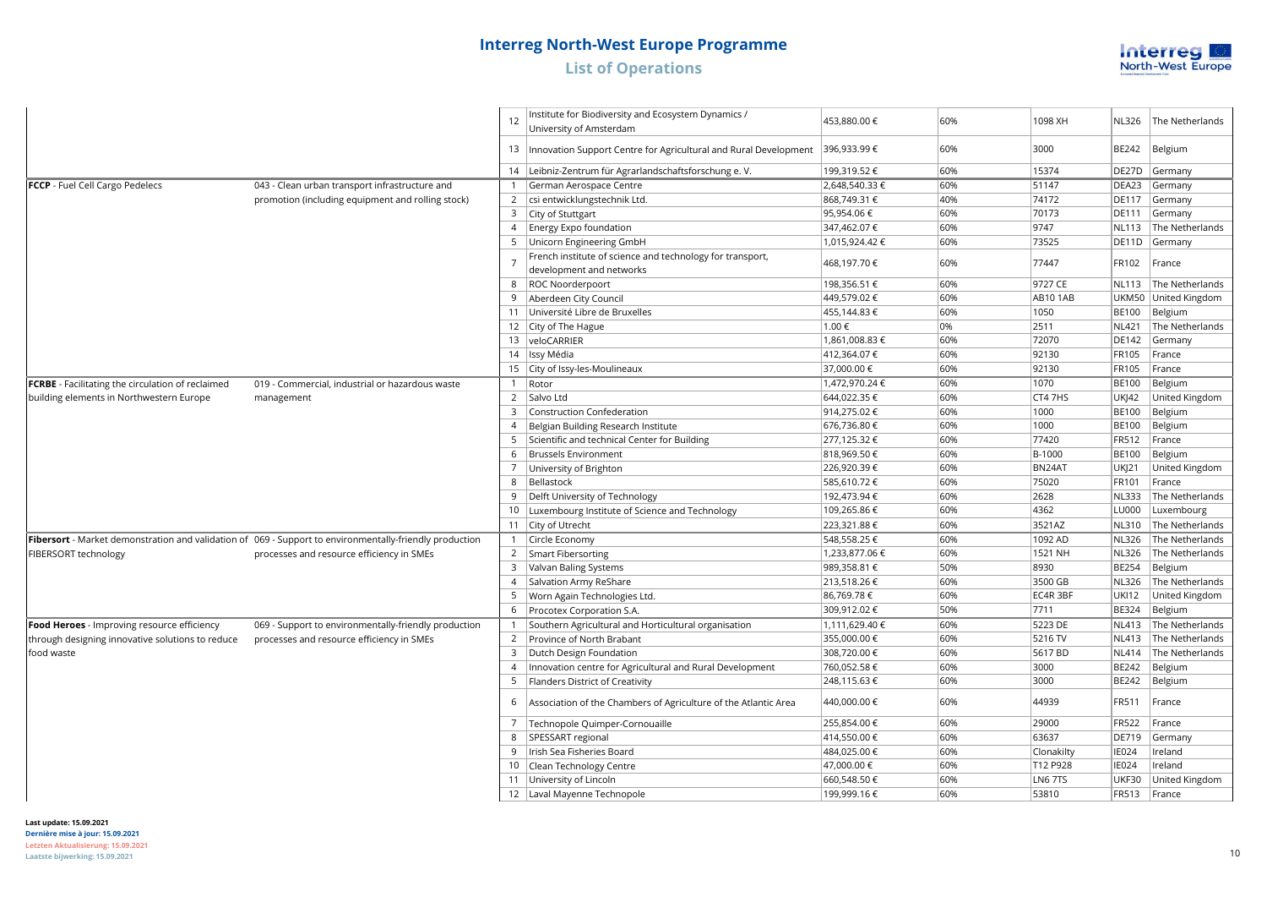

|                                                   |                                                                                                         |                | Institute for Biodiversity and Ecosystem Dynamics /                                   |                |     |                |              |                 |
|---------------------------------------------------|---------------------------------------------------------------------------------------------------------|----------------|---------------------------------------------------------------------------------------|----------------|-----|----------------|--------------|-----------------|
|                                                   |                                                                                                         | 12             | University of Amsterdam                                                               | 453,880.00 €   | 60% | 1098 XH        | <b>NL326</b> | The Netherlands |
|                                                   |                                                                                                         |                | 13  Innovation Support Centre for Agricultural and Rural Development  396,933.99 €    |                | 60% | 3000           | BE242        | Belgium         |
|                                                   |                                                                                                         |                | 14 Leibniz-Zentrum für Agrarlandschaftsforschung e.V.                                 | 199,319.52€    | 60% | 15374          | DE27D        | Germany         |
| FCCP - Fuel Cell Cargo Pedelecs                   | 043 - Clean urban transport infrastructure and                                                          |                | German Aerospace Centre                                                               | 2,648,540.33 € | 60% | 51147          | DEA23        | Germany         |
|                                                   | promotion (including equipment and rolling stock)                                                       | $2^{\circ}$    | csi entwicklungstechnik Ltd.                                                          | 868,749.31 €   | 40% | 74172          | <b>DE117</b> | Germany         |
|                                                   |                                                                                                         | 3              | City of Stuttgart                                                                     | 95,954.06€     | 60% | 70173          | DE111        | Germany         |
|                                                   |                                                                                                         |                | 4   Energy Expo foundation                                                            | 347,462.07 €   | 60% | 9747           | <b>NL113</b> | The Netherlands |
|                                                   |                                                                                                         |                | 5   Unicorn Engineering GmbH                                                          | 1,015,924.42€  | 60% | 73525          | DE11D        | Germany         |
|                                                   |                                                                                                         | $\overline{7}$ | French institute of science and technology for transport,<br>development and networks | 468,197.70€    | 60% | 77447          | FR102        | France          |
|                                                   |                                                                                                         |                | 8   ROC Noorderpoort                                                                  | 198,356.51 €   | 60% | 9727 CE        | <b>NL113</b> | The Netherlands |
|                                                   |                                                                                                         |                | Aberdeen City Council                                                                 | 449,579.02€    | 60% | <b>AB101AB</b> | UKM50        | United Kingdom  |
|                                                   |                                                                                                         |                | 11 Université Libre de Bruxelles                                                      | 455,144.83 €   | 60% | 1050           | <b>BE100</b> | Belgium         |
|                                                   |                                                                                                         |                | 12   City of The Hague                                                                | 1.00€          | 0%  | 2511           | <b>NL421</b> | The Netherlands |
|                                                   |                                                                                                         |                | 13 veloCARRIER                                                                        | 1,861,008.83 € | 60% | 72070          | DE142        | Germany         |
|                                                   |                                                                                                         |                | 14   Issy Média                                                                       | 412,364.07€    | 60% | 92130          | FR105        | France          |
|                                                   |                                                                                                         |                | 15 City of Issy-les-Moulineaux                                                        | 37,000.00 €    | 60% | 92130          | FR105        | France          |
| FCRBE - Facilitating the circulation of reclaimed | 019 - Commercial, industrial or hazardous waste                                                         |                | 1 Rotor                                                                               | 1,472,970.24 € | 60% | 1070           | <b>BE100</b> | Belgium         |
| building elements in Northwestern Europe          | management                                                                                              |                | 2   Salvo Ltd                                                                         | 644,022.35 €   | 60% | CT4 7HS        | <b>UK 42</b> | United Kingdom  |
|                                                   |                                                                                                         | 3              | <b>Construction Confederation</b>                                                     | 914,275.02€    | 60% | 1000           | <b>BE100</b> | Belgium         |
|                                                   |                                                                                                         | $\overline{4}$ | Belgian Building Research Institute                                                   | 676,736.80€    | 60% | 1000           | <b>BE100</b> | Belgium         |
|                                                   |                                                                                                         | 5              | Scientific and technical Center for Building                                          | 277,125.32€    | 60% | 77420          | FR512        | France          |
|                                                   |                                                                                                         | 6              | <b>Brussels Environment</b>                                                           | 818,969.50€    | 60% | B-1000         | <b>BE100</b> | Belgium         |
|                                                   |                                                                                                         | $7^{\circ}$    | University of Brighton                                                                | 226,920.39€    | 60% | BN24AT         | <b>UKJ21</b> | United Kingdom  |
|                                                   |                                                                                                         |                | 8   Bellastock                                                                        | 585,610.72€    | 60% | 75020          | FR101        | France          |
|                                                   |                                                                                                         | 9              | Delft University of Technology                                                        | 192,473.94 €   | 60% | 2628           | <b>NL333</b> | The Netherlands |
|                                                   |                                                                                                         |                | 10   Luxembourg Institute of Science and Technology                                   | 109,265.86€    | 60% | 4362           | LU000        | Luxembourg      |
|                                                   |                                                                                                         |                | 11 City of Utrecht                                                                    | 223,321.88 €   | 60% | 3521AZ         | NL310        | The Netherlands |
|                                                   | Fibersort - Market demonstration and validation of 069 - Support to environmentally-friendly production |                | 1 Circle Economy                                                                      | 548,558.25€    | 60% | 1092 AD        | <b>NL326</b> | The Netherlands |
| FIBERSORT technology                              | processes and resource efficiency in SMEs                                                               |                | 2 Smart Fibersorting                                                                  | 1,233,877.06 € | 60% | 1521 NH        | <b>NL326</b> | The Netherlands |
|                                                   |                                                                                                         |                | 3 Valvan Baling Systems                                                               | 989,358.81 €   | 50% | 8930           | <b>BE254</b> | Belgium         |
|                                                   |                                                                                                         |                | 4 Salvation Army ReShare                                                              | 213,518.26€    | 60% | 3500 GB        | NL326        | The Netherlands |
|                                                   |                                                                                                         |                | 5   Worn Again Technologies Ltd.                                                      | 86,769.78€     | 60% | EC4R 3BF       | <b>UKI12</b> | United Kingdom  |
|                                                   |                                                                                                         | 6              | Procotex Corporation S.A.                                                             | 309,912.02€    | 50% | 7711           | BE324        | Belgium         |
| Food Heroes - Improving resource efficiency       | 069 - Support to environmentally-friendly production                                                    | $\mathbf{1}$   | Southern Agricultural and Horticultural organisation                                  | 1.111.629.40€  | 60% | 5223 DE        | <b>NL413</b> | The Netherlands |
| through designing innovative solutions to reduce  | processes and resource efficiency in SMEs                                                               |                | 2 Province of North Brabant                                                           | 355,000.00€    | 60% | 5216 TV        | <b>NL413</b> | The Netherlands |
| food waste                                        |                                                                                                         | $\overline{3}$ | Dutch Design Foundation                                                               | 308,720.00 €   | 60% | 5617 BD        | <b>NL414</b> | The Netherlands |
|                                                   |                                                                                                         |                | 4   Innovation centre for Agricultural and Rural Development                          | 760,052.58€    | 60% | 3000           | BE242        | Belgium         |
|                                                   |                                                                                                         |                | 5   Flanders District of Creativity                                                   | 248,115.63€    | 60% | 3000           | BE242        | Belgium         |
|                                                   |                                                                                                         | 6              | Association of the Chambers of Agriculture of the Atlantic Area                       | 440,000.00 €   | 60% | 44939          | FR511        | France          |
|                                                   |                                                                                                         | $7^{\circ}$    | Technopole Quimper-Cornouaille                                                        | 255,854.00 €   | 60% | 29000          | <b>FR522</b> | France          |
|                                                   |                                                                                                         | 8              | SPESSART regional                                                                     | 414,550.00€    | 60% | 63637          | DE719        | Germany         |
|                                                   |                                                                                                         | 9              | Irish Sea Fisheries Board                                                             | 484,025.00 €   | 60% | Clonakilty     | <b>IE024</b> | Ireland         |
|                                                   |                                                                                                         | 10             | Clean Technology Centre                                                               | 47,000.00 €    | 60% | T12 P928       | <b>IE024</b> | Ireland         |
|                                                   |                                                                                                         |                | 11 University of Lincoln                                                              | 660,548.50€    | 60% | LN6 7TS        | <b>UKF30</b> | United Kingdom  |
|                                                   |                                                                                                         |                | 12   Laval Mayenne Technopole                                                         | 199,999.16€    | 60% | 53810          | FR513        | France          |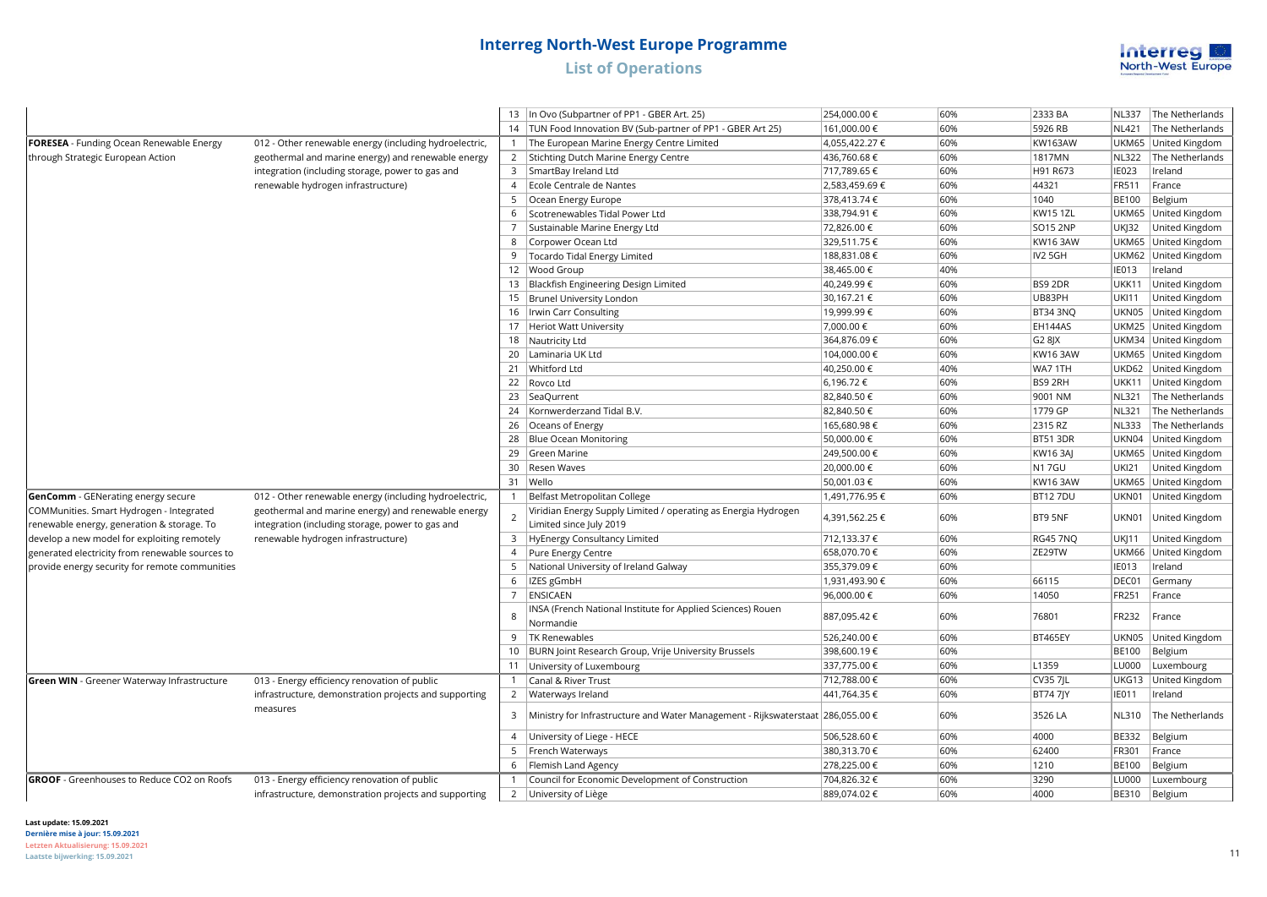

|                                                                                        |                                                                                                        |                | 13   In Ovo (Subpartner of PP1 - GBER Art. 25)                                            | 254,000.00 €   | 60% | 2333 BA         | <b>NL337</b> | The Netherlands      |
|----------------------------------------------------------------------------------------|--------------------------------------------------------------------------------------------------------|----------------|-------------------------------------------------------------------------------------------|----------------|-----|-----------------|--------------|----------------------|
|                                                                                        |                                                                                                        |                | 14   TUN Food Innovation BV (Sub-partner of PP1 - GBER Art 25)                            | 161,000.00 €   | 60% | 5926 RB         | <b>NL421</b> | The Netherlands      |
| <b>FORESEA</b> - Funding Ocean Renewable Energy                                        | 012 - Other renewable energy (including hydroelectric,                                                 | 1              | The European Marine Energy Centre Limited                                                 | 4,055,422.27 € | 60% | <b>KW163AW</b>  |              | UKM65 United Kingdom |
| through Strategic European Action                                                      | geothermal and marine energy) and renewable energy                                                     |                | 2 Stichting Dutch Marine Energy Centre                                                    | 436,760.68€    | 60% | 1817MN          | <b>NL322</b> | The Netherlands      |
|                                                                                        | integration (including storage, power to gas and                                                       | $\mathbf{3}$   | SmartBay Ireland Ltd                                                                      | 717,789.65 €   | 60% | H91 R673        | <b>IE023</b> | Ireland              |
|                                                                                        | renewable hydrogen infrastructure)                                                                     | $\overline{4}$ | Ecole Centrale de Nantes                                                                  | 2,583,459.69€  | 60% | 44321           | FR511        | France               |
|                                                                                        |                                                                                                        | 5              | Ocean Energy Europe                                                                       | 378,413.74 €   | 60% | 1040            | <b>BE100</b> | Belgium              |
|                                                                                        |                                                                                                        | 6              | Scotrenewables Tidal Power Ltd                                                            | 338,794.91 €   | 60% | <b>KW15 1ZL</b> |              | UKM65 United Kingdom |
|                                                                                        |                                                                                                        |                | Sustainable Marine Energy Ltd                                                             | 72,826.00 €    | 60% | <b>SO15 2NP</b> | <b>UKJ32</b> | United Kingdom       |
|                                                                                        |                                                                                                        | 8              | Corpower Ocean Ltd                                                                        | 329,511.75 €   | 60% | <b>KW16 3AW</b> |              | UKM65 United Kingdom |
|                                                                                        |                                                                                                        | 9              | Tocardo Tidal Energy Limited                                                              | 188,831.08€    | 60% | IV2 5GH         |              | UKM62 United Kingdom |
|                                                                                        |                                                                                                        |                | 12 Wood Group                                                                             | 38,465.00 €    | 40% |                 | <b>IE013</b> | Ireland              |
|                                                                                        |                                                                                                        |                | 13 Blackfish Engineering Design Limited                                                   | 40,249.99€     | 60% | BS9 2DR         | <b>UKK11</b> | United Kingdom       |
|                                                                                        |                                                                                                        |                | 15   Brunel University London                                                             | 30,167.21 €    | 60% | UB83PH          | <b>UKI11</b> | United Kingdom       |
|                                                                                        |                                                                                                        |                | 16   Irwin Carr Consulting                                                                | 19,999.99€     | 60% | <b>BT34 3NO</b> |              | UKN05 United Kingdom |
|                                                                                        |                                                                                                        |                | 17 Heriot Watt University                                                                 | 7,000.00 €     | 60% | EH144AS         |              | UKM25 United Kingdom |
|                                                                                        |                                                                                                        |                | 18 Nautricity Ltd                                                                         | 364,876.09€    | 60% | G2 8 X          |              | UKM34 United Kingdom |
|                                                                                        |                                                                                                        |                | 20 Laminaria UK Ltd                                                                       | 104,000.00 €   | 60% | KW16 3AW        |              | UKM65 United Kingdom |
|                                                                                        |                                                                                                        |                | 21 Whitford Ltd                                                                           | 40,250.00 €    | 40% | WA7 1TH         |              | UKD62 United Kingdom |
|                                                                                        |                                                                                                        |                | 22 Rovco Ltd                                                                              | 6,196.72€      | 60% | BS9 2RH         |              | UKK11 United Kingdom |
|                                                                                        |                                                                                                        |                | 23   SeaQurrent                                                                           | 82,840.50 €    | 60% | 9001 NM         | <b>NL321</b> | The Netherlands      |
|                                                                                        |                                                                                                        | 24             | Kornwerderzand Tidal B.V.                                                                 | 82,840.50 €    | 60% | 1779 GP         | <b>NL321</b> | The Netherlands      |
|                                                                                        |                                                                                                        |                | 26 Oceans of Energy                                                                       | 165,680.98€    | 60% | 2315 RZ         | <b>NL333</b> | The Netherlands      |
|                                                                                        |                                                                                                        |                | 28 Blue Ocean Monitoring                                                                  | 50,000.00 €    | 60% | <b>BT51 3DR</b> |              | UKN04 United Kingdom |
|                                                                                        |                                                                                                        |                | 29 Green Marine                                                                           | 249,500.00 €   | 60% | KW16 3AJ        |              | UKM65 United Kingdom |
|                                                                                        |                                                                                                        |                | 30 Resen Waves                                                                            | 20,000.00 €    | 60% | <b>N17GU</b>    | <b>UKI21</b> | United Kingdom       |
|                                                                                        |                                                                                                        |                | 31 Wello                                                                                  | 50,001.03 €    | 60% | <b>KW16 3AW</b> |              | UKM65 United Kingdom |
| GenComm - GENerating energy secure                                                     | 012 - Other renewable energy (including hydroelectric,                                                 |                | 1   Belfast Metropolitan College                                                          | 1,491,776.95 € | 60% | <b>BT127DU</b>  |              | UKN01 United Kingdom |
| COMMunities. Smart Hydrogen - Integrated<br>renewable energy, generation & storage. To | geothermal and marine energy) and renewable energy<br>integration (including storage, power to gas and | $\overline{2}$ | Viridian Energy Supply Limited / operating as Energia Hydrogen<br>Limited since July 2019 | 4,391,562.25 € | 60% | BT9 5NF         | UKN01        | United Kingdom       |
| develop a new model for exploiting remotely                                            | renewable hydrogen infrastructure)                                                                     |                | 3 HyEnergy Consultancy Limited                                                            | 712,133.37 €   | 60% | <b>RG45 7NQ</b> | <b>UKJ11</b> | United Kingdom       |
| generated electricity from renewable sources to                                        |                                                                                                        | $\overline{4}$ | Pure Energy Centre                                                                        | 658,070.70€    | 60% | ZE29TW          | <b>UKM66</b> | United Kingdom       |
| provide energy security for remote communities                                         |                                                                                                        | 5              | National University of Ireland Galway                                                     | 355,379.09€    | 60% |                 | <b>IE013</b> | Ireland              |
|                                                                                        |                                                                                                        | 6              | IZES gGmbH                                                                                | 1,931,493.90 € | 60% | 66115           | DEC01        | Germany              |
|                                                                                        |                                                                                                        | $\overline{7}$ | ENSICAEN                                                                                  | 96,000.00 €    | 60% | 14050           | FR251        | France               |
|                                                                                        |                                                                                                        | 8              | INSA (French National Institute for Applied Sciences) Rouen<br>Normandie                  | 887,095.42€    | 60% | 76801           | FR232        | France               |
|                                                                                        |                                                                                                        | 9              | <b>TK Renewables</b>                                                                      | 526,240.00 €   | 60% | <b>BT465EY</b>  | UKN05        | United Kingdom       |
|                                                                                        |                                                                                                        |                | 10 BURN Joint Research Group, Vrije University Brussels                                   | 398,600.19€    | 60% |                 | <b>BE100</b> | Belgium              |
|                                                                                        |                                                                                                        |                | 11 University of Luxembourg                                                               | 337,775.00 €   | 60% | L1359           | LU000        | Luxembourg           |
| <b>Green WIN</b> - Greener Waterway Infrastructure                                     | 013 - Energy efficiency renovation of public                                                           | $\mathbf{1}$   | Canal & River Trust                                                                       | 712,788.00 €   | 60% | <b>CV35 7JL</b> | UKG13        | United Kingdom       |
|                                                                                        | infrastructure, demonstration projects and supporting                                                  | $\overline{2}$ | Waterways Ireland                                                                         | 441,764.35 €   | 60% | <b>BT747JY</b>  | <b>IE011</b> | Ireland              |
|                                                                                        | measures                                                                                               | 3              | Ministry for Infrastructure and Water Management - Rijkswaterstaat 286,055.00 €           |                | 60% | 3526 LA         | <b>NL310</b> | The Netherlands      |
|                                                                                        |                                                                                                        | $\overline{4}$ | University of Liege - HECE                                                                | 506,528.60 €   | 60% | 4000            | <b>BE332</b> | Belgium              |
|                                                                                        |                                                                                                        | 5              | French Waterways                                                                          | 380,313.70 €   | 60% | 62400           | FR301        | France               |
|                                                                                        |                                                                                                        | 6              | Flemish Land Agency                                                                       | 278,225.00 €   | 60% | 1210            | <b>BE100</b> | Belgium              |
| <b>GROOF</b> - Greenhouses to Reduce CO2 on Roofs                                      | 013 - Energy efficiency renovation of public                                                           |                | Council for Economic Development of Construction                                          | 704,826.32 €   | 60% | 3290            | LU000        | Luxembourg           |
|                                                                                        | infrastructure, demonstration projects and supporting                                                  |                | 2 University of Liège                                                                     | 889,074.02€    | 60% | 4000            |              | BE310 Belgium        |
|                                                                                        |                                                                                                        |                |                                                                                           |                |     |                 |              |                      |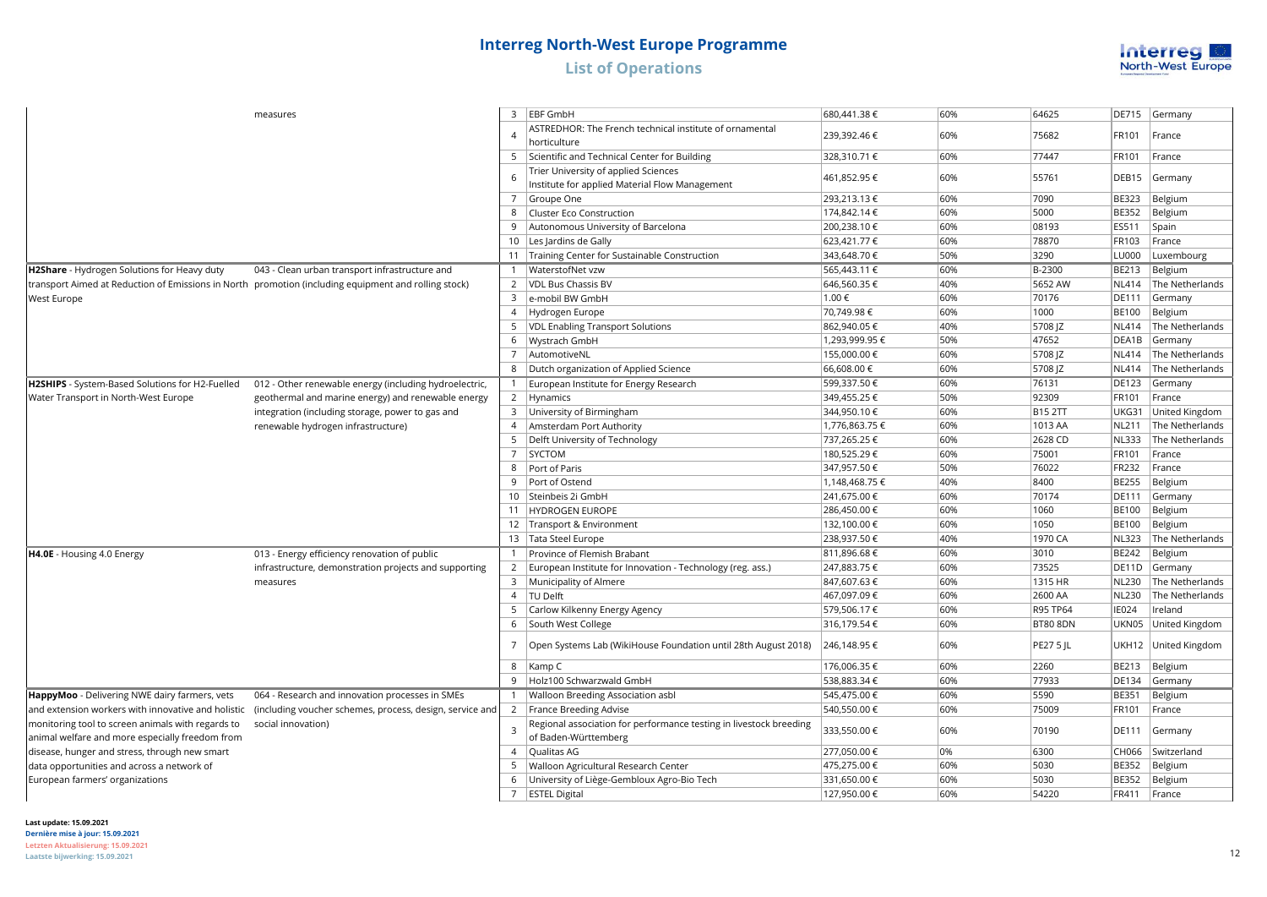

| measures                                           | 3                                                                                                    | <b>EBF GmbH</b> | 680,441.38 €                                                                           | 60%            | 64625 | <b>DE715</b>     | Germany      |                 |
|----------------------------------------------------|------------------------------------------------------------------------------------------------------|-----------------|----------------------------------------------------------------------------------------|----------------|-------|------------------|--------------|-----------------|
|                                                    |                                                                                                      | $\overline{4}$  | ASTREDHOR: The French technical institute of ornamental                                | 239,392.46 €   | 60%   | 75682            | FR101        | France          |
|                                                    |                                                                                                      |                 | horticulture                                                                           |                |       |                  |              |                 |
|                                                    |                                                                                                      | 5               | Scientific and Technical Center for Building                                           | 328,310.71 €   | 60%   | 77447            | FR101        | France          |
|                                                    |                                                                                                      | 6               | Trier University of applied Sciences<br>Institute for applied Material Flow Management | 461,852.95 €   | 60%   | 55761            | DEB15        | Germany         |
|                                                    |                                                                                                      | $\overline{7}$  | Groupe One                                                                             | 293,213.13€    | 60%   | 7090             | <b>BE323</b> | Belgium         |
|                                                    |                                                                                                      | 8               | <b>Cluster Eco Construction</b>                                                        | 174,842.14 €   | 60%   | 5000             | <b>BE352</b> | Belgium         |
|                                                    |                                                                                                      | 9               | Autonomous University of Barcelona                                                     | 200,238.10€    | 60%   | 08193            | ES511        | Spain           |
|                                                    |                                                                                                      | 10              | Les Jardins de Gally                                                                   | 623,421.77 €   | 60%   | 78870            | FR103        | France          |
|                                                    |                                                                                                      |                 | 11   Training Center for Sustainable Construction                                      | 343,648.70 €   | 50%   | 3290             | <b>LU000</b> | Luxembourg      |
| H2Share - Hydrogen Solutions for Heavy duty        | 043 - Clean urban transport infrastructure and                                                       |                 | WaterstofNet vzw                                                                       | 565,443.11 €   | 60%   | B-2300           | <b>BE213</b> | Belgium         |
|                                                    | transport Aimed at Reduction of Emissions in North promotion (including equipment and rolling stock) |                 | 2   VDL Bus Chassis BV                                                                 | 646,560.35€    | 40%   | 5652 AW          | <b>NL414</b> | The Netherlands |
| West Europe                                        |                                                                                                      | 3               | e-mobil BW GmbH                                                                        | 1.00€          | 60%   | 70176            | <b>DE111</b> | Germany         |
|                                                    |                                                                                                      | $\overline{4}$  | Hydrogen Europe                                                                        | 70,749.98€     | 60%   | 1000             | <b>BE100</b> | Belgium         |
|                                                    |                                                                                                      |                 | 5   VDL Enabling Transport Solutions                                                   | 862,940.05€    | 40%   | 5708 JZ          | <b>NL414</b> | The Netherlands |
|                                                    |                                                                                                      | 6               | Wystrach GmbH                                                                          | 1,293,999.95 € | 50%   | 47652            | DEA1B        | Germany         |
|                                                    |                                                                                                      |                 | 7 AutomotiveNL                                                                         | 155,000.00 €   | 60%   | 5708 JZ          | <b>NL414</b> | The Netherlands |
|                                                    |                                                                                                      |                 | 8   Dutch organization of Applied Science                                              | 66,608.00 €    | 60%   | 5708 JZ          | <b>NL414</b> | The Netherlands |
| H2SHIPS - System-Based Solutions for H2-Fuelled    | 012 - Other renewable energy (including hydroelectric,                                               |                 | European Institute for Energy Research                                                 | 599,337.50€    | 60%   | 76131            | <b>DE123</b> | Germany         |
| Water Transport in North-West Europe               | geothermal and marine energy) and renewable energy                                                   |                 | 2   Hynamics                                                                           | 349,455.25€    | 50%   | 92309            | FR101        | France          |
|                                                    | integration (including storage, power to gas and                                                     | 3               | University of Birmingham                                                               | 344,950.10 €   | 60%   | <b>B15 2TT</b>   | UKG31        | United Kingdom  |
|                                                    | renewable hydrogen infrastructure)                                                                   | $\overline{4}$  | Amsterdam Port Authority                                                               | 1,776,863.75 € | 60%   | 1013 AA          | <b>NL211</b> | The Netherlands |
|                                                    |                                                                                                      | 5               | Delft University of Technology                                                         | 737,265.25€    | 60%   | 2628 CD          | <b>NL333</b> | The Netherlands |
|                                                    |                                                                                                      | $\overline{7}$  | SYCTOM                                                                                 | 180,525.29€    | 60%   | 75001            | FR101        | France          |
|                                                    |                                                                                                      | 8               | Port of Paris                                                                          | 347,957.50€    | 50%   | 76022            | <b>FR232</b> | France          |
|                                                    |                                                                                                      | 9               | Port of Ostend                                                                         | 1,148,468.75 € | 40%   | 8400             | <b>BE255</b> | Belgium         |
|                                                    |                                                                                                      | $10-10$         | Steinbeis 2i GmbH                                                                      | 241,675.00 €   | 60%   | 70174            | <b>DE111</b> | Germany         |
|                                                    |                                                                                                      | 11              | HYDROGEN EUROPE                                                                        | 286,450.00€    | 60%   | 1060             | <b>BE100</b> | Belgium         |
|                                                    |                                                                                                      |                 | 12   Transport & Environment                                                           | 132,100.00 €   | 60%   | 1050             | <b>BE100</b> | Belgium         |
|                                                    |                                                                                                      |                 | 13 Tata Steel Europe                                                                   | 238,937.50€    | 40%   | 1970 CA          | <b>NL323</b> | The Netherlands |
| H4.0E - Housing 4.0 Energy                         | 013 - Energy efficiency renovation of public                                                         |                 | Province of Flemish Brabant                                                            | 811,896.68€    | 60%   | 3010             | <b>BE242</b> | Belgium         |
|                                                    | infrastructure, demonstration projects and supporting                                                |                 | 2   European Institute for Innovation - Technology (reg. ass.)                         | 247,883.75 €   | 60%   | 73525            | DE11D        | Germany         |
|                                                    | measures                                                                                             |                 | 3   Municipality of Almere                                                             | 847,607.63 €   | 60%   | 1315 HR          | <b>NL230</b> | The Netherlands |
|                                                    |                                                                                                      |                 | 4   TU Delft                                                                           | 467,097.09€    | 60%   | 2600 AA          | <b>NL230</b> | The Netherlands |
|                                                    |                                                                                                      | 5               | Carlow Kilkenny Energy Agency                                                          | 579,506.17€    | 60%   | R95 TP64         | <b>IE024</b> | Ireland         |
|                                                    |                                                                                                      | 6               | South West College                                                                     | 316,179.54€    | 60%   | <b>BT80 8DN</b>  | UKN05        | United Kingdom  |
|                                                    |                                                                                                      | 7               | Open Systems Lab (WikiHouse Foundation until 28th August 2018)                         | 246,148.95€    | 60%   | <b>PE27 5 JL</b> | UKH12        | United Kingdom  |
|                                                    |                                                                                                      | 8               | Kamp C                                                                                 | 176,006.35€    | 60%   | 2260             | <b>BE213</b> | Belgium         |
|                                                    |                                                                                                      | 9               | Holz100 Schwarzwald GmbH                                                               | 538,883.34 €   | 60%   | 77933            | <b>DE134</b> | Germany         |
| HappyMoo - Delivering NWE dairy farmers, vets      | 064 - Research and innovation processes in SMEs                                                      | $\mathbf{1}$    | Walloon Breeding Association asbl                                                      | 545,475.00 €   | 60%   | 5590             | <b>BE351</b> | Belgium         |
| and extension workers with innovative and holistic | (including voucher schemes, process, design, service and                                             |                 | 2   France Breeding Advise                                                             | 540,550.00 €   | 60%   | 75009            | FR101        | France          |
| monitoring tool to screen animals with regards to  | social innovation)                                                                                   | 3               | Regional association for performance testing in livestock breeding                     |                | 60%   | 70190            | <b>DE111</b> |                 |
| animal welfare and more especially freedom from    |                                                                                                      |                 | of Baden-Württemberg                                                                   | 333,550.00 €   |       |                  |              | Germany         |
| disease, hunger and stress, through new smart      |                                                                                                      | $\overline{4}$  | Qualitas AG                                                                            | 277,050.00€    | 0%    | 6300             | CH066        | Switzerland     |
| data opportunities and across a network of         |                                                                                                      | 5               | Walloon Agricultural Research Center                                                   | 475,275.00 €   | 60%   | 5030             | <b>BE352</b> | Belgium         |
| European farmers' organizations                    |                                                                                                      | 6               | University of Liège-Gembloux Agro-Bio Tech                                             | 331,650.00 €   | 60%   | 5030             | <b>BE352</b> | Belgium         |
|                                                    |                                                                                                      |                 | 7   ESTEL Digital                                                                      | 127,950.00 €   | 60%   | 54220            | FR411        | France          |
|                                                    |                                                                                                      |                 |                                                                                        |                |       |                  |              |                 |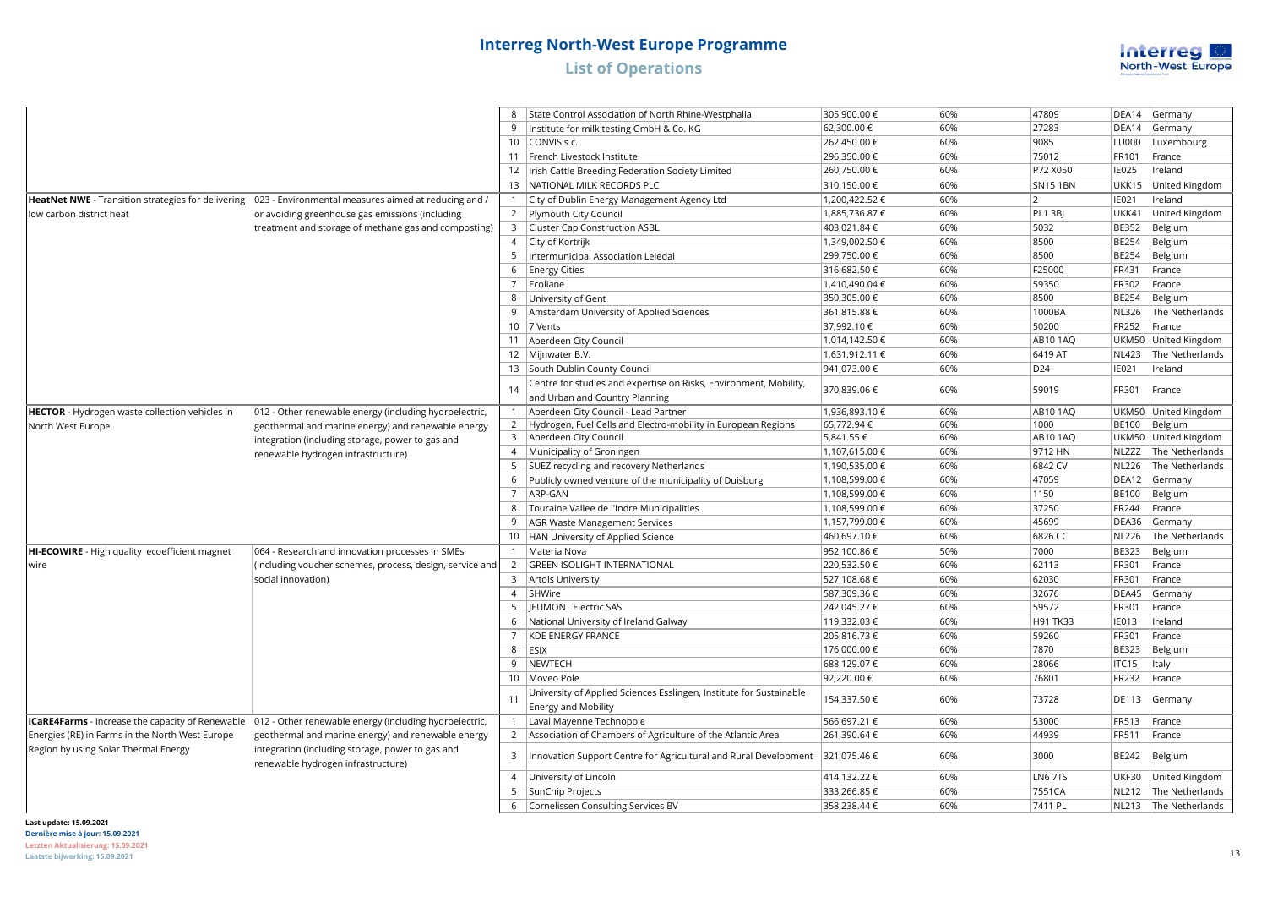

|                                                       |                                                                                                         | 8              | State Control Association of North Rhine-Westphalia                 | 305,900.00 €                    | 60% | 47809           | DEA14          | Germany                   |
|-------------------------------------------------------|---------------------------------------------------------------------------------------------------------|----------------|---------------------------------------------------------------------|---------------------------------|-----|-----------------|----------------|---------------------------|
|                                                       |                                                                                                         | 9              | Institute for milk testing GmbH & Co. KG                            | 62,300.00 €                     | 60% | 27283           | DEA14          | Germany                   |
|                                                       |                                                                                                         |                | 10 CONVIS s.c.                                                      | 262,450.00 €                    | 60% | 9085            | LU000          | Luxembourg                |
|                                                       |                                                                                                         |                | 11 French Livestock Institute                                       | 296,350.00 €                    | 60% | 75012           | FR101          | France                    |
|                                                       |                                                                                                         |                | 12   Irish Cattle Breeding Federation Society Limited               | 260,750.00€                     | 60% | P72 X050        | <b>IE025</b>   | Ireland                   |
|                                                       |                                                                                                         |                | 13 NATIONAL MILK RECORDS PLC                                        | 310,150.00€                     | 60% | <b>SN151BN</b>  | UKK15          | United Kingdom            |
|                                                       |                                                                                                         |                |                                                                     |                                 | 60% | <sup>2</sup>    |                |                           |
|                                                       | HeatNet NWE - Transition strategies for delivering 023 - Environmental measures aimed at reducing and / |                | 1   City of Dublin Energy Management Agency Ltd                     | 1,200,422.52 €<br>1,885,736.87€ | 60% | PL1 3BJ         | IE021<br>UKK41 | Ireland<br>United Kingdom |
| low carbon district heat                              | or avoiding greenhouse gas emissions (including                                                         | 3              | 2   Plymouth City Council                                           | 403,021.84 €                    | 60% | 5032            | <b>BE352</b>   | Belgium                   |
|                                                       | treatment and storage of methane gas and composting)                                                    | $\overline{4}$ | Cluster Cap Construction ASBL                                       | 1,349,002.50 €                  | 60% | 8500            |                |                           |
|                                                       |                                                                                                         |                | City of Kortrijk                                                    |                                 |     |                 | <b>BE254</b>   | Belgium                   |
|                                                       |                                                                                                         | 5              | Intermunicipal Association Leiedal                                  | 299,750.00 €                    | 60% | 8500            | <b>BE254</b>   | Belgium                   |
|                                                       |                                                                                                         | 6              | <b>Energy Cities</b>                                                | 316,682.50€                     | 60% | F25000          | <b>FR431</b>   | France                    |
|                                                       |                                                                                                         |                | 7 Ecoliane                                                          | 1,410,490.04€                   | 60% | 59350           | <b>FR302</b>   | France                    |
|                                                       |                                                                                                         | 8              | University of Gent                                                  | 350,305.00 €                    | 60% | 8500            | <b>BE254</b>   | Belgium                   |
|                                                       |                                                                                                         | 9              | Amsterdam University of Applied Sciences                            | 361,815.88 €                    | 60% | 1000BA          | <b>NL326</b>   | The Netherlands           |
|                                                       |                                                                                                         |                | 10 7 Vents                                                          | 37,992.10 €                     | 60% | 50200           | <b>FR252</b>   | France                    |
|                                                       |                                                                                                         | 11             | Aberdeen City Council                                               | 1,014,142.50 €                  | 60% | <b>AB10 1AQ</b> |                | UKM50 United Kingdom      |
|                                                       |                                                                                                         |                | 12 Mijnwater B.V.                                                   | 1,631,912.11 €                  | 60% | 6419 AT         | <b>NL423</b>   | The Netherlands           |
|                                                       |                                                                                                         |                | 13 South Dublin County Council                                      | 941,073.00 €                    | 60% | D24             | IE021          | Ireland                   |
|                                                       |                                                                                                         | 14             | Centre for studies and expertise on Risks, Environment, Mobility,   | 370,839.06€                     | 60% | 59019           | FR301          | France                    |
|                                                       |                                                                                                         |                | and Urban and Country Planning                                      |                                 |     |                 |                |                           |
| <b>HECTOR</b> - Hydrogen waste collection vehicles in | 012 - Other renewable energy (including hydroelectric,                                                  | $\mathbf{1}$   | Aberdeen City Council - Lead Partner                                | 1,936,893.10 €                  | 60% | <b>AB10 1AQ</b> |                | UKM50 United Kingdom      |
| North West Europe                                     | geothermal and marine energy) and renewable energy                                                      |                | 2 Hydrogen, Fuel Cells and Electro-mobility in European Regions     | 65,772.94€                      | 60% | 1000            |                | BE100 Belgium             |
|                                                       | integration (including storage, power to gas and                                                        |                | 3 Aberdeen City Council                                             | 5,841.55 €                      | 60% | <b>AB10 1AQ</b> |                | UKM50 United Kingdom      |
|                                                       | renewable hydrogen infrastructure)                                                                      | $\overline{4}$ | Municipality of Groningen                                           | 1,107,615.00 €                  | 60% | 9712 HN         | NLZZZ          | The Netherlands           |
|                                                       |                                                                                                         | 5              | SUEZ recycling and recovery Netherlands                             | 1,190,535.00 €                  | 60% | 6842 CV         | <b>NL226</b>   | The Netherlands           |
|                                                       |                                                                                                         | 6              | Publicly owned venture of the municipality of Duisburg              | 1,108,599.00 €                  | 60% | 47059           | DEA12          | Germany                   |
|                                                       |                                                                                                         | $\overline{7}$ | ARP-GAN                                                             | 1,108,599.00 €                  | 60% | 1150            | <b>BE100</b>   | Belgium                   |
|                                                       |                                                                                                         | 8              | Touraine Vallee de l'Indre Municipalities                           | 1,108,599.00 €                  | 60% | 37250           | FR244          | France                    |
|                                                       |                                                                                                         | 9              | AGR Waste Management Services                                       | 1,157,799.00 €                  | 60% | 45699           | DEA36          | Germany                   |
|                                                       |                                                                                                         |                | 10   HAN University of Applied Science                              | 460,697.10 €                    | 60% | 6826 CC         | <b>NL226</b>   | The Netherlands           |
| HI-ECOWIRE - High quality ecoefficient magnet         | 064 - Research and innovation processes in SMEs                                                         | $\overline{1}$ | Materia Nova                                                        | 952,100.86€                     | 50% | 7000            | <b>BE323</b>   | Belgium                   |
| wire                                                  | (including voucher schemes, process, design, service and                                                | 2              | <b>GREEN ISOLIGHT INTERNATIONAL</b>                                 | 220,532.50€                     | 60% | 62113           | FR301          | France                    |
|                                                       | social innovation)                                                                                      | 3              | Artois University                                                   | 527,108.68€                     | 60% | 62030           | FR301          | France                    |
|                                                       |                                                                                                         | $\overline{4}$ | SHWire                                                              | 587,309.36 €                    | 60% | 32676           | DEA45          | Germany                   |
|                                                       |                                                                                                         | 5              | <b>JEUMONT Electric SAS</b>                                         | 242,045.27€                     | 60% | 59572           | <b>FR301</b>   | France                    |
|                                                       |                                                                                                         | 6              | National University of Ireland Galway                               | 119,332.03€                     | 60% | H91 TK33        | IE013          | Ireland                   |
|                                                       |                                                                                                         | $\overline{7}$ | <b>KDE ENERGY FRANCE</b>                                            | 205,816.73€                     | 60% | 59260           | <b>FR301</b>   | France                    |
|                                                       |                                                                                                         |                | 8 ESIX                                                              | 176,000.00 €                    | 60% | 7870            | <b>BE323</b>   | Belgium                   |
|                                                       |                                                                                                         | 9              | NEWTECH                                                             | 688,129.07€                     | 60% | 28066           | ITC15          | Italy                     |
|                                                       |                                                                                                         |                | 10 Moveo Pole                                                       | 92,220.00 €                     | 60% | 76801           | <b>FR232</b>   | France                    |
|                                                       |                                                                                                         |                | University of Applied Sciences Esslingen, Institute for Sustainable |                                 |     |                 |                |                           |
|                                                       |                                                                                                         | 11             | <b>Energy and Mobility</b>                                          | 154,337.50€                     | 60% | 73728           | <b>DE113</b>   | Germany                   |
|                                                       | ICaRE4Farms - Increase the capacity of Renewable 012 - Other renewable energy (including hydroelectric, | 1              | Laval Mayenne Technopole                                            | 566,697.21 €                    | 60% | 53000           | <b>FR513</b>   | France                    |
| Energies (RE) in Farms in the North West Europe       | geothermal and marine energy) and renewable energy                                                      |                | 2 Association of Chambers of Agriculture of the Atlantic Area       | 261,390.64€                     | 60% | 44939           | <b>FR511</b>   | France                    |
| Region by using Solar Thermal Energy                  | integration (including storage, power to gas and<br>renewable hydrogen infrastructure)                  | 3              | Innovation Support Centre for Agricultural and Rural Development    | 321,075.46 €                    | 60% | 3000            | <b>BE242</b>   | Belgium                   |
|                                                       |                                                                                                         | $\overline{4}$ | University of Lincoln                                               | 414,132.22 €                    | 60% | LN6 7TS         | UKF30          | United Kingdom            |
|                                                       |                                                                                                         |                | 5 SunChip Projects                                                  | 333,266.85€                     | 60% | 7551CA          |                | NL212 The Netherlands     |
|                                                       |                                                                                                         |                | 6 Cornelissen Consulting Services BV                                | 358,238.44 €                    | 60% | 7411 PL         |                | NL213 The Netherlands     |
|                                                       |                                                                                                         |                |                                                                     |                                 |     |                 |                |                           |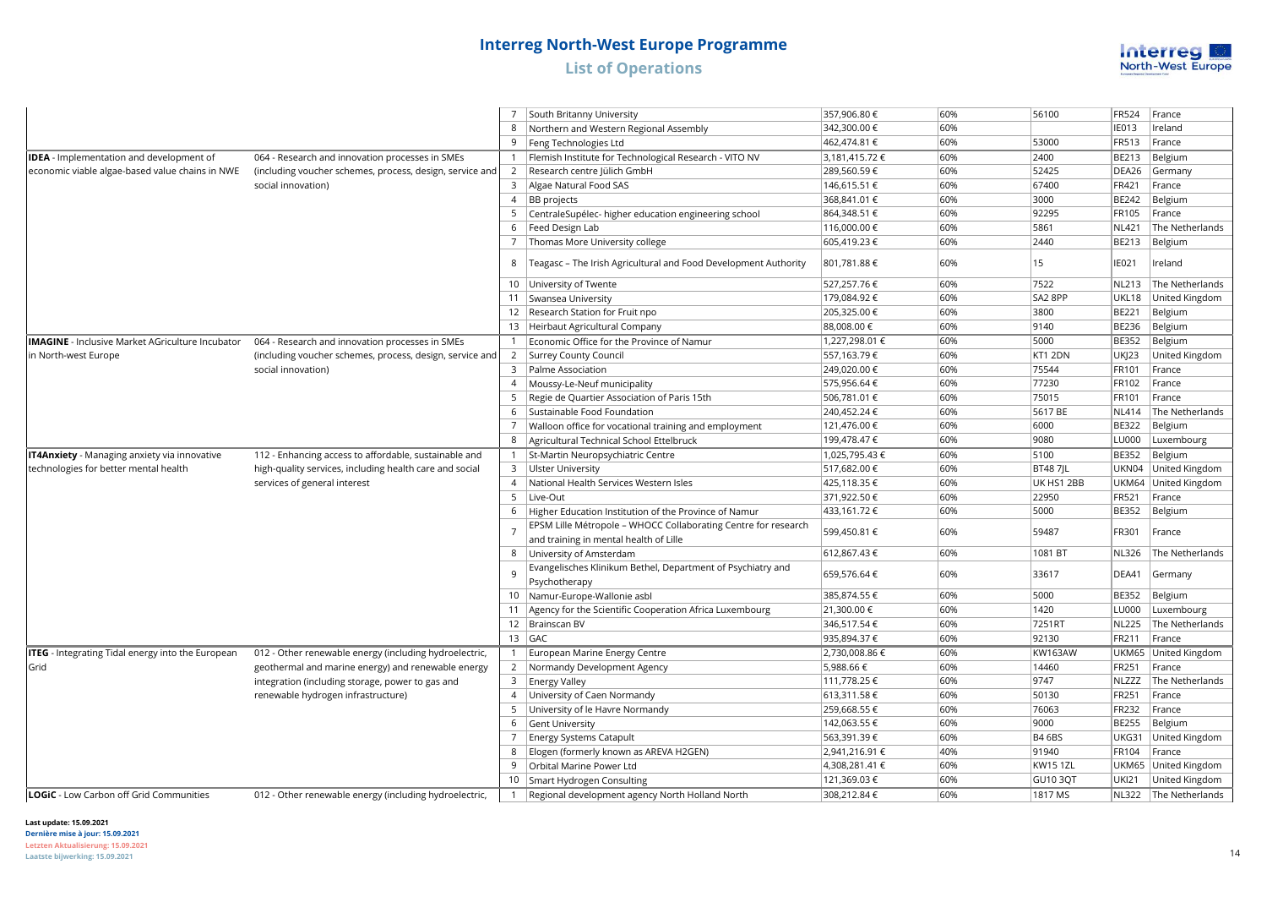

|                                                          |                                                          | 7              | South Britanny University                                                                                | 357,906.80€    | 60% | 56100           | <b>FR524</b> | France                |
|----------------------------------------------------------|----------------------------------------------------------|----------------|----------------------------------------------------------------------------------------------------------|----------------|-----|-----------------|--------------|-----------------------|
|                                                          |                                                          | 8              | Northern and Western Regional Assembly                                                                   | 342,300.00 €   | 60% |                 | <b>IE013</b> | Ireland               |
|                                                          |                                                          | 9              | Feng Technologies Ltd                                                                                    | 462,474.81 €   | 60% | 53000           | <b>FR513</b> | France                |
| <b>IDEA</b> - Implementation and development of          | 064 - Research and innovation processes in SMEs          |                | 1   Flemish Institute for Technological Research - VITO NV                                               | 3,181,415.72 € | 60% | 2400            | <b>BE213</b> | Belgium               |
| economic viable algae-based value chains in NWE          | (including voucher schemes, process, design, service and | <sup>2</sup>   | Research centre Jülich GmbH                                                                              | 289,560.59€    | 60% | 52425           | DEA26        | Germany               |
|                                                          | social innovation)                                       |                | 3 Algae Natural Food SAS                                                                                 | 146,615.51 €   | 60% | 67400           | FR421        | France                |
|                                                          |                                                          | $\overline{4}$ | <b>BB</b> projects                                                                                       | 368,841.01 €   | 60% | 3000            | <b>BE242</b> | Belgium               |
|                                                          |                                                          | 5              | CentraleSupélec-higher education engineering school                                                      | 864,348.51 €   | 60% | 92295           | <b>FR105</b> | France                |
|                                                          |                                                          | 6              | Feed Design Lab                                                                                          | 116,000.00 €   | 60% | 5861            | <b>NL421</b> | The Netherlands       |
|                                                          |                                                          |                | Thomas More University college                                                                           | 605,419.23€    | 60% | 2440            | <b>BE213</b> | Belgium               |
|                                                          |                                                          | 8              | Teagasc - The Irish Agricultural and Food Development Authority                                          | 801,781.88€    | 60% | 15              | <b>IE021</b> | Ireland               |
|                                                          |                                                          |                | 10   University of Twente                                                                                | 527,257.76€    | 60% | 7522            | <b>NL213</b> | The Netherlands       |
|                                                          |                                                          |                | 11   Swansea University                                                                                  | 179,084.92 €   | 60% | SA2 8PP         | UKL18        | United Kingdom        |
|                                                          |                                                          |                | 12 Research Station for Fruit npo                                                                        | 205,325.00 €   | 60% | 3800            | <b>BE221</b> | Belgium               |
|                                                          |                                                          |                | 13 Heirbaut Agricultural Company                                                                         | 88,008.00 €    | 60% | 9140            | <b>BE236</b> | Belgium               |
| <b>IMAGINE</b> - Inclusive Market AGriculture Incubator  | 064 - Research and innovation processes in SMEs          |                | 1 Economic Office for the Province of Namur                                                              | 1,227,298.01 € | 60% | 5000            | <b>BE352</b> | Belgium               |
| in North-west Europe                                     | (including voucher schemes, process, design, service and | 2              | Surrey County Council                                                                                    | 557,163.79€    | 60% | KT1 2DN         | <b>UKJ23</b> | United Kingdom        |
|                                                          | social innovation)                                       | $\overline{3}$ | Palme Association                                                                                        | 249,020.00 €   | 60% | 75544           | FR101        | France                |
|                                                          |                                                          | $\overline{4}$ | Moussy-Le-Neuf municipality                                                                              | 575,956.64€    | 60% | 77230           | FR102        | France                |
|                                                          |                                                          | 5              | Regie de Quartier Association of Paris 15th                                                              | 506,781.01 €   | 60% | 75015           | FR101        | France                |
|                                                          |                                                          | 6              | Sustainable Food Foundation                                                                              | 240,452.24 €   | 60% | 5617 BE         | <b>NL414</b> | The Netherlands       |
|                                                          |                                                          | $\overline{7}$ | Walloon office for vocational training and employment                                                    | 121,476.00 €   | 60% | 6000            | <b>BE322</b> | Belgium               |
|                                                          |                                                          | 8              | Agricultural Technical School Ettelbruck                                                                 | 199,478.47 €   | 60% | 9080            | <b>LU000</b> | Luxembourg            |
| IT4Anxiety - Managing anxiety via innovative             | 112 - Enhancing access to affordable, sustainable and    |                | 1   St-Martin Neuropsychiatric Centre                                                                    | 1,025,795.43 € | 60% | 5100            | <b>BE352</b> | Belgium               |
| technologies for better mental health                    | high-quality services, including health care and social  |                | 3   Ulster University                                                                                    | 517,682.00 €   | 60% | <b>BT487IL</b>  | UKN04        | United Kingdom        |
|                                                          | services of general interest                             | $\overline{4}$ | National Health Services Western Isles                                                                   | 425,118.35 €   | 60% | UK HS1 2BB      | UKM64        | United Kingdom        |
|                                                          |                                                          | 5              | Live-Out                                                                                                 | 371,922.50€    | 60% | 22950           | <b>FR521</b> | France                |
|                                                          |                                                          | 6              | Higher Education Institution of the Province of Namur                                                    | 433,161.72 €   | 60% | 5000            | <b>BE352</b> | Belgium               |
|                                                          |                                                          | $\overline{7}$ | EPSM Lille Métropole - WHOCC Collaborating Centre for research<br>and training in mental health of Lille | 599,450.81 €   | 60% | 59487           | FR301        | France                |
|                                                          |                                                          | 8              | University of Amsterdam                                                                                  | 612,867.43€    | 60% | 1081 BT         | <b>NL326</b> | The Netherlands       |
|                                                          |                                                          | 9              | Evangelisches Klinikum Bethel, Department of Psychiatry and<br>Psychotherapy                             | 659,576.64 €   | 60% | 33617           | DEA41        | Germany               |
|                                                          |                                                          |                | 10   Namur-Europe-Wallonie asbl                                                                          | 385,874.55 €   | 60% | 5000            | <b>BE352</b> | Belgium               |
|                                                          |                                                          | 11             | Agency for the Scientific Cooperation Africa Luxembourg                                                  | 21,300.00 €    | 60% | 1420            | <b>LU000</b> | Luxembourg            |
|                                                          |                                                          |                | 12   Brainscan BV                                                                                        | 346,517.54 €   | 60% | 7251RT          | <b>NL225</b> | The Netherlands       |
|                                                          |                                                          |                | $13$ GAC                                                                                                 | 935,894.37€    | 60% | 92130           | FR211        | France                |
| <b>ITEG</b> - Integrating Tidal energy into the European | 012 - Other renewable energy (including hydroelectric,   |                | 1   European Marine Energy Centre                                                                        | 2,730,008.86 € | 60% | <b>KW163AW</b>  | UKM65        | United Kingdom        |
| Grid                                                     | geothermal and marine energy) and renewable energy       |                | 2   Normandy Development Agency                                                                          | 5,988.66€      | 60% | 14460           | <b>FR251</b> | France                |
|                                                          | integration (including storage, power to gas and         | 3              | <b>Energy Valley</b>                                                                                     | 111,778.25 €   | 60% | 9747            | <b>NLZZZ</b> | The Netherlands       |
|                                                          | renewable hydrogen infrastructure)                       |                | 4 University of Caen Normandy                                                                            | 613,311.58€    | 60% | 50130           | FR251        | France                |
|                                                          |                                                          | 5              | University of le Havre Normandy                                                                          | 259,668.55€    | 60% | 76063           | <b>FR232</b> | France                |
|                                                          |                                                          | 6              | Gent University                                                                                          | 142,063.55 €   | 60% | 9000            | <b>BE255</b> | Belgium               |
|                                                          |                                                          | 7              | Energy Systems Catapult                                                                                  | 563,391.39€    | 60% | <b>B4 6BS</b>   | UKG31        | United Kingdom        |
|                                                          |                                                          | 8              | Elogen (formerly known as AREVA H2GEN)                                                                   | 2,941,216.91 € | 40% | 91940           | FR104        | France                |
|                                                          |                                                          | 9              | Orbital Marine Power Ltd                                                                                 | 4,308,281.41 € | 60% | <b>KW15 1ZL</b> |              | UKM65 United Kingdom  |
|                                                          |                                                          |                | 10 Smart Hydrogen Consulting                                                                             | 121,369.03 €   | 60% | <b>GU10 3OT</b> | <b>UKI21</b> | United Kingdom        |
| LOGIC - Low Carbon off Grid Communities                  | 012 - Other renewable energy (including hydroelectric,   | $\mathbf{1}$   | Regional development agency North Holland North                                                          | 308.212.84€    | 60% | 1817 MS         |              | NL322 The Netherlands |

### **Last update: 15.09.2021**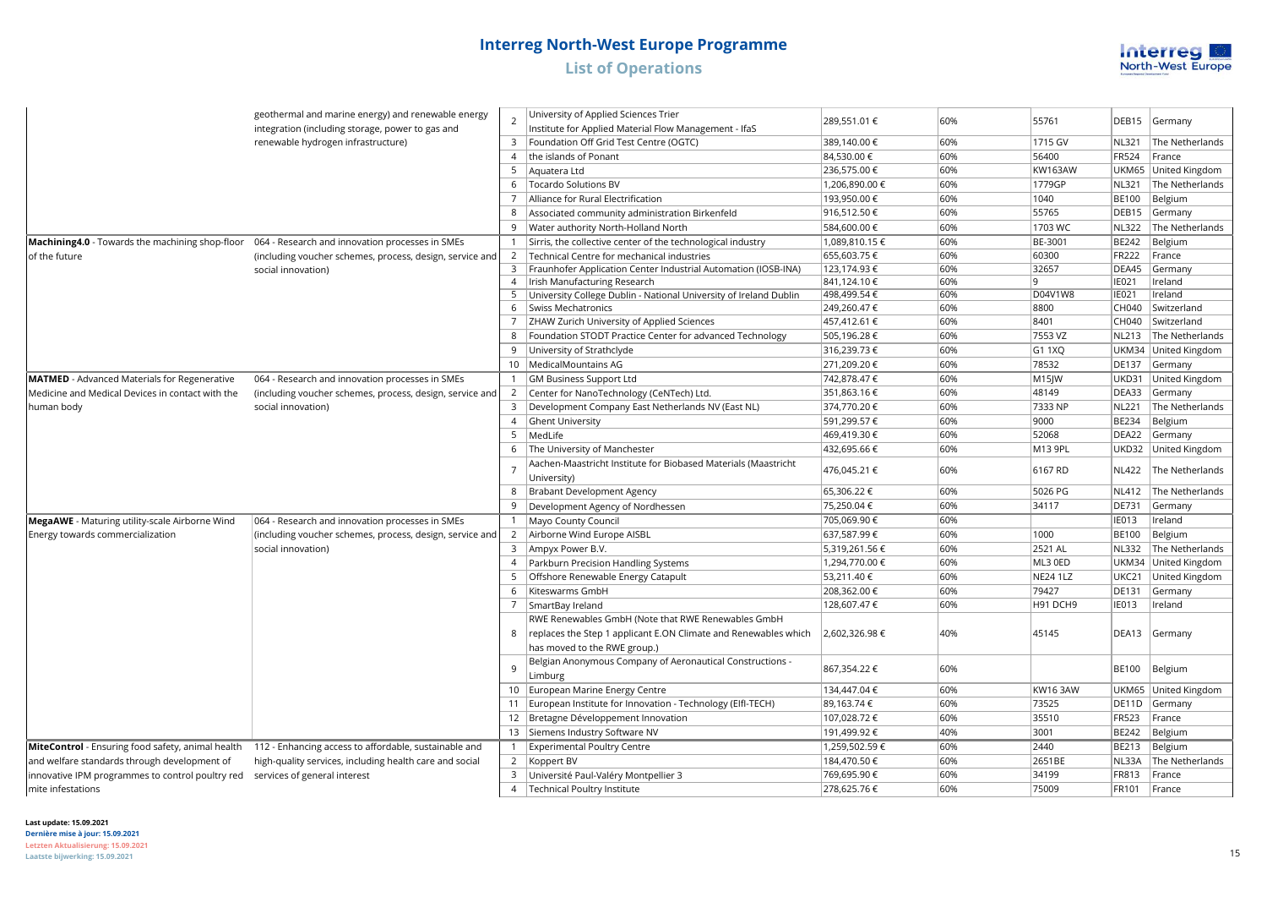

|                                                                                                 | geothermal and marine energy) and renewable energy<br>integration (including storage, power to gas and | $\overline{2}$ | University of Applied Sciences Trier<br>Institute for Applied Material Flow Management - IfaS | 289,551.01 €   | 60%        | 55761              | DEB15             | Germany              |
|-------------------------------------------------------------------------------------------------|--------------------------------------------------------------------------------------------------------|----------------|-----------------------------------------------------------------------------------------------|----------------|------------|--------------------|-------------------|----------------------|
|                                                                                                 | renewable hydrogen infrastructure)                                                                     |                | 3   Foundation Off Grid Test Centre (OGTC)                                                    | 389,140.00 €   | 60%        | 1715 GV            | <b>NL321</b>      | The Netherlands      |
|                                                                                                 |                                                                                                        | $\overline{4}$ | the islands of Ponant                                                                         | 84,530.00 €    | 60%        | 56400              | <b>FR524</b>      | France               |
|                                                                                                 |                                                                                                        | 5              | Aquatera Ltd                                                                                  | 236,575.00 €   | 60%        | <b>KW163AW</b>     |                   | UKM65 United Kingdom |
|                                                                                                 |                                                                                                        |                | 6   Tocardo Solutions BV                                                                      | 1,206,890.00 € | 60%        | 1779GP             | <b>NL321</b>      | The Netherlands      |
|                                                                                                 |                                                                                                        | 7              |                                                                                               |                | 60%        |                    |                   |                      |
|                                                                                                 |                                                                                                        |                | Alliance for Rural Electrification                                                            | 193,950.00 €   |            | 1040               | <b>BE100</b>      | Belgium              |
|                                                                                                 |                                                                                                        | 8              | Associated community administration Birkenfeld                                                | 916,512.50€    | 60%        | 55765              | DEB <sub>15</sub> | Germany              |
|                                                                                                 |                                                                                                        | 9              | Water authority North-Holland North                                                           | 584,600.00 €   | 60%        | 1703 WC            | <b>NL322</b>      | The Netherlands      |
| Machining4.0 - Towards the machining shop-floor 064 - Research and innovation processes in SMEs |                                                                                                        |                | 1 Sirris, the collective center of the technological industry                                 | 1,089,810.15€  | 60%        | BE-3001            | <b>BE242</b>      | Belgium              |
| of the future                                                                                   | (including voucher schemes, process, design, service and                                               |                | 2   Technical Centre for mechanical industries                                                | 655,603.75€    | 60%        | 60300              | <b>FR222</b>      | France               |
|                                                                                                 | social innovation)                                                                                     |                | 3   Fraunhofer Application Center Industrial Automation (IOSB-INA)                            | 123,174.93 €   | 60%        | 32657              | DEA45             | Germany              |
|                                                                                                 |                                                                                                        |                | 4   Irish Manufacturing Research                                                              | 841,124.10€    | 60%        | l 9                | IE021             | Ireland              |
|                                                                                                 |                                                                                                        |                | 5 University College Dublin - National University of Ireland Dublin                           | 498,499.54€    | 60%<br>60% | D04V1W8<br>8800    | IE021             | Ireland              |
|                                                                                                 |                                                                                                        | 6              | Swiss Mechatronics                                                                            | 249,260.47€    |            |                    | CH040             | Switzerland          |
|                                                                                                 |                                                                                                        | $\overline{7}$ | ZHAW Zurich University of Applied Sciences                                                    | 457,412.61 €   | 60%        | 8401               | CH040             | Switzerland          |
|                                                                                                 |                                                                                                        | 8              | Foundation STODT Practice Center for advanced Technology                                      | 505,196.28€    | 60%        | 7553 VZ            | <b>NL213</b>      | The Netherlands      |
|                                                                                                 |                                                                                                        | 9              | University of Strathclyde                                                                     | 316,239.73€    | 60%        | G1 1XQ             |                   | UKM34 United Kingdom |
|                                                                                                 |                                                                                                        |                | 10   Medical Mountains AG                                                                     | 271,209.20€    | 60%        | 78532              | <b>DE137</b>      | Germany              |
| <b>MATMED</b> - Advanced Materials for Regenerative                                             | 064 - Research and innovation processes in SMEs                                                        |                | 1 GM Business Support Ltd                                                                     | 742,878.47 €   | 60%        | M <sub>15</sub> JW | UKD31             | United Kingdom       |
| Medicine and Medical Devices in contact with the                                                | (including voucher schemes, process, design, service and                                               |                | 2 Center for NanoTechnology (CeNTech) Ltd.                                                    | 351,863.16€    | 60%        | 48149              | DEA33             | Germany              |
| human body                                                                                      | social innovation)                                                                                     |                | 3   Development Company East Netherlands NV (East NL)                                         | 374,770.20€    | 60%        | 7333 NP            | <b>NL221</b>      | The Netherlands      |
|                                                                                                 |                                                                                                        | $\overline{4}$ | <b>Ghent University</b>                                                                       | 591,299.57€    | 60%        | 9000               | <b>BE234</b>      | Belgium              |
|                                                                                                 |                                                                                                        |                | 5   MedLife                                                                                   | 469,419.30 €   | 60%        | 52068              | DEA22             | Germany              |
|                                                                                                 |                                                                                                        | 6              | The University of Manchester                                                                  | 432,695.66 €   | 60%        | M13 9PL            |                   | UKD32 United Kingdom |
|                                                                                                 |                                                                                                        |                | Aachen-Maastricht Institute for Biobased Materials (Maastricht<br>University)                 | 476,045.21 €   | 60%        | 6167 RD            | <b>NL422</b>      | The Netherlands      |
|                                                                                                 |                                                                                                        | 8              | Brabant Development Agency                                                                    | 65,306.22€     | 60%        | 5026 PG            | <b>NL412</b>      | The Netherlands      |
|                                                                                                 |                                                                                                        | 9              | Development Agency of Nordhessen                                                              | 75,250.04€     | 60%        | 34117              | <b>DE731</b>      | Germany              |
| MegaAWE - Maturing utility-scale Airborne Wind                                                  | 064 - Research and innovation processes in SMEs                                                        | $\mathbf{1}$   | Mayo County Council                                                                           | 705,069.90€    | 60%        |                    | <b>IE013</b>      | Ireland              |
| Energy towards commercialization                                                                | (including voucher schemes, process, design, service and                                               |                | 2   Airborne Wind Europe AISBL                                                                | 637,587.99€    | 60%        | 1000               | <b>BE100</b>      | Belgium              |
|                                                                                                 | social innovation)                                                                                     |                | 3   Ampyx Power B.V.                                                                          | 5,319,261.56€  | 60%        | 2521 AL            | <b>NL332</b>      | The Netherlands      |
|                                                                                                 |                                                                                                        |                | 4   Parkburn Precision Handling Systems                                                       | 1,294,770.00 € | 60%        | ML3 0ED            |                   | UKM34 United Kingdom |
|                                                                                                 |                                                                                                        | 5              | Offshore Renewable Energy Catapult                                                            | 53,211.40 €    | 60%        | <b>NE24 1LZ</b>    | UKC21             | United Kingdom       |
|                                                                                                 |                                                                                                        | 6              | Kiteswarms GmbH                                                                               | 208,362.00 €   | 60%        | 79427              | DE131             | Germany              |
|                                                                                                 |                                                                                                        | $\overline{7}$ | SmartBay Ireland                                                                              | 128,607.47 €   | 60%        | H91 DCH9           | <b>IE013</b>      | Ireland              |
|                                                                                                 |                                                                                                        |                | RWE Renewables GmbH (Note that RWE Renewables GmbH                                            |                |            |                    |                   |                      |
|                                                                                                 |                                                                                                        | 8              | replaces the Step 1 applicant E.ON Climate and Renewables which                               | 2,602,326.98€  | 40%        | 45145              | DEA13             | Germany              |
|                                                                                                 |                                                                                                        |                | has moved to the RWE group.)                                                                  |                |            |                    |                   |                      |
|                                                                                                 |                                                                                                        | 9              | Belgian Anonymous Company of Aeronautical Constructions -<br>Limburg                          | 867,354.22€    | 60%        |                    | <b>BE100</b>      | Belgium              |
|                                                                                                 |                                                                                                        |                |                                                                                               |                |            |                    |                   |                      |
|                                                                                                 |                                                                                                        |                | 10 European Marine Energy Centre                                                              | 134,447.04 €   | 60%        | <b>KW16 3AW</b>    |                   | UKM65 United Kingdom |
|                                                                                                 |                                                                                                        |                | 11 European Institute for Innovation - Technology (Elfl-TECH)                                 | 89,163.74€     | 60%        | 73525              |                   | DE11D Germany        |
|                                                                                                 |                                                                                                        |                | 12 Bretagne Développement Innovation                                                          | 107,028.72€    | 60%        | 35510              | <b>FR523</b>      | France               |
|                                                                                                 |                                                                                                        |                | 13 Siemens Industry Software NV                                                               | 191,499.92 €   | 40%        | 3001               | <b>BE242</b>      | Belgium              |
| MiteControl - Ensuring food safety, animal health                                               | 112 - Enhancing access to affordable, sustainable and                                                  | $\mathbf{1}$   | <b>Experimental Poultry Centre</b>                                                            | 1,259,502.59€  | 60%        | 2440               | <b>BE213</b>      | Belgium              |
| and welfare standards through development of                                                    | high-quality services, including health care and social                                                |                | 2 Koppert BV                                                                                  | 184,470.50 €   | 60%        | 2651BE             | NL33A             | The Netherlands      |
| innovative IPM programmes to control poultry red                                                | services of general interest                                                                           | 3              | Université Paul-Valéry Montpellier 3                                                          | 769,695.90€    | 60%        | 34199              | FR813             | France               |
| mite infestations                                                                               |                                                                                                        |                | 4   Technical Poultry Institute                                                               | 278,625.76€    | 60%        | 75009              | FR101             | France               |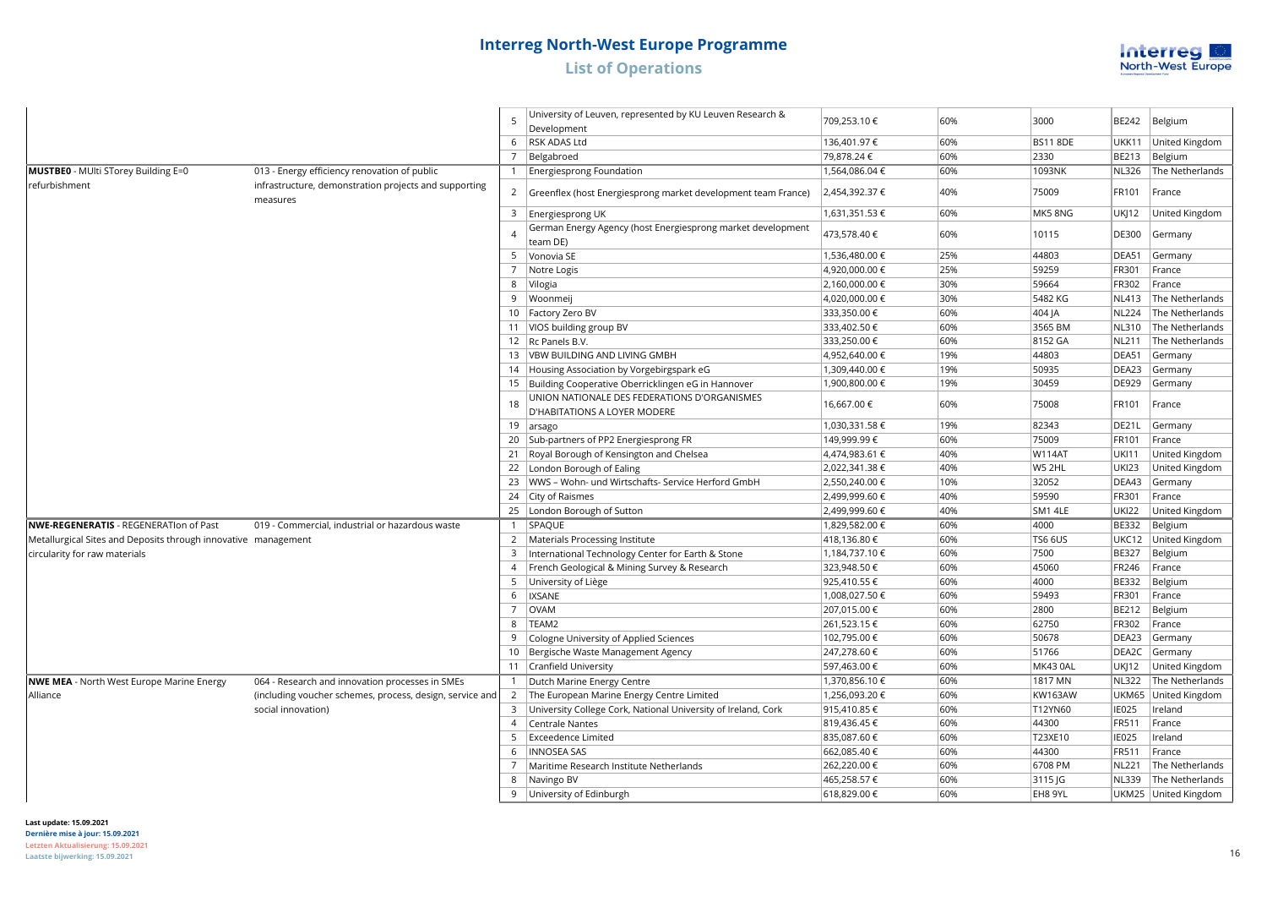

|                                                                |                                                                   |                | University of Leuven, represented by KU Leuven Research &                    |                |     |                 |              |                         |
|----------------------------------------------------------------|-------------------------------------------------------------------|----------------|------------------------------------------------------------------------------|----------------|-----|-----------------|--------------|-------------------------|
|                                                                |                                                                   | 5              | Development                                                                  | 709,253.10 €   | 60% | 3000            | BE242        | Belgium                 |
|                                                                |                                                                   |                | 6 RSK ADAS Ltd                                                               | 136,401.97 €   | 60% | <b>BS11 8DE</b> | UKK11        | United Kingdom          |
|                                                                |                                                                   |                | 7 Belgabroed                                                                 | 79,878.24 €    | 60% | 2330            | BE213        | Belgium                 |
| MUSTBE0 - MUlti STorey Building E=0                            | 013 - Energy efficiency renovation of public                      |                | 1   Energiesprong Foundation                                                 | 1,564,086.04 € | 60% | 1093NK          | <b>NL326</b> | The Netherlands         |
| refurbishment                                                  | infrastructure, demonstration projects and supporting<br>measures | $\overline{2}$ | Greenflex (host Energiesprong market development team France)                | 2,454,392.37 € | 40% | 75009           | FR101        | France                  |
|                                                                |                                                                   |                | 3   Energiesprong UK                                                         | 1,631,351.53 € | 60% | MK58NG          | UK 12        | United Kingdom          |
|                                                                |                                                                   | $\overline{A}$ | German Energy Agency (host Energiesprong market development<br>team DE)      | 473,578.40 €   | 60% | 10115           | DE300        | Germany                 |
|                                                                |                                                                   |                | 5 Vonovia SE                                                                 | 1,536,480.00 € | 25% | 44803           | DEA51        | Germany                 |
|                                                                |                                                                   |                | 7   Notre Logis                                                              | 4,920,000.00 € | 25% | 59259           | FR301        | France                  |
|                                                                |                                                                   |                | 8   Vilogia                                                                  | 2,160,000.00 € | 30% | 59664           | FR302        | France                  |
|                                                                |                                                                   |                | 9 Woonmeij                                                                   | 4,020,000.00 € | 30% | 5482 KG         | <b>NL413</b> | The Netherlands         |
|                                                                |                                                                   |                | 10   Factory Zero BV                                                         | 333,350.00 €   | 60% | 404 JA          | <b>NL224</b> | The Netherlands         |
|                                                                |                                                                   |                | 11 VIOS building group BV                                                    | 333,402.50 €   | 60% | 3565 BM         | NL310        | The Netherlands         |
|                                                                |                                                                   |                | 12   Rc Panels B.V.                                                          | 333,250.00 €   | 60% | 8152 GA         | <b>NL211</b> | The Netherlands         |
|                                                                |                                                                   |                | 13   VBW BUILDING AND LIVING GMBH                                            | 4,952,640.00 € | 19% | 44803           | DEA51        | Germany                 |
|                                                                |                                                                   |                | 14 Housing Association by Vorgebirgspark eG                                  | 1,309,440.00 € | 19% | 50935           | DEA23        | Germany                 |
|                                                                |                                                                   |                | 15 Building Cooperative Oberricklingen eG in Hannover                        | 1,900,800.00 € | 19% | 30459           | DE929        | Germany                 |
|                                                                |                                                                   | 18             | UNION NATIONALE DES FEDERATIONS D'ORGANISMES<br>D'HABITATIONS A LOYER MODERE | 16,667.00 €    | 60% | 75008           | FR101        | France                  |
|                                                                |                                                                   |                | 19 $ arsago$                                                                 | 1,030,331.58€  | 19% | 82343           | DE21L        | Germany                 |
|                                                                |                                                                   |                | 20 Sub-partners of PP2 Energiesprong FR                                      | 149,999.99 €   | 60% | 75009           | FR101        | France                  |
|                                                                |                                                                   |                | 21   Royal Borough of Kensington and Chelsea                                 | 4,474,983.61 € | 40% | <b>W114AT</b>   | <b>UKI11</b> | United Kingdom          |
|                                                                |                                                                   |                | 22   London Borough of Ealing                                                | 2,022,341.38€  | 40% | W5 2HL          | <b>UKI23</b> | United Kingdom          |
|                                                                |                                                                   |                | 23   WWS - Wohn- und Wirtschafts- Service Herford GmbH                       | 2,550,240.00 € | 10% | 32052           | DEA43        | Germany                 |
|                                                                |                                                                   |                | 24 City of Raismes                                                           | 2,499,999.60 € | 40% | 59590           | FR301        | France                  |
|                                                                |                                                                   |                | 25   London Borough of Sutton                                                | 2,499,999.60€  | 40% | SM1 4LE         | <b>UKI22</b> | United Kingdom          |
| NWE-REGENERATIS - REGENERATIon of Past                         | 019 - Commercial, industrial or hazardous waste                   |                | 1   SPAQUE                                                                   | 1,829,582.00 € | 60% | 4000            | BE332        | Belgium                 |
| Metallurgical Sites and Deposits through innovative management |                                                                   |                | 2   Materials Processing Institute                                           | 418,136.80 €   | 60% | <b>TS6 6US</b>  | UKC12        | United Kingdom          |
| circularity for raw materials                                  |                                                                   |                | 3   International Technology Center for Earth & Stone                        | 1,184,737.10€  | 60% | 7500            | <b>BE327</b> | Belgium                 |
|                                                                |                                                                   |                | 4   French Geological & Mining Survey & Research                             | 323,948.50 €   | 60% | 45060           | FR246        | France                  |
|                                                                |                                                                   |                | 5 University of Liège                                                        | 925,410.55 €   | 60% | 4000            | <b>BE332</b> | Belgium                 |
|                                                                |                                                                   | 6              | <b>IXSANE</b>                                                                | 1,008,027.50 € | 60% | 59493           | FR301        | France                  |
|                                                                |                                                                   |                | 7 OVAM                                                                       | 207,015.00 €   | 60% | 2800            | BE212        | Belgium                 |
|                                                                |                                                                   |                | 8 TEAM2                                                                      | 261,523.15 €   | 60% | 62750           | FR302        | France                  |
|                                                                |                                                                   |                | 9 Cologne University of Applied Sciences                                     | 102,795.00 €   | 60% | 50678           | DEA23        | Germany                 |
|                                                                |                                                                   |                | 10   Bergische Waste Management Agency                                       | 247,278.60 €   | 60% | 51766           |              | DEA2C Germany           |
|                                                                |                                                                   |                | 11 Cranfield University                                                      | 597,463.00 €   | 60% | MK43 0AL        | UKJ12        | United Kingdom          |
| <b>NWE MEA</b> - North West Europe Marine Energy               | 064 - Research and innovation processes in SMEs                   |                | 1   Dutch Marine Energy Centre                                               | 1,370,856.10 € | 60% | 1817 MN         |              | NL322   The Netherlands |
| Alliance                                                       | (including voucher schemes, process, design, service and          |                | 2 The European Marine Energy Centre Limited                                  | 1,256,093.20 € | 60% | <b>KW163AW</b>  | UKM65        | United Kingdom          |
|                                                                | social innovation)                                                |                | 3 University College Cork, National University of Ireland, Cork              | 915,410.85€    | 60% | T12YN60         | IE025        | Ireland                 |
|                                                                |                                                                   |                | 4 Centrale Nantes                                                            | 819,436.45€    | 60% | 44300           | FR511        | France                  |
|                                                                |                                                                   | 5 <sub>1</sub> | <b>Exceedence Limited</b>                                                    | 835,087.60 €   | 60% | T23XE10         | <b>IE025</b> | Ireland                 |
|                                                                |                                                                   | 6              | <b>INNOSEA SAS</b>                                                           | 662,085.40 €   | 60% | 44300           | FR511        | France                  |
|                                                                |                                                                   |                | Maritime Research Institute Netherlands                                      | 262,220.00 €   | 60% | 6708 PM         | <b>NL221</b> | The Netherlands         |
|                                                                |                                                                   |                | 8 Navingo BV                                                                 | 465,258.57€    | 60% | 3115 JG         | NL339        | The Netherlands         |
|                                                                |                                                                   |                | 9 University of Edinburgh                                                    | 618,829.00 €   | 60% | EH8 9YL         |              | UKM25 United Kingdom    |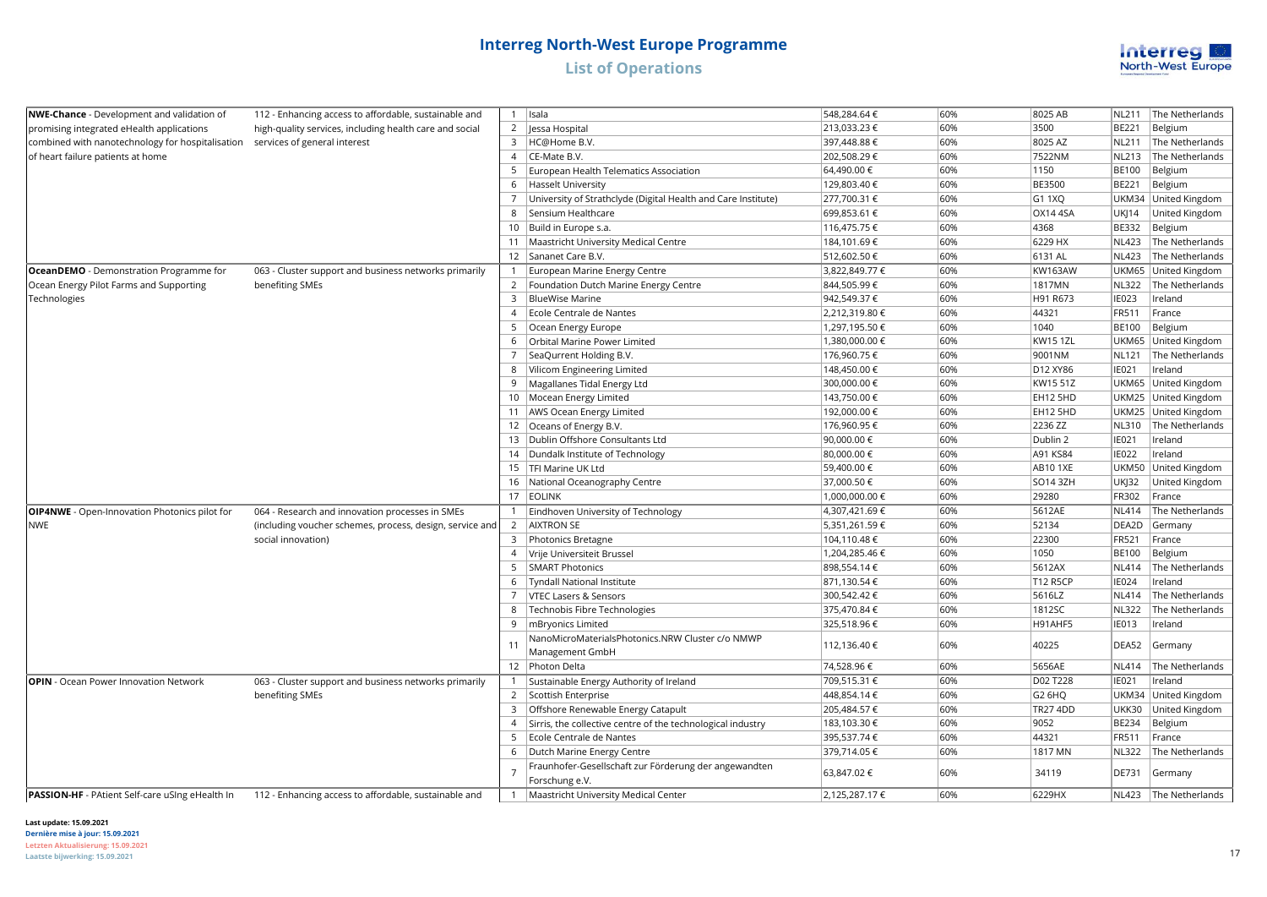

| <b>NWE-Chance</b> - Development and validation of      | 112 - Enhancing access to affordable, sustainable and    |                                      | $1$   Isala                                                         | 548,284.64 €   | 60%            | 8025 AB         | <b>NL211</b>   | The Netherlands       |
|--------------------------------------------------------|----------------------------------------------------------|--------------------------------------|---------------------------------------------------------------------|----------------|----------------|-----------------|----------------|-----------------------|
| promising integrated eHealth applications              | high-quality services, including health care and social  | 2                                    | Jessa Hospital                                                      | 213,033.23 €   | 60%            | 3500            | BE221          | Belgium               |
| combined with nanotechnology for hospitalisation       | services of general interest                             | $\overline{3}$                       | HC@Home B.V.                                                        | 397,448.88 €   | 60%            | 8025 AZ         | <b>NL211</b>   | The Netherlands       |
| of heart failure patients at home                      |                                                          | $\overline{4}$                       | CE-Mate B.V.                                                        | 202,508.29€    | 60%            | 7522NM          | <b>NL213</b>   | The Netherlands       |
|                                                        |                                                          | 5                                    | European Health Telematics Association                              | 64,490.00 €    | 60%            | 1150            | <b>BE100</b>   | Belgium               |
|                                                        |                                                          | 6                                    | Hasselt University                                                  | 129,803.40 €   | 60%            | BE3500          | BE221          | Belgium               |
|                                                        |                                                          | $\overline{7}$                       | University of Strathclyde (Digital Health and Care Institute)       | 277,700.31 €   | 60%            | G1 1XQ          |                | UKM34 United Kingdom  |
|                                                        |                                                          | 8                                    | Sensium Healthcare                                                  | 699,853.61 €   | 60%            | OX14 4SA        | UKJ14          | United Kingdom        |
|                                                        |                                                          |                                      | 10   Build in Europe s.a.                                           | 116,475.75 €   | 60%            | 4368            | BE332          | Belgium               |
|                                                        |                                                          |                                      | 11   Maastricht University Medical Centre                           | 184,101.69€    | 60%            | 6229 HX         | <b>NL423</b>   | The Netherlands       |
|                                                        |                                                          |                                      | 12 Sananet Care B.V.                                                | 512,602.50€    | 60%            | 6131 AL         | <b>NL423</b>   | The Netherlands       |
| OceanDEMO - Demonstration Programme for                | 063 - Cluster support and business networks primarily    |                                      | 1 European Marine Energy Centre                                     | 3,822,849.77 € | 60%            | <b>KW163AW</b>  |                | UKM65 United Kingdom  |
| Ocean Energy Pilot Farms and Supporting                | benefiting SMEs                                          |                                      | 2   Foundation Dutch Marine Energy Centre                           | 844,505.99€    | 60%            | 1817MN          | <b>NL322</b>   | The Netherlands       |
| Technologies                                           |                                                          | $\overline{3}$                       | <b>BlueWise Marine</b>                                              | 942,549.37€    | 60%            | H91 R673        | IE023          | Ireland               |
|                                                        |                                                          | $\overline{4}$                       | Ecole Centrale de Nantes                                            | 2,212,319.80 € | 60%            | 44321           | FR511          | France                |
|                                                        |                                                          | -5                                   | Ocean Energy Europe                                                 | 1,297,195.50 € | 60%            | 1040            | <b>BE100</b>   | Belgium               |
|                                                        |                                                          | 6                                    | Orbital Marine Power Limited                                        | 1,380,000.00 € | 60%            | <b>KW15 1ZL</b> |                | UKM65 United Kingdom  |
|                                                        |                                                          | $\overline{7}$                       | SeaQurrent Holding B.V.                                             | 176,960.75€    | 60%            | 9001NM          | <b>NL121</b>   | The Netherlands       |
|                                                        |                                                          | 8                                    | Vilicom Engineering Limited                                         | 148,450.00 €   | 60%            | D12 XY86        | IE021          | Ireland               |
|                                                        |                                                          | 9                                    | Magallanes Tidal Energy Ltd                                         | 300,000.00 €   | 60%            | KW15 51Z        |                | UKM65 United Kingdom  |
|                                                        |                                                          |                                      | 10   Mocean Energy Limited                                          | 143,750.00 €   | 60%            | EH12 5HD        |                | UKM25 United Kingdom  |
|                                                        |                                                          |                                      | 11   AWS Ocean Energy Limited                                       | 192,000.00 €   | 60%            | EH12 5HD        |                | UKM25 United Kingdom  |
|                                                        |                                                          |                                      | 12 Oceans of Energy B.V.                                            | 176,960.95€    | 60%            | 2236 ZZ         | NL310          | The Netherlands       |
|                                                        |                                                          |                                      | 13   Dublin Offshore Consultants Ltd                                | 90,000.00 €    | 60%            | Dublin 2        | IE021          | Ireland               |
|                                                        |                                                          | 14   Dundalk Institute of Technology | 80,000.00 €                                                         | 60%            | A91 KS84       | <b>IE022</b>    | Ireland        |                       |
|                                                        |                                                          | 15   TFI Marine UK Ltd               | 59,400.00 €                                                         | 60%            | <b>AB101XE</b> | <b>UKM50</b>    | United Kingdom |                       |
|                                                        |                                                          |                                      | 16 National Oceanography Centre                                     | 37,000.50 €    | 60%            | SO14 3ZH        | <b>UKJ32</b>   | United Kingdom        |
|                                                        |                                                          |                                      | 17 EOLINK                                                           | 1,000,000.00 € | 60%            | 29280           | FR302          | France                |
| OIP4NWE - Open-Innovation Photonics pilot for          | 064 - Research and innovation processes in SMEs          |                                      | 1   Eindhoven University of Technology                              | 4,307,421.69€  | 60%            | 5612AE          | <b>NL414</b>   | The Netherlands       |
| <b>NWE</b>                                             | (including voucher schemes, process, design, service and |                                      | 2 AIXTRON SE                                                        | 5,351,261.59€  | 60%            | 52134           | DEA2D          | Germany               |
|                                                        | social innovation)                                       |                                      | 3 Photonics Bretagne                                                | 104,110.48 €   | 60%            | 22300           | FR521          | France                |
|                                                        |                                                          | $\overline{4}$                       | Vrije Universiteit Brussel                                          | 1,204,285.46 € | 60%            | 1050            | <b>BE100</b>   | Belgium               |
|                                                        |                                                          | 5                                    | SMART Photonics                                                     | 898,554.14 €   | 60%            | 5612AX          | <b>NL414</b>   | The Netherlands       |
|                                                        |                                                          | 6                                    | Tyndall National Institute                                          | 871,130.54€    | 60%            | <b>T12 R5CP</b> | IE024          | Ireland               |
|                                                        |                                                          | $\overline{7}$                       | <b>VTEC Lasers &amp; Sensors</b>                                    | 300,542.42€    | 60%            | 5616LZ          | <b>NL414</b>   | The Netherlands       |
|                                                        |                                                          | 8                                    | Technobis Fibre Technologies                                        | 375,470.84 €   | 60%            | 1812SC          | <b>NL322</b>   | The Netherlands       |
|                                                        |                                                          | 9                                    | mBryonics Limited                                                   | 325,518.96€    | 60%            | H91AHF5         | <b>IE013</b>   | Ireland               |
|                                                        |                                                          | 11                                   | NanoMicroMaterialsPhotonics.NRW Cluster c/o NMWP<br>Management GmbH | 112,136.40 €   | 60%            | 40225           | DEA52          | Germany               |
|                                                        |                                                          |                                      | 12 Photon Delta                                                     | 74,528.96 €    | 60%            | 5656AE          | <b>NL414</b>   | The Netherlands       |
| <b>OPIN</b> - Ocean Power Innovation Network           | 063 - Cluster support and business networks primarily    |                                      | Sustainable Energy Authority of Ireland                             | 709,515.31 €   | 60%            | D02 T228        | IE021          | Ireland               |
|                                                        | benefiting SMEs                                          |                                      | 2 Scottish Enterprise                                               | 448,854.14 €   | 60%            | G2 6HQ          |                | UKM34 United Kingdom  |
|                                                        |                                                          | 3                                    | Offshore Renewable Energy Catapult                                  | 205,484.57€    | 60%            | <b>TR27 4DD</b> | <b>UKK30</b>   | United Kingdom        |
|                                                        |                                                          | $\overline{4}$                       | Sirris, the collective centre of the technological industry         | 183,103.30 €   | 60%            | 9052            | BE234          | Belgium               |
|                                                        |                                                          | 5                                    | Ecole Centrale de Nantes                                            | 395,537.74€    | 60%            | 44321           | FR511          | France                |
|                                                        |                                                          | 6                                    | Dutch Marine Energy Centre                                          | 379,714.05€    | 60%            | 1817 MN         | <b>NL322</b>   | The Netherlands       |
|                                                        |                                                          |                                      | Fraunhofer-Gesellschaft zur Förderung der angewandten               | 63,847.02€     | 60%            | 34119           | DE731          |                       |
|                                                        | $\overline{7}$                                           | Forschung e.V.                       |                                                                     |                |                |                 | Germany        |                       |
| <b>PASSION-HF</b> - PAtient Self-care uSing eHealth In | 112 - Enhancing access to affordable, sustainable and    |                                      | 1   Maastricht University Medical Center                            | 2.125.287.17€  | 60%            | 6229HX          |                | NL423 The Netherlands |

**Last update: 15.09.2021**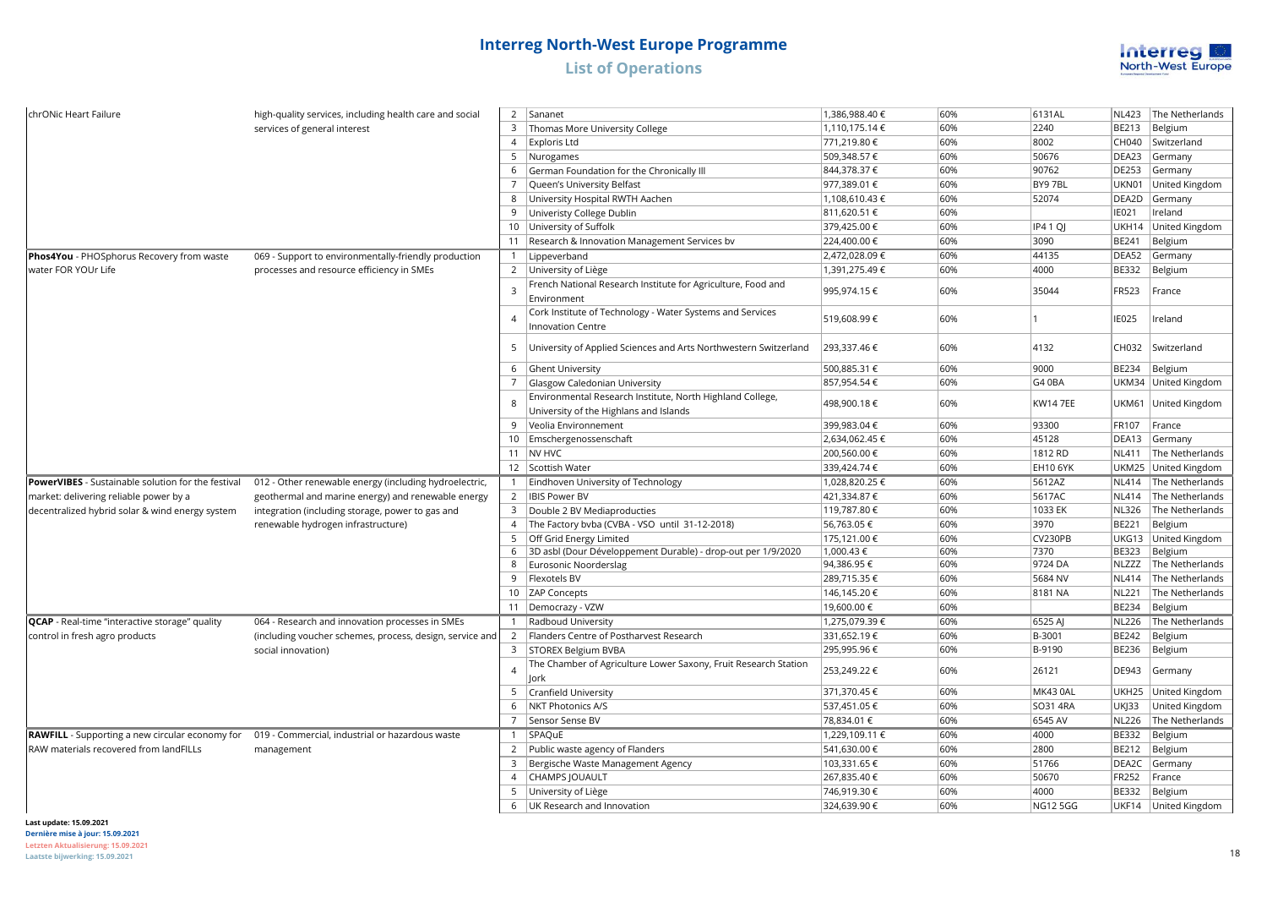

| chrONic Heart Failure                                     | high-quality services, including health care and social  | $\overline{2}$      | Sananet                                                          | 1,386,988.40 € | 60%  | 6131AL          | <b>NL423</b> | The Netherlands      |
|-----------------------------------------------------------|----------------------------------------------------------|---------------------|------------------------------------------------------------------|----------------|------|-----------------|--------------|----------------------|
|                                                           | services of general interest                             | $\overline{3}$      | Thomas More University College                                   | 1,110,175.14€  | 60%  | 2240            | <b>BE213</b> | Belgium              |
|                                                           |                                                          | $\overline{4}$      | Exploris Ltd                                                     | 771,219.80 €   | 60%  | 8002            | CH040        | Switzerland          |
|                                                           |                                                          | 5                   | Nurogames                                                        | 509,348.57€    | 60%  | 50676           | DEA23        | Germany              |
|                                                           |                                                          | 6                   | German Foundation for the Chronically III                        | 844,378.37 €   | 60%  | 90762           | <b>DE253</b> | Germany              |
|                                                           |                                                          | $\overline{7}$      | Queen's University Belfast                                       | 977,389.01 €   | 60%  | BY9 7BL         | UKN01        | United Kingdom       |
|                                                           |                                                          | 8                   | University Hospital RWTH Aachen                                  | 1,108,610.43 € | 60%  | 52074           | DEA2D        | Germany              |
|                                                           |                                                          | 9                   | Univeristy College Dublin                                        | 811,620.51 €   | 60%  |                 | IE021        | Ireland              |
|                                                           |                                                          |                     | 10 University of Suffolk                                         | 379,425.00 €   | 60%  | <b>IP41Q</b>    | UKH14        | United Kingdom       |
|                                                           |                                                          |                     | 11   Research & Innovation Management Services by                | 224,400.00 €   | 60%  | 3090            | <b>BE241</b> | Belgium              |
| Phos4You - PHOSphorus Recovery from waste                 | 069 - Support to environmentally-friendly production     |                     | 1   Lippeverband                                                 | 2,472,028.09€  | 60%  | 44135           | DEA52        | Germany              |
| water FOR YOUr Life                                       | processes and resource efficiency in SMEs                | $\overline{2}$      | University of Liège                                              | 1,391,275.49 € | 60%  | 4000            | <b>BE332</b> | Belgium              |
|                                                           |                                                          |                     | French National Research Institute for Agriculture, Food and     |                |      |                 |              |                      |
|                                                           |                                                          | $\overline{3}$      | Environment                                                      | 995,974.15€    | 60%  | 35044           | FR523        | France               |
|                                                           |                                                          |                     | Cork Institute of Technology - Water Systems and Services        |                |      |                 |              |                      |
|                                                           |                                                          | $\overline{A}$      | <b>Innovation Centre</b>                                         | 519,608.99€    | 60%  |                 | <b>IE025</b> | Ireland              |
|                                                           |                                                          | 5                   | University of Applied Sciences and Arts Northwestern Switzerland | 293,337.46 €   | 60%  | 4132            | CH032        | Switzerland          |
|                                                           |                                                          |                     |                                                                  |                |      |                 |              |                      |
|                                                           |                                                          | 6                   | Ghent University                                                 | 500,885.31 €   | 60%  | 9000            | <b>BE234</b> | Belgium              |
|                                                           |                                                          | $\overline{7}$      | Glasgow Caledonian University                                    | 857,954.54€    | 60%  | G4 0BA          |              | UKM34 United Kingdom |
|                                                           |                                                          | 8                   | Environmental Research Institute, North Highland College,        | 498,900.18 €   | 60%  | <b>KW14 7EE</b> | <b>UKM61</b> | United Kingdom       |
|                                                           |                                                          |                     | University of the Highlans and Islands                           |                |      |                 |              |                      |
|                                                           |                                                          | -9                  | Veolia Environnement                                             | 399,983.04 €   | 60%  | 93300           | FR107        | France               |
|                                                           |                                                          |                     | 10 Emschergenossenschaft                                         | 2,634,062.45€  | 60%  | 45128           | DEA13        | Germany              |
|                                                           |                                                          |                     | 11 NV HVC                                                        | 200,560.00€    | 60%  | 1812 RD         | <b>NL411</b> | The Netherlands      |
|                                                           |                                                          |                     | 12 Scottish Water                                                | 339,424.74 €   | 60%  | <b>EH10 6YK</b> |              | UKM25 United Kingdom |
| <b>PowerVIBES</b> - Sustainable solution for the festival | 012 - Other renewable energy (including hydroelectric,   |                     | 1   Eindhoven University of Technology                           | 1,028,820.25 € | 60%  | 5612AZ          | <b>NL414</b> | The Netherlands      |
| market: delivering reliable power by a                    | geothermal and marine energy) and renewable energy       |                     | 2   IBIS Power BV                                                | 421,334.87 €   | 60%  | 5617AC          | <b>NL414</b> | The Netherlands      |
| decentralized hybrid solar & wind energy system           | integration (including storage, power to gas and         | $\overline{3}$      | Double 2 BV Mediaproducties                                      | 119,787.80 €   | 60%  | 1033 EK         | <b>NL326</b> | The Netherlands      |
|                                                           | renewable hydrogen infrastructure)                       | $\overline{4}$      | The Factory bvba (CVBA - VSO until 31-12-2018)                   | 56,763.05€     | 60%  | 3970            | <b>BE221</b> | Belgium              |
|                                                           |                                                          | -5                  | Off Grid Energy Limited                                          | 175,121.00 €   | 60%  | CV230PB         | UKG13        | United Kingdom       |
|                                                           |                                                          | 6                   | 3D asbl (Dour Développement Durable) - drop-out per 1/9/2020     | 1,000.43 €     | 60%  | 7370            | <b>BE323</b> | Belgium              |
|                                                           |                                                          | 8                   | Eurosonic Noorderslag                                            | 94,386.95€     | 60%  | 9724 DA         | <b>NLZZZ</b> | The Netherlands      |
|                                                           |                                                          | 9                   | Flexotels BV                                                     | 289,715.35€    | 60%  | 5684 NV         | <b>NL414</b> | The Netherlands      |
|                                                           |                                                          |                     | 10 ZAP Concepts                                                  | 146,145.20€    | 60%  | 8181 NA         | <b>NL221</b> | The Netherlands      |
|                                                           |                                                          |                     | 11   Democrazy - VZW                                             | 19,600.00 €    | 60%  |                 | <b>BE234</b> | Belgium              |
| QCAP - Real-time "interactive storage" quality            | 064 - Research and innovation processes in SMEs          |                     | 1 Radboud University                                             | 1,275,079.39€  | 60%  | 6525 AJ         | <b>NL226</b> | The Netherlands      |
| control in fresh agro products                            | (including voucher schemes, process, design, service and | $\overline{2}$      | Flanders Centre of Postharvest Research                          | 331,652.19€    | 60%  | B-3001          | <b>BE242</b> | Belgium              |
|                                                           | social innovation)                                       |                     | 3   STOREX Belgium BVBA                                          | 295,995.96€    | 60%  | B-9190          | <b>BE236</b> | Belgium              |
|                                                           |                                                          | $\overline{a}$      | The Chamber of Agriculture Lower Saxony, Fruit Research Station  | 253,249.22€    | 60%  | 26121           | <b>DE943</b> | Germany              |
|                                                           |                                                          |                     | lork                                                             |                |      |                 |              |                      |
|                                                           |                                                          | 5                   | Cranfield University                                             | 371,370.45€    | 60%  | MK43 0AL        | UKH25        | United Kingdom       |
|                                                           |                                                          | 6                   | NKT Photonics A/S                                                | 537,451.05€    | 60%  | SO31 4RA        | <b>UKJ33</b> | United Kingdom       |
|                                                           |                                                          | $\overline{7}$      | Sensor Sense BV                                                  | 78,834.01 €    | 60%  | 6545 AV         | <b>NL226</b> | The Netherlands      |
| <b>RAWFILL</b> - Supporting a new circular economy for    | 019 - Commercial, industrial or hazardous waste          | $\mathbf{1}$        | SPAQUE                                                           | 1,229,109.11 € | 60%  | 4000            | <b>BE332</b> | Belgium              |
| RAW materials recovered from landFILLs                    | management                                               | $\overline{2}$      | Public waste agency of Flanders                                  | 541,630.00 €   | 60%  | 2800            | <b>BE212</b> | Belgium              |
|                                                           |                                                          | 3                   | Bergische Waste Management Agency                                | 103,331.65 €   | 60%  | 51766           | DEA2C        | Germany              |
|                                                           |                                                          | $\overline{4}$      | CHAMPS JOUAULT                                                   | 267,835.40€    | 60%  | 50670           | <b>FR252</b> | France               |
|                                                           | 5                                                        | University of Liège | 746,919.30 €                                                     | 60%            | 4000 | <b>BE332</b>    | Belgium      |                      |
|                                                           |                                                          | 6                   | UK Research and Innovation                                       | 324,639.90 €   | 60%  | <b>NG125GG</b>  |              | UKF14 United Kingdom |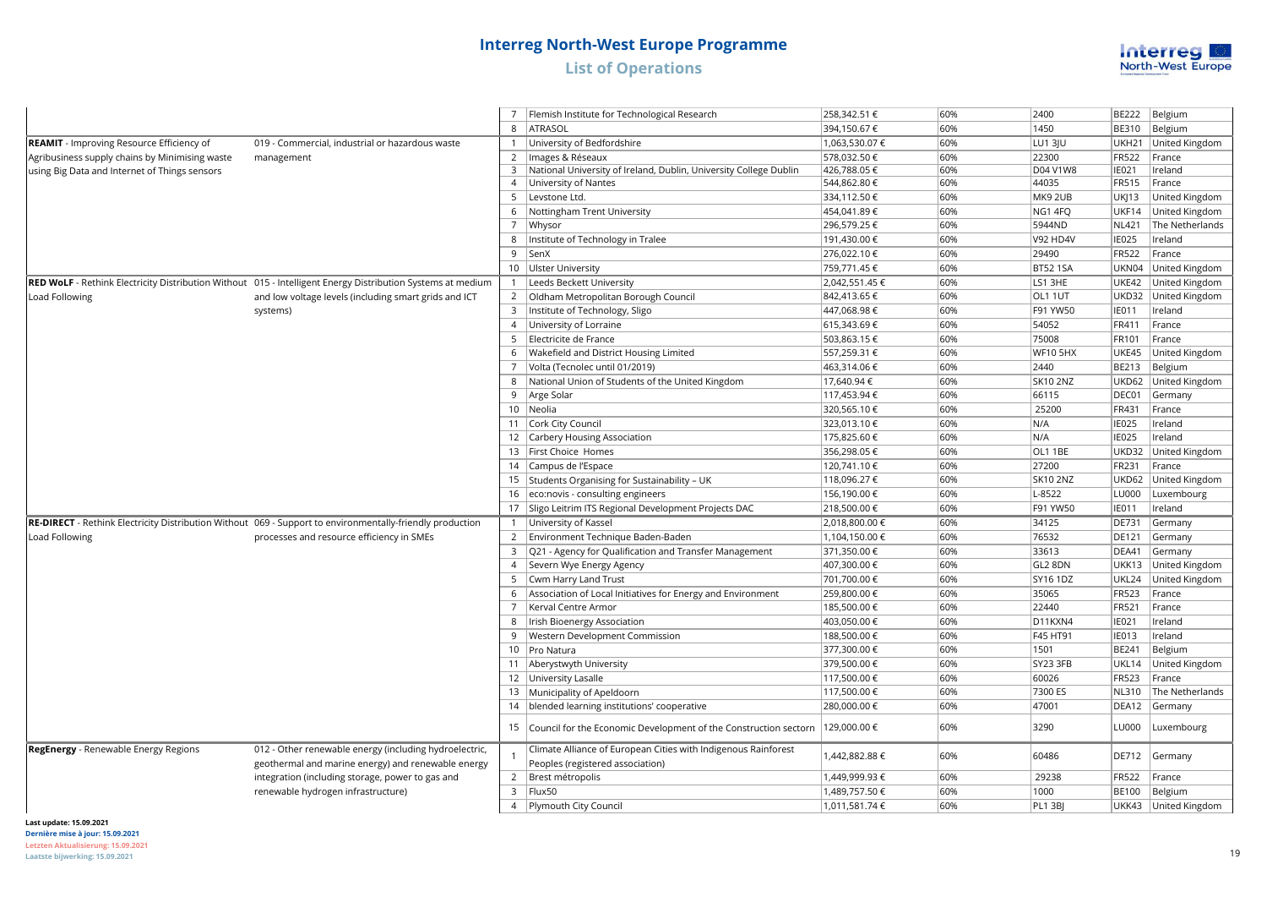

|                                                  |                                                                                                             |                | Flemish Institute for Technological Research                        | 258,342.51 €   | 60% | 2400            | <b>BE222</b> | Belgium              |
|--------------------------------------------------|-------------------------------------------------------------------------------------------------------------|----------------|---------------------------------------------------------------------|----------------|-----|-----------------|--------------|----------------------|
|                                                  |                                                                                                             | 8              | <b>ATRASOL</b>                                                      | 394,150.67€    | 60% | 1450            | <b>BE310</b> | Belgium              |
| <b>REAMIT</b> - Improving Resource Efficiency of | 019 - Commercial, industrial or hazardous waste                                                             | $\mathbf{1}$   | University of Bedfordshire                                          | 1,063,530.07 € | 60% | <b>LU1 3JU</b>  | UKH21        | United Kingdom       |
| Agribusiness supply chains by Minimising waste   | management                                                                                                  |                | 2   Images & Réseaux                                                | 578.032.50 €   | 60% | 22300           | <b>FR522</b> | France               |
| using Big Data and Internet of Things sensors    |                                                                                                             | $\overline{3}$ | National University of Ireland, Dublin, University College Dublin   | 426,788.05€    | 60% | D04 V1W8        | <b>IE021</b> | Ireland              |
|                                                  |                                                                                                             |                | 4   University of Nantes                                            | 544,862.80 €   | 60% | 44035           | <b>FR515</b> | France               |
|                                                  |                                                                                                             |                | 5 Levstone Ltd.                                                     | 334,112.50 €   | 60% | MK9 2UB         | <b>UKJ13</b> | United Kingdom       |
|                                                  |                                                                                                             | 6              | Nottingham Trent University                                         | 454,041.89€    | 60% | NG1 4FO         | UKF14        | United Kingdom       |
|                                                  |                                                                                                             |                | 7   Whysor                                                          | 296,579.25€    | 60% | 5944ND          | <b>NL421</b> | The Netherlands      |
|                                                  |                                                                                                             | 8              | Institute of Technology in Tralee                                   | 191,430.00 €   | 60% | <b>V92 HD4V</b> | <b>IE025</b> | Ireland              |
|                                                  |                                                                                                             |                | 9 SenX                                                              | 276,022.10 €   | 60% | 29490           | FR522        | France               |
|                                                  |                                                                                                             |                | 10   Ulster University                                              | 759,771.45€    | 60% | <b>BT52 1SA</b> | UKN04        | United Kingdom       |
|                                                  | RED WoLF - Rethink Electricity Distribution Without 015 - Intelligent Energy Distribution Systems at medium |                | 1  Leeds Beckett University                                         | 2,042,551.45 € | 60% | LS1 3HE         | UKE42        | United Kingdom       |
| Load Following                                   | and low voltage levels (including smart grids and ICT                                                       |                | 2 <b>Oldham Metropolitan Borough Council</b>                        | 842,413.65 €   | 60% | OL1 1UT         | UKD32        | United Kingdom       |
|                                                  | systems)                                                                                                    |                | 3   Institute of Technology, Sligo                                  | 447,068.98€    | 60% | F91 YW50        | <b>IE011</b> | Ireland              |
|                                                  |                                                                                                             |                | 4 University of Lorraine                                            | 615,343.69€    | 60% | 54052           | FR411        | France               |
|                                                  |                                                                                                             |                | 5 Electricite de France                                             | 503,863.15€    | 60% | 75008           | FR101        | France               |
|                                                  |                                                                                                             |                | 6   Wakefield and District Housing Limited                          | 557,259.31 €   | 60% | <b>WF10 5HX</b> | UKE45        | United Kingdom       |
|                                                  |                                                                                                             |                | 7 Volta (Tecnolec until 01/2019)                                    | 463,314.06 €   | 60% | 2440            | BE213        | Belgium              |
|                                                  |                                                                                                             |                | 8   National Union of Students of the United Kingdom                | 17,640.94 €    | 60% | <b>SK10 2NZ</b> | UKD62        | United Kingdom       |
|                                                  |                                                                                                             |                | 9   Arge Solar                                                      | 117,453.94 €   | 60% | 66115           | DEC01        | Germany              |
|                                                  |                                                                                                             |                | 10 Neolia                                                           | 320,565.10 €   | 60% | 25200           | FR431        | France               |
|                                                  |                                                                                                             |                | 11 Cork City Council                                                | 323,013.10 €   | 60% | N/A             | <b>IE025</b> | Ireland              |
|                                                  |                                                                                                             |                | 12 Carbery Housing Association                                      | 175,825.60 €   | 60% | N/A             | <b>IE025</b> | Ireland              |
|                                                  |                                                                                                             |                | 13   First Choice Homes                                             | 356,298.05€    | 60% | OL1 1BE         | UKD32        | United Kingdom       |
|                                                  |                                                                                                             |                | 14 Campus de l'Espace                                               | 120,741.10 €   | 60% | 27200           | FR231        | France               |
|                                                  |                                                                                                             |                | 15   Students Organising for Sustainability - UK                    | 118,096.27€    | 60% | <b>SK10 2NZ</b> | UKD62        | United Kingdom       |
|                                                  |                                                                                                             |                | 16 eco:novis - consulting engineers                                 | 156,190.00 €   | 60% | L-8522          | LU000        | Luxembourg           |
|                                                  |                                                                                                             |                | 17 Sligo Leitrim ITS Regional Development Projects DAC              | 218,500.00 €   | 60% | F91 YW50        | <b>IE011</b> | Ireland              |
|                                                  | RE-DIRECT - Rethink Electricity Distribution Without 069 - Support to environmentally-friendly production   |                | 1 University of Kassel                                              | 2,018,800.00 € | 60% | 34125           | <b>DE731</b> | Germany              |
| Load Following                                   | processes and resource efficiency in SMEs                                                                   |                | 2 Environment Technique Baden-Baden                                 | 1,104,150.00 € | 60% | 76532           | DE121        | Germany              |
|                                                  |                                                                                                             |                | 3   Q21 - Agency for Qualification and Transfer Management          | 371,350.00 €   | 60% | 33613           | DEA41        | Germany              |
|                                                  |                                                                                                             |                | 4   Severn Wye Energy Agency                                        | 407,300.00 €   | 60% | GL2 8DN         | UKK13        | United Kingdom       |
|                                                  |                                                                                                             |                | 5   Cwm Harry Land Trust                                            | 701,700.00 €   | 60% | SY16 1DZ        | UKL24        | United Kingdom       |
|                                                  |                                                                                                             |                | 6 Association of Local Initiatives for Energy and Environment       | 259,800.00 €   | 60% | 35065           | FR523        | France               |
|                                                  |                                                                                                             |                | 7   Kerval Centre Armor                                             | 185,500.00 €   | 60% | 22440           | FR521        | France               |
|                                                  |                                                                                                             |                | 8   Irish Bioenergy Association                                     | 403,050.00 €   | 60% | D11KXN4         | IE021        | Ireland              |
|                                                  |                                                                                                             |                | 9   Western Development Commission                                  | 188,500.00 €   | 60% | F45 HT91        | <b>IE013</b> | Ireland              |
|                                                  |                                                                                                             |                | 10   Pro Natura                                                     | 377,300.00 €   | 60% | 1501            | BE241        | Belgium              |
|                                                  |                                                                                                             |                | 11 Aberystwyth University                                           | 379,500.00 €   | 60% | SY23 3FB        | UKL14        | United Kingdom       |
|                                                  |                                                                                                             |                | 12 University Lasalle                                               | 117,500.00 €   | 60% | 60026           | FR523        | France               |
|                                                  |                                                                                                             |                | 13 Municipality of Apeldoorn                                        | 117,500.00 €   | 60% | 7300 ES         | NL310        | The Netherlands      |
|                                                  |                                                                                                             |                | 14 blended learning institutions' cooperative                       | 280,000.00 €   | 60% | 47001           | DEA12        | Germany              |
|                                                  |                                                                                                             |                | 15 Council for the Economic Development of the Construction sectorn | 129,000.00 €   | 60% | 3290            | LU000        | Luxembourg           |
| RegEnergy - Renewable Energy Regions             | 012 - Other renewable energy (including hydroelectric,                                                      |                | Climate Alliance of European Cities with Indigenous Rainforest      | 1,442,882.88 € | 60% | 60486           | DE712        | Germany              |
|                                                  | geothermal and marine energy) and renewable energy                                                          |                | Peoples (registered association)                                    |                |     |                 |              |                      |
|                                                  | integration (including storage, power to gas and                                                            |                | 2   Brest métropolis                                                | 1,449,999.93€  | 60% | 29238           | <b>FR522</b> | France               |
|                                                  | renewable hydrogen infrastructure)                                                                          |                | $3$  Flux50                                                         | 1,489,757.50 € | 60% | 1000            | <b>BE100</b> | Belgium              |
|                                                  |                                                                                                             |                | 4   Plymouth City Council                                           | 1,011,581.74 € | 60% | PL1 3BI         |              | UKK43 United Kingdom |

**Last update: 15.09.2021**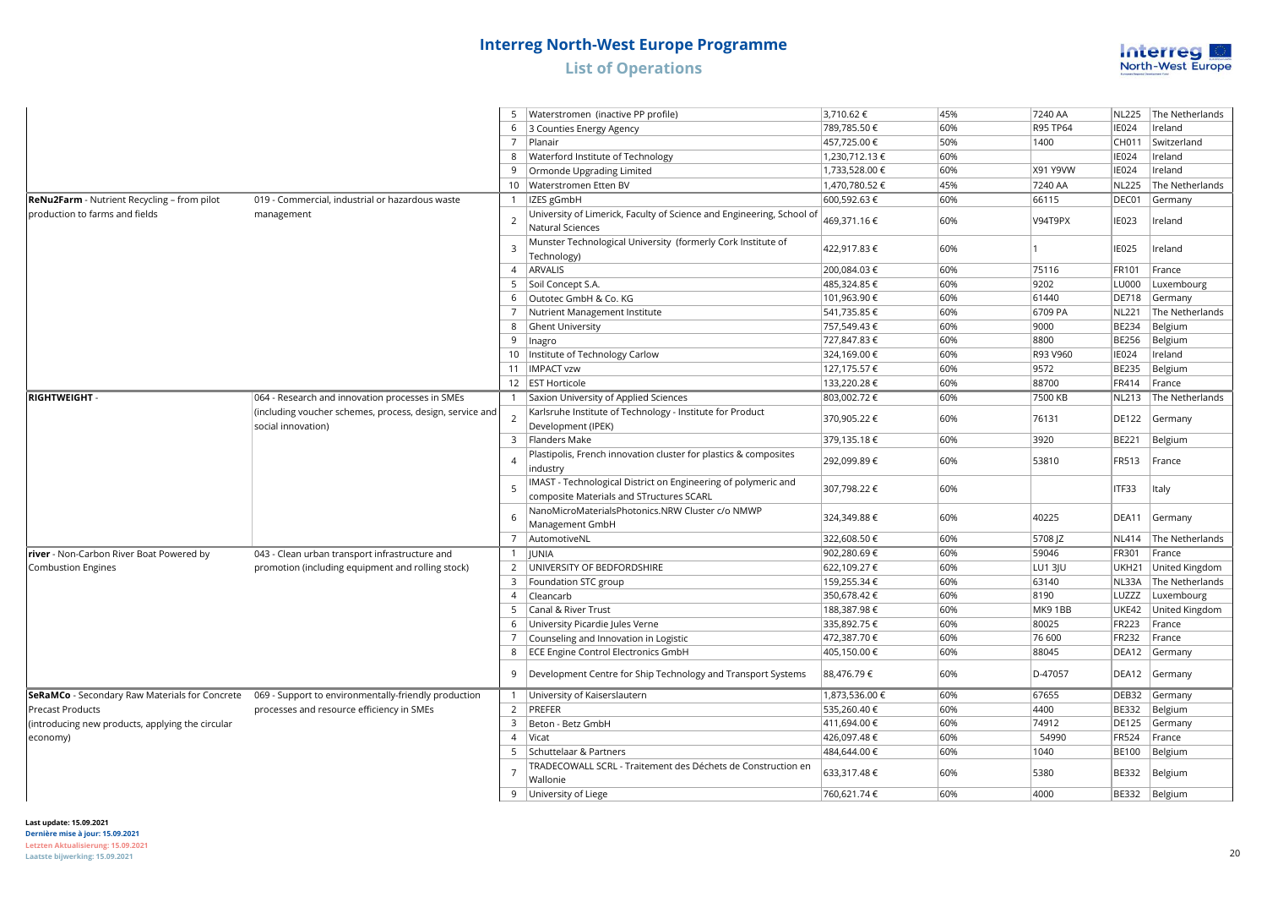### **Interreg North-West Europe Programme List of Operations RegEnergy** - Renewable Energy Regions 012 - Other renewable energy (including hydroelectric,



|                                                  |                                                                                                     |                 | Waterstromen (inactive PP profile)                                                                         | 3,710.62€      | 45% | 7240 AA  | <b>NL225</b> | The Netherlands |
|--------------------------------------------------|-----------------------------------------------------------------------------------------------------|-----------------|------------------------------------------------------------------------------------------------------------|----------------|-----|----------|--------------|-----------------|
|                                                  |                                                                                                     |                 | 6 3 Counties Energy Agency                                                                                 | 789,785.50 €   | 60% | R95 TP64 | <b>IE024</b> | Ireland         |
|                                                  |                                                                                                     | $7^{\circ}$     | Planair                                                                                                    | 457,725.00 €   | 50% | 1400     | CH011        | Switzerland     |
|                                                  |                                                                                                     |                 | 8   Waterford Institute of Technology                                                                      | 1,230,712.13 € | 60% |          | <b>IE024</b> | Ireland         |
|                                                  |                                                                                                     | 9               | Ormonde Upgrading Limited                                                                                  | 1,733,528.00 € | 60% | X91 Y9VW | <b>IE024</b> | Ireland         |
|                                                  |                                                                                                     |                 | 10   Waterstromen Etten BV                                                                                 | 1,470,780.52€  | 45% | 7240 AA  | <b>NL225</b> | The Netherlands |
| ReNu2Farm - Nutrient Recycling - from pilot      | 019 - Commercial, industrial or hazardous waste                                                     | $\mathbf{1}$    | IZES gGmbH                                                                                                 | 600,592.63€    | 60% | 66115    | DEC01        | Germany         |
| production to farms and fields                   | management                                                                                          | $\overline{2}$  | University of Limerick, Faculty of Science and Engineering, School of<br>Natural Sciences                  | 469,371.16 €   | 60% | V94T9PX  | <b>IE023</b> | Ireland         |
|                                                  |                                                                                                     | $\overline{3}$  | Munster Technological University (formerly Cork Institute of<br>Technology)                                | 422,917.83 €   | 60% |          | <b>IE025</b> | Ireland         |
|                                                  |                                                                                                     |                 | 4   ARVALIS                                                                                                | 200,084.03€    | 60% | 75116    | FR101        | France          |
|                                                  |                                                                                                     | 5               | Soil Concept S.A.                                                                                          | 485,324.85 €   | 60% | 9202     | <b>LU000</b> | Luxembourg      |
|                                                  |                                                                                                     |                 | 6 Outotec GmbH & Co. KG                                                                                    | 101,963.90 €   | 60% | 61440    | <b>DE718</b> | Germany         |
|                                                  |                                                                                                     | 7               | Nutrient Management Institute                                                                              | 541,735.85€    | 60% | 6709 PA  | <b>NL221</b> | The Netherlands |
|                                                  |                                                                                                     |                 | 8 Ghent University                                                                                         | 757,549.43€    | 60% | 9000     | <b>BE234</b> | Belgium         |
|                                                  |                                                                                                     | 9               | Inagro                                                                                                     | 727,847.83 €   | 60% | 8800     | <b>BE256</b> | Belgium         |
|                                                  |                                                                                                     | 10 <sup>°</sup> | Institute of Technology Carlow                                                                             | 324,169.00 €   | 60% | R93 V960 | <b>IE024</b> | Ireland         |
|                                                  |                                                                                                     |                 | 11   IMPACT vzw                                                                                            | 127,175.57€    | 60% | 9572     | <b>BE235</b> | Belgium         |
|                                                  |                                                                                                     |                 | 12 EST Horticole                                                                                           | 133,220.28€    | 60% | 88700    | FR414        | France          |
| RIGHTWEIGHT -                                    | 064 - Research and innovation processes in SMEs                                                     | $\overline{1}$  | Saxion University of Applied Sciences                                                                      | 803,002.72€    | 60% | 7500 KB  | <b>NL213</b> | The Netherlands |
|                                                  | (including voucher schemes, process, design, service and<br>social innovation)                      | $\overline{2}$  | Karlsruhe Institute of Technology - Institute for Product<br>Development (IPEK)                            | 370,905.22 €   | 60% | 76131    | <b>DE122</b> | Germany         |
|                                                  |                                                                                                     |                 | 3 Flanders Make                                                                                            | 379,135.18€    | 60% | 3920     | <b>BE221</b> | Belgium         |
|                                                  |                                                                                                     | $\overline{4}$  | Plastipolis, French innovation cluster for plastics & composites<br>industry                               | 292,099.89€    | 60% | 53810    | <b>FR513</b> | France          |
|                                                  |                                                                                                     | $\overline{5}$  | IMAST - Technological District on Engineering of polymeric and<br>composite Materials and STructures SCARL | 307,798.22 €   | 60% |          | ITF33        | Italy           |
|                                                  |                                                                                                     | 6               | NanoMicroMaterialsPhotonics.NRW Cluster c/o NMWP<br>Management GmbH                                        | 324,349.88 €   | 60% | 40225    | DEA11        | Germany         |
|                                                  |                                                                                                     |                 | 7 AutomotiveNL                                                                                             | 322,608.50 €   | 60% | 5708 JZ  | <b>NL414</b> | The Netherlands |
| river - Non-Carbon River Boat Powered by         | 043 - Clean urban transport infrastructure and                                                      | $\mathbf{1}$    | <b>JUNIA</b>                                                                                               | 902,280.69€    | 60% | 59046    | FR301        | France          |
| <b>Combustion Engines</b>                        | promotion (including equipment and rolling stock)                                                   |                 | 2   UNIVERSITY OF BEDFORDSHIRE                                                                             | 622,109.27€    | 60% | LU1 3JU  | UKH21        | United Kingdom  |
|                                                  |                                                                                                     |                 | 3   Foundation STC group                                                                                   | 159,255.34 €   | 60% | 63140    | NL33A        | The Netherlands |
|                                                  |                                                                                                     |                 | 4 Cleancarb                                                                                                | 350,678.42€    | 60% | 8190     | LUZZZ        | Luxembourg      |
|                                                  |                                                                                                     | $5\overline{)}$ | Canal & River Trust                                                                                        | 188,387.98 €   | 60% | MK91BB   | UKE42        | United Kingdom  |
|                                                  |                                                                                                     |                 | 6 University Picardie Jules Verne                                                                          | 335,892.75 €   | 60% | 80025    | <b>FR223</b> | France          |
|                                                  |                                                                                                     | 7               | Counseling and Innovation in Logistic                                                                      | 472,387.70 €   | 60% | 76 600   | FR232        | France          |
|                                                  |                                                                                                     |                 | 8   ECE Engine Control Electronics GmbH                                                                    | 405,150.00 €   | 60% | 88045    | DEA12        | Germany         |
|                                                  |                                                                                                     | 9               | Development Centre for Ship Technology and Transport Systems                                               | 88,476.79€     | 60% | D-47057  | DEA12        | Germany         |
|                                                  | SeRaMCo - Secondary Raw Materials for Concrete 069 - Support to environmentally-friendly production | $\mathbf{1}$    | University of Kaiserslautern                                                                               | 1,873,536.00 € | 60% | 67655    | DEB32        | Germany         |
| <b>Precast Products</b>                          | processes and resource efficiency in SMEs                                                           |                 | 2 PREFER                                                                                                   | 535,260.40 €   | 60% | 4400     | <b>BE332</b> | Belgium         |
| (introducing new products, applying the circular |                                                                                                     | $\overline{3}$  | Beton - Betz GmbH                                                                                          | 411,694.00 €   | 60% | 74912    | <b>DE125</b> | Germany         |
| economy)                                         |                                                                                                     | $\overline{4}$  | Vicat                                                                                                      | 426,097.48€    | 60% | 54990    | <b>FR524</b> | France          |
|                                                  |                                                                                                     | 5               | Schuttelaar & Partners                                                                                     | 484,644.00 €   | 60% | 1040     | <b>BE100</b> | Belgium         |
|                                                  |                                                                                                     |                 | TRADECOWALL SCRL - Traitement des Déchets de Construction en<br>Wallonie                                   | 633,317.48 €   | 60% | 5380     | <b>BE332</b> | Belgium         |
|                                                  |                                                                                                     |                 | 9 University of Liege                                                                                      | 760,621.74 €   | 60% | 4000     |              | BE332 Belgium   |
|                                                  |                                                                                                     |                 |                                                                                                            |                |     |          |              |                 |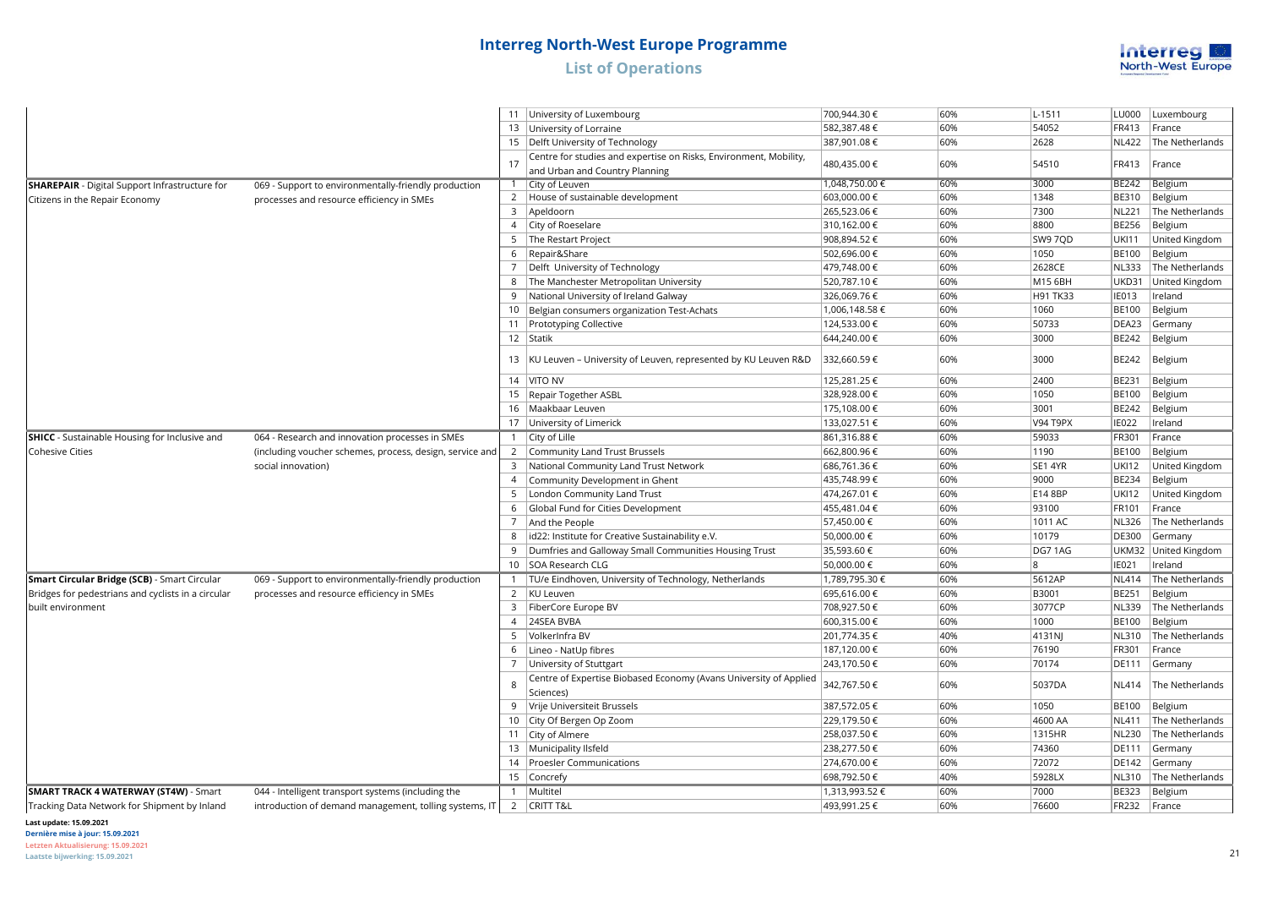

|                                                       |                                                          |                | 11 University of Luxembourg                                                    | 700,944.30 €                | 60%        | $L-1511$        | LU000        | Luxembourg      |
|-------------------------------------------------------|----------------------------------------------------------|----------------|--------------------------------------------------------------------------------|-----------------------------|------------|-----------------|--------------|-----------------|
|                                                       |                                                          |                | 13 University of Lorraine                                                      | 582,387.48€                 | 60%        | 54052           | FR413        | France          |
|                                                       |                                                          |                | 15   Delft University of Technology                                            | 387,901.08€                 | 60%        | 2628            | <b>NL422</b> | The Netherlands |
|                                                       |                                                          | 17             | Centre for studies and expertise on Risks, Environment, Mobility,              | 480,435.00 €                | 60%        | 54510           | FR413        | France          |
|                                                       |                                                          |                | and Urban and Country Planning                                                 |                             |            |                 |              |                 |
| <b>SHAREPAIR</b> - Digital Support Infrastructure for | 069 - Support to environmentally-friendly production     |                | 1 City of Leuven                                                               | 1,048,750.00 €              | 60%        | 3000            | BE242        | Belgium         |
| Citizens in the Repair Economy                        | processes and resource efficiency in SMEs                |                | 2 House of sustainable development                                             | 603,000.00 €                | 60%        | 1348            | <b>BE310</b> | Belgium         |
|                                                       |                                                          | 3              | Apeldoorn                                                                      | 265,523.06€                 | 60%        | 7300            | <b>NL221</b> | The Netherlands |
|                                                       |                                                          |                | 4 City of Roeselare                                                            | 310,162.00 €                | 60%        | 8800            | <b>BE256</b> | Belgium         |
|                                                       |                                                          | 5              | The Restart Project                                                            | 908,894.52€                 | 60%        | SW9 7QD         | <b>UKI11</b> | United Kingdom  |
|                                                       |                                                          | 6              | Repair&Share                                                                   | 502,696.00 €                | 60%        | 1050            | <b>BE100</b> | Belgium         |
|                                                       |                                                          |                | Delft University of Technology                                                 | 479,748.00 €                | 60%        | 2628CE          | <b>NL333</b> | The Netherlands |
|                                                       |                                                          | 8              | The Manchester Metropolitan University                                         | 520,787.10 €                | 60%        | M15 6BH         | <b>UKD31</b> | United Kingdom  |
|                                                       |                                                          |                | National University of Ireland Galway                                          | 326,069.76€                 | 60%        | H91 TK33        | <b>IE013</b> | Ireland         |
|                                                       |                                                          |                | 10 Belgian consumers organization Test-Achats                                  | 1,006,148.58 €              | 60%        | 1060            | <b>BE100</b> | Belgium         |
|                                                       |                                                          | 11             | Prototyping Collective                                                         | 124,533.00 €                | 60%        | 50733           | DEA23        | Germany         |
|                                                       |                                                          |                | 12 Statik                                                                      | 644,240.00 €                | 60%        | 3000            | BE242        | Belgium         |
|                                                       |                                                          | 13             | KU Leuven - University of Leuven, represented by KU Leuven R&D                 | 332,660.59€                 | 60%        | 3000            | BE242        | Belgium         |
|                                                       |                                                          |                | 14 VITO NV                                                                     | 125,281.25€                 | 60%        | 2400            | <b>BE231</b> | Belgium         |
|                                                       |                                                          |                | 15   Repair Together ASBL                                                      | 328,928.00 €                | 60%        | 1050            | <b>BE100</b> | Belgium         |
|                                                       |                                                          | 16             | Maakbaar Leuven                                                                | 175,108.00 €                | 60%        | 3001            | <b>BE242</b> | Belgium         |
|                                                       |                                                          |                | 17 University of Limerick                                                      | 133,027.51 €                | 60%        | V94 T9PX        | <b>IE022</b> | Ireland         |
| <b>SHICC</b> - Sustainable Housing for Inclusive and  | 064 - Research and innovation processes in SMEs          |                | 1 $\vert$ City of Lille                                                        | 861,316.88€                 | 60%        | 59033           | FR301        | France          |
| <b>Cohesive Cities</b>                                | (including voucher schemes, process, design, service and | $\overline{2}$ | Community Land Trust Brussels                                                  | 662,800.96€                 | 60%        | 1190            | <b>BE100</b> | Belgium         |
|                                                       | social innovation)                                       | 3              | National Community Land Trust Network                                          | 686,761.36€                 | 60%        | SE1 4YR         | <b>UKI12</b> | United Kingdom  |
|                                                       |                                                          | $\overline{4}$ | Community Development in Ghent                                                 | 435,748.99€                 | 60%        | 9000            | BE234        | Belgium         |
|                                                       |                                                          |                | London Community Land Trust                                                    | 474,267.01 €                | 60%        | E14 8BP         | UKI12        | United Kingdom  |
|                                                       |                                                          | 6              | Global Fund for Cities Development                                             | 455,481.04 €                | 60%        | 93100           | FR101        | France          |
|                                                       |                                                          |                | And the People                                                                 | 57,450.00 €                 | 60%        | 1011 AC         | <b>NL326</b> | The Netherlands |
|                                                       |                                                          | 8              | id22: Institute for Creative Sustainability e.V.                               | 50,000.00€                  | 60%        | 10179           | DE300        | Germany         |
|                                                       |                                                          | $\mathbf{q}$   | Dumfries and Galloway Small Communities Housing Trust                          | 35,593.60 €                 | 60%        | DG71AG          | UKM32        | United Kingdom  |
|                                                       |                                                          |                | 10 SOA Research CLG                                                            |                             | 60%        | 8               | IE021        | Ireland         |
|                                                       |                                                          |                |                                                                                | 50,000.00 €                 | 60%        |                 |              |                 |
| Smart Circular Bridge (SCB) - Smart Circular          | 069 - Support to environmentally-friendly production     |                | TU/e Eindhoven, University of Technology, Netherlands                          | 1,789,795.30 €              |            | 5612AP          | <b>NL414</b> | The Netherlands |
| Bridges for pedestrians and cyclists in a circular    | processes and resource efficiency in SMEs                |                | 2   KU Leuven                                                                  | 695,616.00 €                | 60%<br>60% | B3001<br>3077CP | BE251        | Belgium         |
| built environment                                     |                                                          | 3              | FiberCore Europe BV<br>4 24SEA BVBA                                            | 708,927.50€                 | 60%        |                 | <b>NL339</b> | The Netherlands |
|                                                       |                                                          |                | VolkerInfra BV                                                                 | 600,315.00 €<br>201,774.35€ | 40%        | 1000            | <b>BE100</b> | Belgium         |
|                                                       |                                                          |                |                                                                                |                             |            | 4131NJ          | NL310        | The Netherlands |
|                                                       |                                                          | 6              | Lineo - NatUp fibres                                                           | 187,120.00 €                | 60%        | 76190           | FR301        | France          |
|                                                       |                                                          |                | University of Stuttgart                                                        | 243,170.50 €                | 60%        | 70174           | DE111        | Germany         |
|                                                       |                                                          | 8              | Centre of Expertise Biobased Economy (Avans University of Applied<br>Sciences) | 342,767.50€                 | 60%        | 5037DA          | NL414        | The Netherlands |
|                                                       |                                                          | 9              | Vrije Universiteit Brussels                                                    | 387,572.05 €                | 60%        | 1050            | <b>BE100</b> | Belgium         |
|                                                       |                                                          | 10             | City Of Bergen Op Zoom                                                         | 229,179.50€                 | 60%        | 4600 AA         | <b>NL411</b> | The Netherlands |
|                                                       |                                                          |                | 11 City of Almere                                                              | 258,037.50 €                | 60%        | 1315HR          | <b>NL230</b> | The Netherlands |
|                                                       |                                                          | 13             | Municipality Ilsfeld                                                           | 238,277.50 €                | 60%        | 74360           | DE111        | Germany         |
|                                                       |                                                          |                | 14 Proesler Communications                                                     | 274,670.00 €                | 60%        | 72072           | <b>DE142</b> | Germany         |
|                                                       |                                                          | 15             | Concrefy                                                                       | 698,792.50€                 | 40%        | 5928LX          | NL310        | The Netherlands |
| <b>SMART TRACK 4 WATERWAY (ST4W) - Smart</b>          | 044 - Intelligent transport systems (including the       |                | 1   Multitel                                                                   | 1,313,993.52€               | 60%        | 7000            | BE323        | Belgium         |
| Tracking Data Network for Shipment by Inland          | introduction of demand management, tolling systems, IT   |                | 2   CRITT T&L                                                                  | 493,991.25€                 | 60%        | 76600           | FR232        | France          |

### Waterway **Last update: 15.09.2021**

**Dernière mise à jour: 15.09.2021**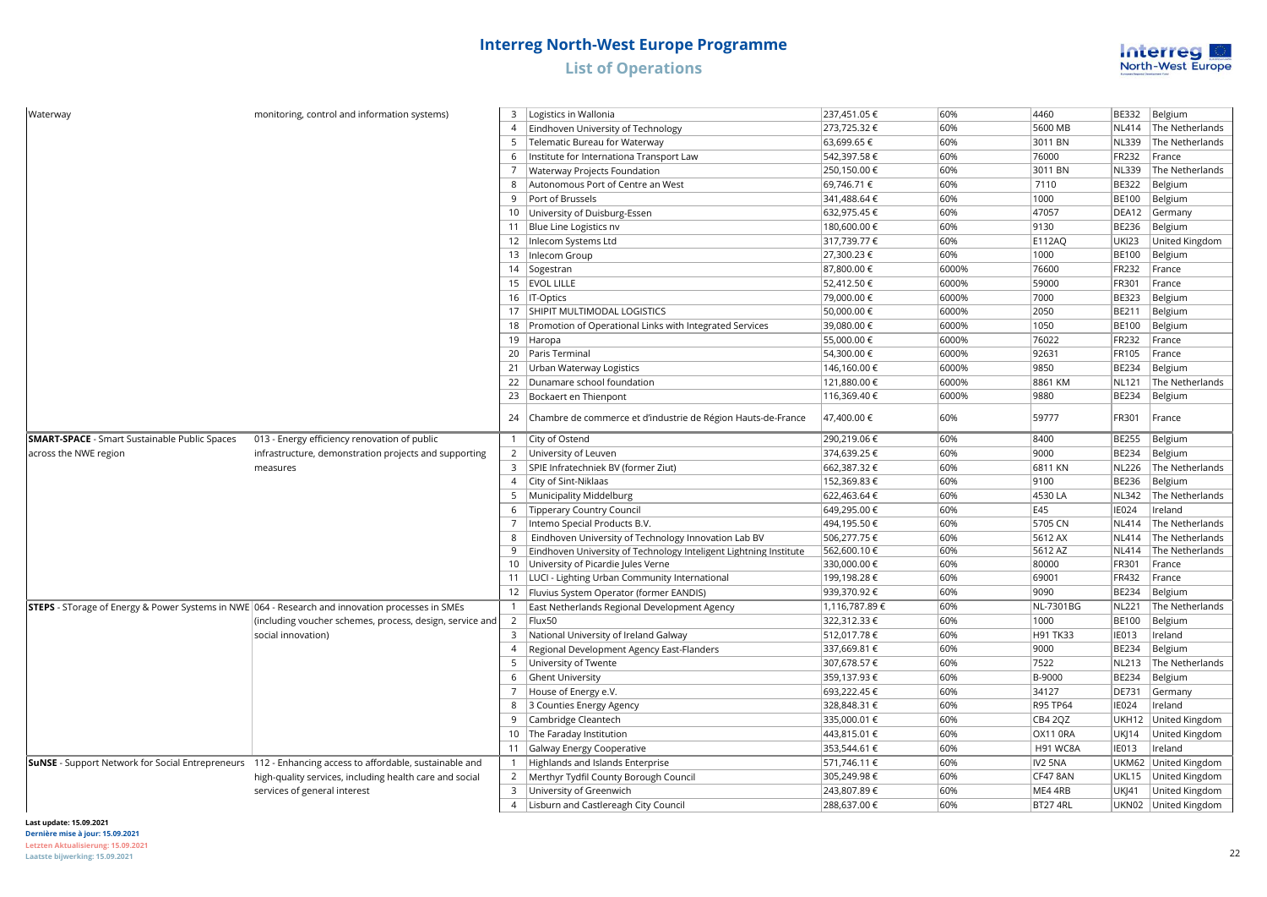

| Waterway                                             | monitoring, control and information systems)                                                                  |                | 3   Logistics in Wallonia                                         | 237,451.05€   | 60%   | 4460            | <b>BE332</b> | Belgium              |
|------------------------------------------------------|---------------------------------------------------------------------------------------------------------------|----------------|-------------------------------------------------------------------|---------------|-------|-----------------|--------------|----------------------|
|                                                      |                                                                                                               | $\overline{4}$ | Eindhoven University of Technology                                | 273,725.32€   | 60%   | 5600 MB         | NL414        | The Netherlands      |
|                                                      |                                                                                                               |                | 5   Telematic Bureau for Waterway                                 | 63,699.65€    | 60%   | 3011 BN         | NL339        | The Netherlands      |
|                                                      |                                                                                                               | 6              | Institute for Internationa Transport Law                          | 542,397.58€   | 60%   | 76000           | <b>FR232</b> | France               |
|                                                      |                                                                                                               | $\overline{7}$ | Waterway Projects Foundation                                      | 250,150.00€   | 60%   | 3011 BN         | NL339        | The Netherlands      |
|                                                      |                                                                                                               | 8              | Autonomous Port of Centre an West                                 | 69,746.71 €   | 60%   | 7110            | <b>BE322</b> | Belgium              |
|                                                      |                                                                                                               | 9              | Port of Brussels                                                  | 341,488.64 €  | 60%   | 1000            | <b>BE100</b> | Belgium              |
|                                                      |                                                                                                               |                | 10 University of Duisburg-Essen                                   | 632,975.45€   | 60%   | 47057           | DEA12        | Germany              |
|                                                      |                                                                                                               |                | 11 Blue Line Logistics nv                                         | 180,600.00 €  | 60%   | 9130            | <b>BE236</b> | Belgium              |
|                                                      |                                                                                                               |                | 12   Inlecom Systems Ltd                                          | 317,739.77 €  | 60%   | <b>E112AQ</b>   | <b>UKI23</b> | United Kingdom       |
|                                                      |                                                                                                               | 13             | Inlecom Group                                                     | 27,300.23€    | 60%   | 1000            | <b>BE100</b> | Belgium              |
|                                                      |                                                                                                               | 14             | Sogestran                                                         | 87,800.00 €   | 6000% | 76600           | <b>FR232</b> | France               |
|                                                      |                                                                                                               |                | 15   EVOL LILLE                                                   | 52,412.50 €   | 6000% | 59000           | FR301        | France               |
|                                                      |                                                                                                               |                | 16   IT-Optics                                                    | 79,000.00 €   | 6000% | 7000            | <b>BE323</b> | Belgium              |
|                                                      |                                                                                                               |                | 17   SHIPIT MULTIMODAL LOGISTICS                                  | 50,000.00 €   | 6000% | 2050            | <b>BE211</b> | Belgium              |
|                                                      |                                                                                                               | 18             | Promotion of Operational Links with Integrated Services           | 39,080.00 €   | 6000% | 1050            | <b>BE100</b> | Belgium              |
|                                                      |                                                                                                               |                | 19 Haropa                                                         | 55,000.00€    | 6000% | 76022           | <b>FR232</b> | France               |
|                                                      |                                                                                                               |                | 20   Paris Terminal                                               | 54,300.00 €   | 6000% | 92631           | <b>FR105</b> | France               |
|                                                      |                                                                                                               |                | 21   Urban Waterway Logistics                                     | 146,160.00 €  | 6000% | 9850            | <b>BE234</b> | Belgium              |
|                                                      |                                                                                                               |                | 22 Dunamare school foundation                                     | 121,880.00 €  | 6000% | 8861 KM         | NL121        | The Netherlands      |
|                                                      |                                                                                                               |                | 23 Bockaert en Thienpont                                          | 116,369.40 €  | 6000% | 9880            | <b>BE234</b> | Belgium              |
|                                                      |                                                                                                               | 24             | Chambre de commerce et d'industrie de Région Hauts-de-France      | 47,400.00 €   | 60%   | 59777           | FR301        | France               |
| <b>SMART-SPACE</b> - Smart Sustainable Public Spaces | 013 - Energy efficiency renovation of public                                                                  |                | 1 City of Ostend                                                  | 290,219.06€   | 60%   | 8400            | <b>BE255</b> | Belgium              |
| across the NWE region                                | infrastructure, demonstration projects and supporting                                                         |                | 2 University of Leuven                                            | 374,639.25€   | 60%   | 9000            | <b>BE234</b> | Belgium              |
|                                                      | measures                                                                                                      |                | 3   SPIE Infratechniek BV (former Ziut)                           | 662,387.32€   | 60%   | 6811 KN         | <b>NL226</b> | The Netherlands      |
|                                                      |                                                                                                               |                | 4 City of Sint-Niklaas                                            | 152,369.83 €  | 60%   | 9100            | <b>BE236</b> | Belgium              |
|                                                      |                                                                                                               |                | 5   Municipality Middelburg                                       | 622,463.64 €  | 60%   | 4530 LA         | NL342        | The Netherlands      |
|                                                      |                                                                                                               | 6              | Tipperary Country Council                                         | 649,295.00€   | 60%   | E45             | <b>IE024</b> | lreland              |
|                                                      |                                                                                                               | $\overline{7}$ | Intemo Special Products B.V.                                      | 494,195.50€   | 60%   | 5705 CN         | NL414        | The Netherlands      |
|                                                      |                                                                                                               | 8              | Eindhoven University of Technology Innovation Lab BV              | 506,277.75€   | 60%   | 5612 AX         | NL414        | The Netherlands      |
|                                                      |                                                                                                               | 9              | Eindhoven University of Technology Inteligent Lightning Institute | 562,600.10€   | 60%   | 5612 AZ         | NL414        | The Netherlands      |
|                                                      |                                                                                                               |                | 10 University of Picardie Jules Verne                             | 330,000.00 €  | 60%   | 80000           | <b>FR301</b> | France               |
|                                                      |                                                                                                               |                | 11   LUCI - Lighting Urban Community International                | 199,198.28€   | 60%   | 69001           | <b>FR432</b> | France               |
|                                                      |                                                                                                               |                | 12   Fluvius System Operator (former EANDIS)                      | 939,370.92€   | 60%   | 9090            | <b>BE234</b> | Belgium              |
|                                                      | <b>STEPS</b> - STorage of Energy & Power Systems in NWE 064 - Research and innovation processes in SMEs       | $\mathbf{1}$   | East Netherlands Regional Development Agency                      | 1,116,787.89€ | 60%   | NL-7301BG       | NL221        | The Netherlands      |
|                                                      | (including voucher schemes, process, design, service and                                                      |                | 2   Flux50                                                        | 322,312.33 €  | 60%   | 1000            | <b>BE100</b> | Belgium              |
|                                                      | social innovation)                                                                                            |                | 3 National University of Ireland Galway                           | 512,017.78€   | 60%   | H91 TK33        | IE013        | Ireland              |
|                                                      |                                                                                                               | $\overline{4}$ | Regional Development Agency East-Flanders                         | 337,669.81 €  | 60%   | 9000            | <b>BE234</b> | Belgium              |
|                                                      |                                                                                                               | 5              | University of Twente                                              | 307,678.57€   | 60%   | 7522            | <b>NL213</b> | The Netherlands      |
|                                                      |                                                                                                               | 6              | Ghent University                                                  | 359,137.93€   | 60%   | B-9000          | <b>BE234</b> | Belgium              |
|                                                      |                                                                                                               | 7              | House of Energy e.V.                                              | 693,222.45€   | 60%   | 34127           | <b>DE731</b> | Germany              |
|                                                      |                                                                                                               | 8              | 3 Counties Energy Agency                                          | 328,848.31 €  | 60%   | R95 TP64        | <b>IE024</b> | Ireland              |
|                                                      |                                                                                                               | 9              | Cambridge Cleantech                                               | 335,000.01 €  | 60%   | CB4 2QZ         | UKH12        | United Kingdom       |
|                                                      |                                                                                                               |                | 10 The Faraday Institution                                        | 443,815.01 €  | 60%   | <b>OX11 0RA</b> | UKJ14        | United Kingdom       |
|                                                      |                                                                                                               | 11             | Galway Energy Cooperative                                         | 353,544.61 €  | 60%   | H91 WC8A        | IE013        | Ireland              |
|                                                      | <b>SUNSE</b> - Support Network for Social Entrepreneurs 112 - Enhancing access to affordable, sustainable and | $\mathbf{1}$   | Highlands and Islands Enterprise                                  | 571,746.11 €  | 60%   | IV2 5NA         |              | UKM62 United Kingdom |
|                                                      | high-quality services, including health care and social                                                       |                | 2   Merthyr Tydfil County Borough Council                         | 305,249.98€   | 60%   | CF47 8AN        | UKL15        | United Kingdom       |
|                                                      | services of general interest                                                                                  | 3              | University of Greenwich                                           | 243,807.89€   | 60%   | ME4 4RB         | UKJ41        | United Kingdom       |
|                                                      |                                                                                                               | $\overline{4}$ | Lisburn and Castlereagh City Council                              | 288,637.00 €  | 60%   | BT27 4RL        |              | UKN02 United Kingdom |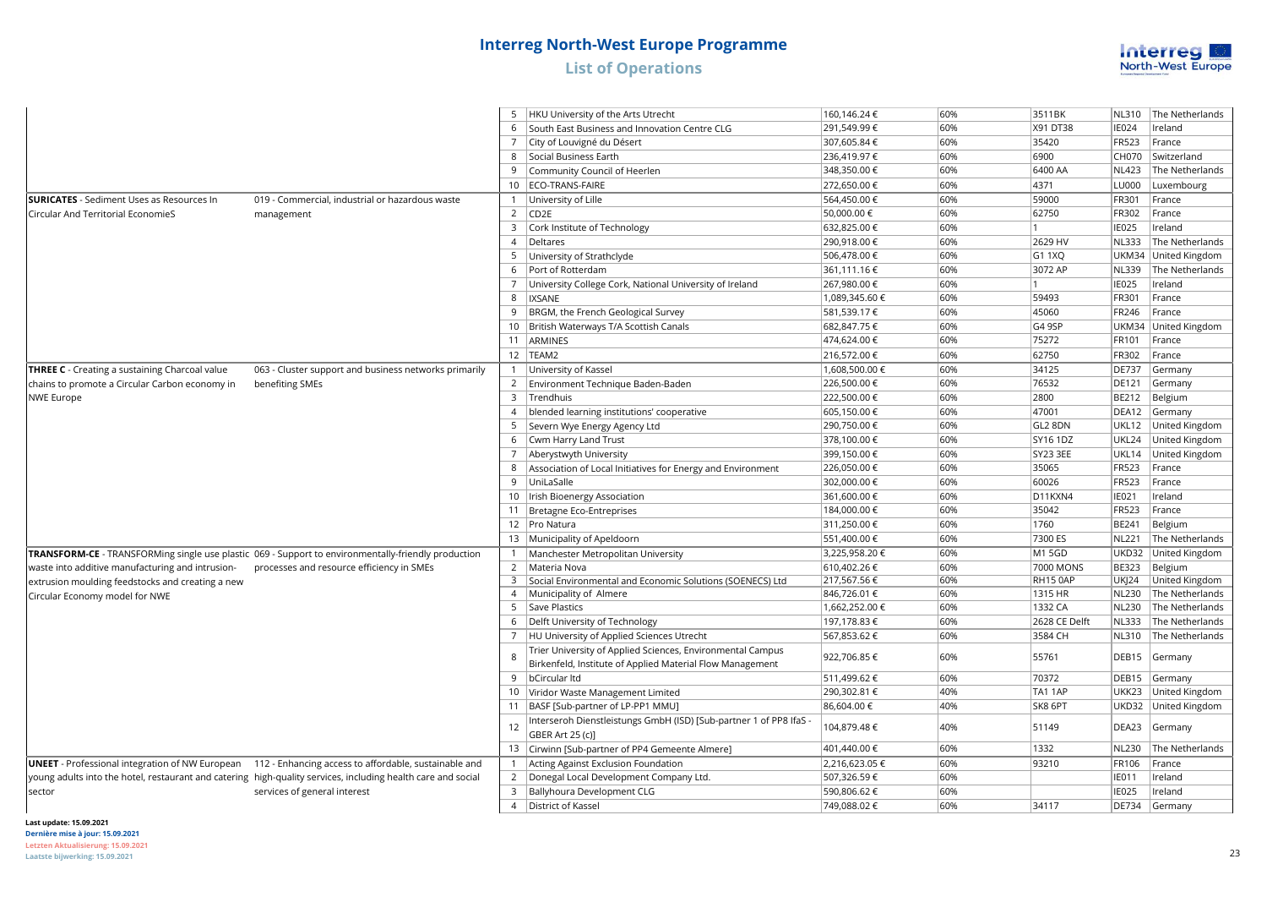

|                                                       |                                                                                                              |                | 5   HKU University of the Arts Utrecht                                               | 160,146.24 €   | 60% | 3511BK        | NL310             | The Netherlands           |
|-------------------------------------------------------|--------------------------------------------------------------------------------------------------------------|----------------|--------------------------------------------------------------------------------------|----------------|-----|---------------|-------------------|---------------------------|
|                                                       |                                                                                                              |                | 6 South East Business and Innovation Centre CLG                                      | 291,549.99€    | 60% | X91 DT38      | <b>IE024</b>      | Ireland                   |
|                                                       |                                                                                                              | $\overline{7}$ | City of Louvigné du Désert                                                           | 307,605.84 €   | 60% | 35420         | <b>FR523</b>      | France                    |
|                                                       |                                                                                                              | 8              | Social Business Earth                                                                | 236,419.97€    | 60% | 6900          | CH070             | Switzerland               |
|                                                       |                                                                                                              |                | 9 Community Council of Heerlen                                                       | 348,350.00 €   | 60% | 6400 AA       | NL423             | The Netherlands           |
|                                                       |                                                                                                              |                | 10 ECO-TRANS-FAIRE                                                                   | 272,650.00 €   | 60% | 4371          | LU000             | Luxembourg                |
| <b>SURICATES</b> - Sediment Uses as Resources In      | 019 - Commercial, industrial or hazardous waste                                                              |                | University of Lille                                                                  | 564,450.00 €   | 60% | 59000         | FR301             | France                    |
| Circular And Territorial EconomieS                    | management                                                                                                   |                | 2 $\vert$ CD <sub>2E</sub>                                                           | 50,000.00 €    | 60% | 62750         | <b>FR302</b>      | France                    |
|                                                       |                                                                                                              | $\overline{3}$ | Cork Institute of Technology                                                         | 632,825.00 €   | 60% | 11.           | <b>IE025</b>      | Ireland                   |
|                                                       |                                                                                                              | $\overline{4}$ | Deltares                                                                             | 290,918.00 €   | 60% | 2629 HV       | NL333             | The Netherlands           |
|                                                       |                                                                                                              |                | 5 University of Strathclyde                                                          | 506,478.00 €   | 60% | G1 1XQ        |                   | UKM34 United Kingdom      |
|                                                       |                                                                                                              | 6              | Port of Rotterdam                                                                    | 361,111.16€    | 60% | 3072 AP       | <b>NL339</b>      | The Netherlands           |
|                                                       |                                                                                                              | $\overline{7}$ | University College Cork, National University of Ireland                              | 267,980.00 €   | 60% | $\vert$ 1     | <b>IE025</b>      | Ireland                   |
|                                                       |                                                                                                              | 8              | <b>IXSANE</b>                                                                        | 1,089,345.60 € | 60% | 59493         | FR301             | France                    |
|                                                       |                                                                                                              | 9              | BRGM, the French Geological Survey                                                   | 581,539.17€    | 60% | 45060         | <b>FR246</b>      | France                    |
|                                                       |                                                                                                              |                | 10   British Waterways T/A Scottish Canals                                           | 682,847.75€    | 60% | G4 9SP        |                   | UKM34 United Kingdom      |
|                                                       |                                                                                                              |                | 11 ARMINES                                                                           | 474,624.00 €   | 60% | 75272         | FR101             | France                    |
|                                                       |                                                                                                              |                | 12  TEAM2                                                                            | 216,572.00 €   | 60% | 62750         | <b>FR302</b>      | France                    |
| <b>THREE C</b> - Creating a sustaining Charcoal value | 063 - Cluster support and business networks primarily                                                        | $\mathbf{1}$   | University of Kassel                                                                 | 1,608,500.00 € | 60% | 34125         | <b>DE737</b>      | Germany                   |
| chains to promote a Circular Carbon economy in        | benefiting SMEs                                                                                              |                | 2 Environment Technique Baden-Baden                                                  | 226,500.00€    | 60% | 76532         | <b>DE121</b>      | Germany                   |
| <b>NWE Europe</b>                                     |                                                                                                              |                | 3 Trendhuis                                                                          | 222,500.00 €   | 60% | 2800          | <b>BE212</b>      | Belgium                   |
|                                                       |                                                                                                              | $\overline{4}$ | blended learning institutions' cooperative                                           | 605,150.00€    | 60% | 47001         | DEA12             | Germany                   |
|                                                       |                                                                                                              | 5              | Severn Wye Energy Agency Ltd                                                         | 290,750.00 €   | 60% | GL2 8DN       |                   | UKL12 United Kingdom      |
|                                                       |                                                                                                              | 6              | Cwm Harry Land Trust                                                                 | 378,100.00 €   | 60% | SY16 1DZ      | UKL24             | United Kingdom            |
|                                                       |                                                                                                              | $\overline{7}$ | Aberystwyth University                                                               | 399,150.00 €   | 60% | SY23 3EE      | UKL14             | United Kingdom            |
|                                                       |                                                                                                              |                | 8 Association of Local Initiatives for Energy and Environment                        | 226,050.00 €   | 60% | 35065         | <b>FR523</b>      | France                    |
|                                                       |                                                                                                              | 9              | UniLaSalle                                                                           | 302,000.00 €   | 60% | 60026         | <b>FR523</b>      | France                    |
|                                                       |                                                                                                              |                | 10   Irish Bioenergy Association                                                     | 361,600.00 €   | 60% | D11KXN4       | IE021             | Ireland                   |
|                                                       |                                                                                                              |                | 11 Bretagne Eco-Entreprises                                                          | 184,000.00 €   | 60% | 35042         | <b>FR523</b>      | France                    |
|                                                       |                                                                                                              |                | 12   Pro Natura                                                                      | 311,250.00 €   | 60% | 1760          | <b>BE241</b>      | Belgium                   |
|                                                       |                                                                                                              |                | 13 Municipality of Apeldoorn                                                         | 551,400.00 €   | 60% | 7300 ES       | NL221             | The Netherlands           |
|                                                       |                                                                                                              |                |                                                                                      | 3,225,958.20€  | 60% | M1 5GD        |                   | UKD32 United Kingdom      |
|                                                       | TRANSFORM-CE - TRANSFORMing single use plastic 069 - Support to environmentally-friendly production          |                | Manchester Metropolitan University                                                   | 610,402.26€    | 60% | 7000 MONS     | <b>BE323</b>      |                           |
| waste into additive manufacturing and intrusion-      | processes and resource efficiency in SMEs                                                                    | 3              | 2   Materia Nova<br>Social Environmental and Economic Solutions (SOENECS) Ltd        | 217,567.56€    | 60% | RH15 0AP      | <b>UK 24</b>      | Belgium<br>United Kingdom |
| extrusion moulding feedstocks and creating a new      |                                                                                                              | $\overline{4}$ | Municipality of Almere                                                               | 846,726.01 €   | 60% | 1315 HR       | NL230             | The Netherlands           |
| Circular Economy model for NWE                        |                                                                                                              |                | 5 Save Plastics                                                                      | 1,662,252.00 € | 60% | 1332 CA       | NL230             | The Netherlands           |
|                                                       |                                                                                                              | 6              | Delft University of Technology                                                       | 197,178.83 €   | 60% | 2628 CE Delft | NL333             | The Netherlands           |
|                                                       |                                                                                                              | 7              | HU University of Applied Sciences Utrecht                                            | 567,853.62€    | 60% | 3584 CH       | NL310             | The Netherlands           |
|                                                       |                                                                                                              |                | Trier University of Applied Sciences, Environmental Campus                           |                |     |               |                   |                           |
|                                                       |                                                                                                              | $\mathbf{R}$   | Birkenfeld, Institute of Applied Material Flow Management                            | 922,706.85€    | 60% | 55761         | DEB15             | Germany                   |
|                                                       |                                                                                                              |                | 9 bCircular Itd                                                                      | 511,499.62€    | 60% | 70372         | DEB <sub>15</sub> | Germany                   |
|                                                       |                                                                                                              |                | 10 Viridor Waste Management Limited                                                  | 290,302.81 €   | 40% | TA1 1AP       |                   | UKK23 United Kingdom      |
|                                                       |                                                                                                              |                | 11   BASF [Sub-partner of LP-PP1 MMU]                                                | 86,604.00 €    | 40% | SK8 6PT       |                   | UKD32 United Kingdom      |
|                                                       |                                                                                                              | 12             | Interseroh Dienstleistungs GmbH (ISD) [Sub-partner 1 of PP8 IfaS<br>GBER Art 25 (c)] | 104,879.48 €   | 40% | 51149         | DEA23             | Germany                   |
|                                                       |                                                                                                              |                | 13   Cirwinn [Sub-partner of PP4 Gemeente Almere]                                    | 401,440.00 €   | 60% | 1332          | NL230             | The Netherlands           |
|                                                       | UNEET - Professional integration of NW European 112 - Enhancing access to affordable, sustainable and        |                | Acting Against Exclusion Foundation                                                  | 2,216,623.05€  | 60% | 93210         | <b>FR106</b>      | France                    |
|                                                       | young adults into the hotel, restaurant and catering high-quality services, including health care and social |                | 2   Donegal Local Development Company Ltd.                                           | 507,326.59€    | 60% |               | <b>IE011</b>      | reland                    |
| sector                                                | services of general interest                                                                                 |                | 3   Ballyhoura Development CLG                                                       | 590,806.62€    | 60% |               | <b>IE025</b>      | Ireland                   |
|                                                       |                                                                                                              |                | 4   District of Kassel                                                               | 749,088.02€    | 60% | 34117         | <b>DE734</b>      | Germany                   |
|                                                       |                                                                                                              |                |                                                                                      |                |     |               |                   |                           |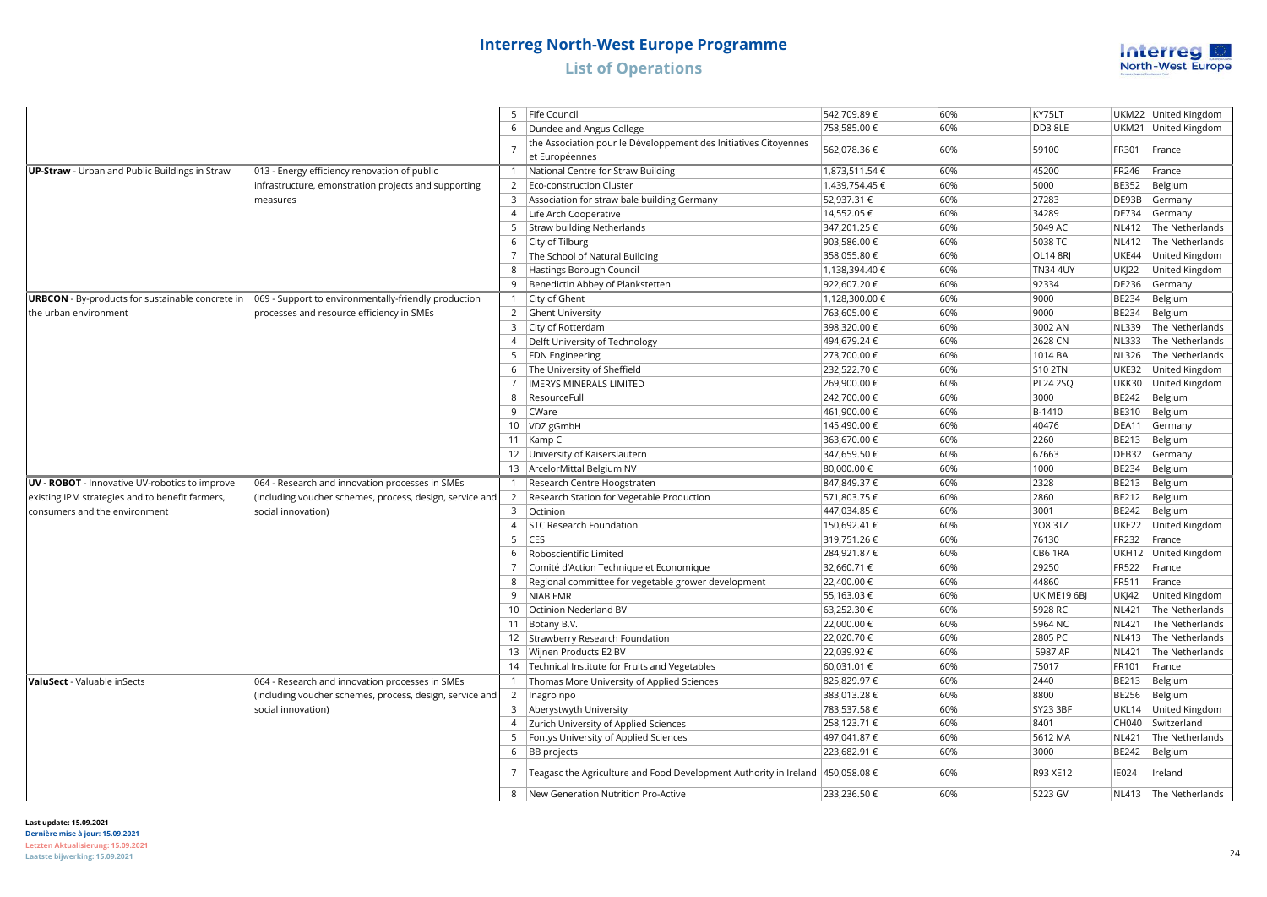

|                                                       |                                                                                                       | 5               | Fife Council                                                      | 542,709.89€    | 60% | KY75LT             |              | UKM22 United Kingdom  |
|-------------------------------------------------------|-------------------------------------------------------------------------------------------------------|-----------------|-------------------------------------------------------------------|----------------|-----|--------------------|--------------|-----------------------|
|                                                       |                                                                                                       | 6               | Dundee and Angus College                                          | 758,585.00 €   | 60% | DD38LE             |              | UKM21 United Kingdom  |
|                                                       |                                                                                                       |                 | the Association pour le Développement des Initiatives Citoyennes  |                | 60% | 59100              |              | France                |
|                                                       |                                                                                                       |                 | et Européennes                                                    | 562,078.36€    |     |                    | FR301        |                       |
| <b>UP-Straw</b> - Urban and Public Buildings in Straw | 013 - Energy efficiency renovation of public                                                          |                 | National Centre for Straw Building                                | 1,873,511.54 € | 60% | 45200              | FR246        | France                |
|                                                       | infrastructure, emonstration projects and supporting                                                  | $\overline{2}$  | Eco-construction Cluster                                          | 1,439,754.45 € | 60% | 5000               | BE352        | Belgium               |
|                                                       | measures                                                                                              | 3               | Association for straw bale building Germany                       | 52,937.31 €    | 60% | 27283              | DE93B        | Germany               |
|                                                       |                                                                                                       |                 | 4   Life Arch Cooperative                                         | 14,552.05 €    | 60% | 34289              | DE734        | Germany               |
|                                                       |                                                                                                       | 5               | Straw building Netherlands                                        | 347,201.25€    | 60% | 5049 AC            | <b>NL412</b> | The Netherlands       |
|                                                       |                                                                                                       | 6               | City of Tilburg                                                   | 903,586.00 €   | 60% | 5038 TC            | <b>NL412</b> | The Netherlands       |
|                                                       |                                                                                                       | $\overline{7}$  | The School of Natural Building                                    | 358,055.80€    | 60% | <b>OL14 8RJ</b>    | UKE44        | United Kingdom        |
|                                                       |                                                                                                       | 8               | Hastings Borough Council                                          | 1,138,394.40 € | 60% | <b>TN34 4UY</b>    | <b>UK 22</b> | United Kingdom        |
|                                                       |                                                                                                       | 9               | Benedictin Abbey of Plankstetten                                  | 922,607.20€    | 60% | 92334              | <b>DE236</b> | Germany               |
|                                                       | URBCON - By-products for sustainable concrete in 069 - Support to environmentally-friendly production | $\mathbf{1}$    | City of Ghent                                                     | 1,128,300.00 € | 60% | 9000               | <b>BE234</b> | Belgium               |
| the urban environment                                 | processes and resource efficiency in SMEs                                                             |                 | 2 Ghent University                                                | 763,605.00 €   | 60% | 9000               | BE234        | Belgium               |
|                                                       |                                                                                                       | $\overline{3}$  | City of Rotterdam                                                 | 398,320.00 €   | 60% | 3002 AN            | NL339        | The Netherlands       |
|                                                       |                                                                                                       | $\overline{4}$  | Delft University of Technology                                    | 494,679.24 €   | 60% | 2628 CN            | <b>NL333</b> | The Netherlands       |
|                                                       |                                                                                                       | 5               | <b>FDN</b> Engineering                                            | 273,700.00 €   | 60% | 1014 BA            | <b>NL326</b> | The Netherlands       |
|                                                       |                                                                                                       | 6               | The University of Sheffield                                       | 232,522.70€    | 60% | <b>S10 2TN</b>     | <b>UKE32</b> | United Kingdom        |
|                                                       |                                                                                                       |                 | <b>IMERYS MINERALS LIMITED</b>                                    | 269,900.00€    | 60% | <b>PL24 2SQ</b>    | <b>UKK30</b> | United Kingdom        |
|                                                       |                                                                                                       | 8               | ResourceFull                                                      | 242,700.00 €   | 60% | 3000               | <b>BE242</b> | Belgium               |
|                                                       |                                                                                                       | 9               | CWare                                                             | 461,900.00 €   | 60% | B-1410             | BE310        | Belgium               |
|                                                       |                                                                                                       |                 | 10   VDZ gGmbH                                                    | 145,490.00 €   | 60% | 40476              | DEA11        | Germany               |
|                                                       |                                                                                                       |                 | 11   Kamp C                                                       | 363,670.00 €   | 60% | 2260               | BE213        | Belgium               |
|                                                       |                                                                                                       |                 | 12 University of Kaiserslautern                                   | 347,659.50 €   | 60% | 67663              | DEB32        | Germany               |
|                                                       |                                                                                                       | 13              | ArcelorMittal Belgium NV                                          | 80,000.00 €    | 60% | 1000               | BE234        | Belgium               |
| UV - ROBOT - Innovative UV-robotics to improve        | 064 - Research and innovation processes in SMEs                                                       | 1               | Research Centre Hoogstraten                                       | 847,849.37€    | 60% | 2328               | BE213        | Belgium               |
| existing IPM strategies and to benefit farmers,       | (including voucher schemes, process, design, service and                                              | 2               | Research Station for Vegetable Production                         | 571,803.75 €   | 60% | 2860               | BE212        | Belgium               |
| consumers and the environment                         | social innovation)                                                                                    |                 | 3 Octinion                                                        | 447,034.85 €   | 60% | 3001               | BE242        | Belgium               |
|                                                       |                                                                                                       | $\overline{4}$  | STC Research Foundation                                           | 150,692.41 €   | 60% | YO8 3TZ            | UKE22        | United Kingdom        |
|                                                       |                                                                                                       | 5               | CESI                                                              | 319,751.26€    | 60% | 76130              | FR232        | France                |
|                                                       |                                                                                                       | 6               | Roboscientific Limited                                            | 284,921.87 €   | 60% | CB6 1RA            |              | UKH12 United Kingdom  |
|                                                       |                                                                                                       |                 | Comité d'Action Technique et Economique                           | 32,660.71 €    | 60% | 29250              | FR522        | France                |
|                                                       |                                                                                                       | 8               | Regional committee for vegetable grower development               | 22,400.00 €    | 60% | 44860              | FR511        | France                |
|                                                       |                                                                                                       | 9               | <b>NIAB EMR</b>                                                   | 55,163.03 €    | 60% | <b>UK ME19 6BJ</b> | UKJ42        | United Kingdom        |
|                                                       |                                                                                                       | 10 <sup>1</sup> | Octinion Nederland BV                                             | 63,252.30 €    | 60% | 5928 RC            | <b>NL421</b> | The Netherlands       |
|                                                       |                                                                                                       | 11              | Botany B.V.                                                       | 22,000.00 €    | 60% | 5964 NC            | <b>NL421</b> | The Netherlands       |
|                                                       |                                                                                                       |                 | 12 Strawberry Research Foundation                                 | 22,020.70€     | 60% | 2805 PC            | <b>NL413</b> | The Netherlands       |
|                                                       |                                                                                                       |                 | 13 Wijnen Products E2 BV                                          | 22,039.92€     | 60% | 5987 AP            | <b>NL421</b> | The Netherlands       |
|                                                       |                                                                                                       |                 | 14 Technical Institute for Fruits and Vegetables                  | 60,031.01 €    | 60% | 75017              | FR101        | France                |
| <b>ValuSect</b> - Valuable inSects                    | 064 - Research and innovation processes in SMEs                                                       |                 | Thomas More University of Applied Sciences                        | 825,829.97€    | 60% | 2440               | <b>BE213</b> | Belgium               |
|                                                       | (including voucher schemes, process, design, service and                                              |                 | 2   Inagro npo                                                    | 383,013.28€    | 60% | 8800               | BE256        | Belgium               |
|                                                       | social innovation)                                                                                    | $\mathbf{3}$    | Aberystwyth University                                            | 783,537.58€    | 60% | <b>SY23 3BF</b>    | UKL14        | United Kingdom        |
|                                                       |                                                                                                       |                 | 4   Zurich University of Applied Sciences                         | 258,123.71 €   | 60% | 8401               | CH040        | Switzerland           |
|                                                       |                                                                                                       | 5               | Fontys University of Applied Sciences                             | 497,041.87€    | 60% | 5612 MA            | <b>NL421</b> | The Netherlands       |
|                                                       |                                                                                                       | 6               | <b>BB</b> projects                                                | 223,682.91 €   | 60% | 3000               | BE242        | Belgium               |
|                                                       |                                                                                                       | 7               | Teagasc the Agriculture and Food Development Authority in Ireland | 450,058.08€    | 60% | R93 XE12           | <b>IE024</b> | Ireland               |
|                                                       |                                                                                                       | 8               | New Generation Nutrition Pro-Active                               | 233,236.50€    | 60% | 5223 GV            |              | NL413 The Netherlands |